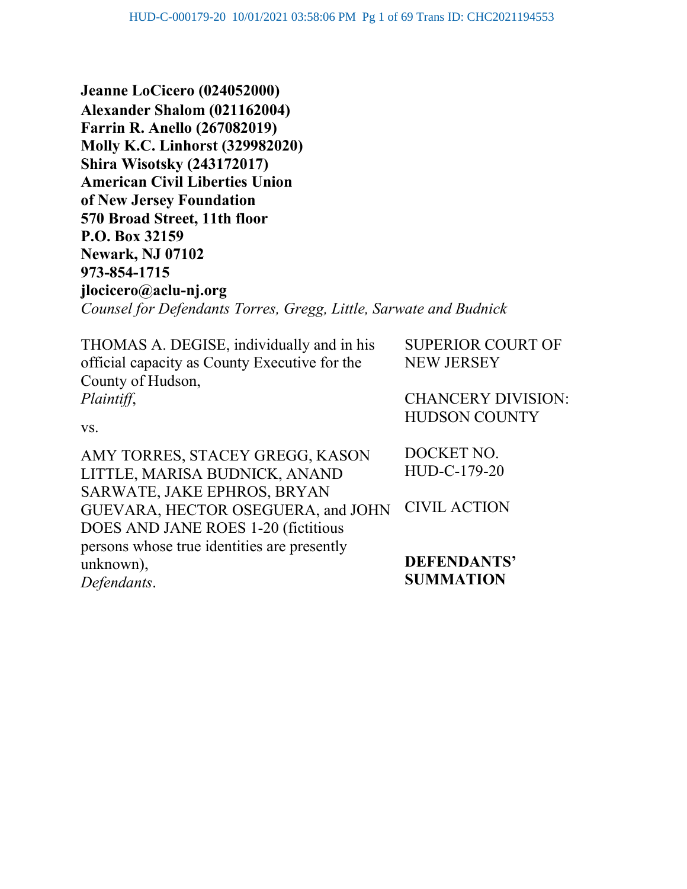**Jeanne LoCicero (024052000) Alexander Shalom (021162004) Farrin R. Anello (267082019) Molly K.C. Linhorst (329982020) Shira Wisotsky (243172017) American Civil Liberties Union of New Jersey Foundation 570 Broad Street, 11th floor P.O. Box 32159 Newark, NJ 07102 973-854-1715 jlocicero@aclu-nj.org** *Counsel for Defendants Torres, Gregg, Little, Sarwate and Budnick*

THOMAS A. DEGISE, individually and in his official capacity as County Executive for the County of Hudson, *Plaintiff*, vs. AMY TORRES, STACEY GREGG, KASON LITTLE, MARISA BUDNICK, ANAND SARWATE, JAKE EPHROS, BRYAN GUEVARA, HECTOR OSEGUERA, and JOHN DOES AND JANE ROES 1-20 (fictitious persons whose true identities are presently unknown), SUPERIOR COURT OF NEW JERSEY CHANCERY DIVISION: HUDSON COUNTY DOCKET NO. HUD-C-179-20 CIVIL ACTION **DEFENDANTS'** 

*Defendants*.

**SUMMATION**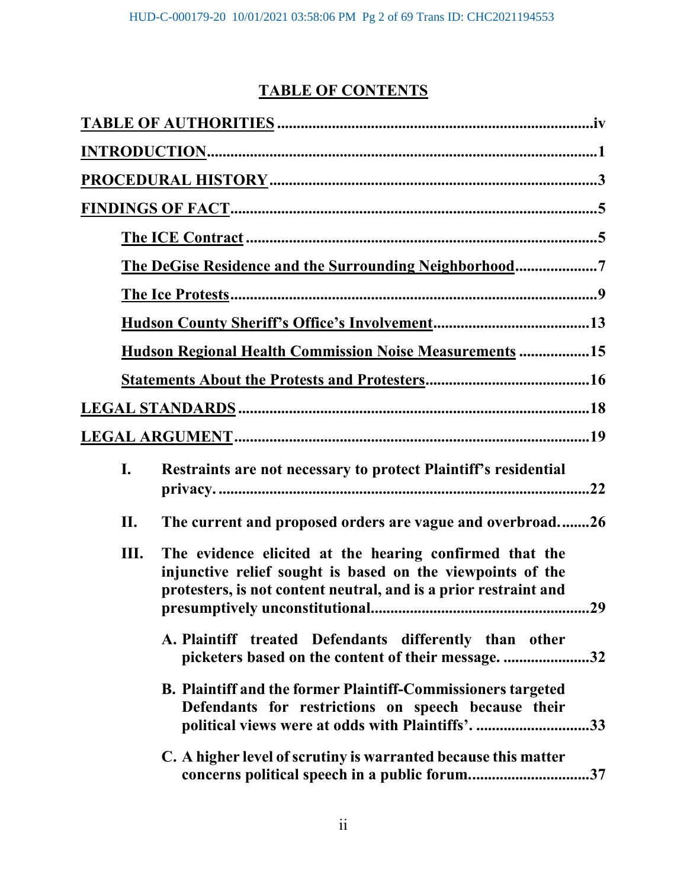# **TABLE OF CONTENTS**

|     | The DeGise Residence and the Surrounding Neighborhood7                                                                                                                                    |
|-----|-------------------------------------------------------------------------------------------------------------------------------------------------------------------------------------------|
|     |                                                                                                                                                                                           |
|     |                                                                                                                                                                                           |
|     | <b>Hudson Regional Health Commission Noise Measurements 15</b>                                                                                                                            |
|     |                                                                                                                                                                                           |
|     |                                                                                                                                                                                           |
|     |                                                                                                                                                                                           |
| I.  | Restraints are not necessary to protect Plaintiff's residential<br>.22                                                                                                                    |
| II. | The current and proposed orders are vague and overbroad26                                                                                                                                 |
| Ш.  | The evidence elicited at the hearing confirmed that the<br>injunctive relief sought is based on the viewpoints of the<br>protesters, is not content neutral, and is a prior restraint and |
|     | A. Plaintiff treated Defendants differently than other<br>.32                                                                                                                             |
|     | B. Plaintiff and the former Plaintiff-Commissioners targeted<br>Defendants for restrictions on speech because their<br>political views were at odds with Plaintiffs'.<br>.33              |
|     | C. A higher level of scrutiny is warranted because this matter<br>concerns political speech in a public forum37                                                                           |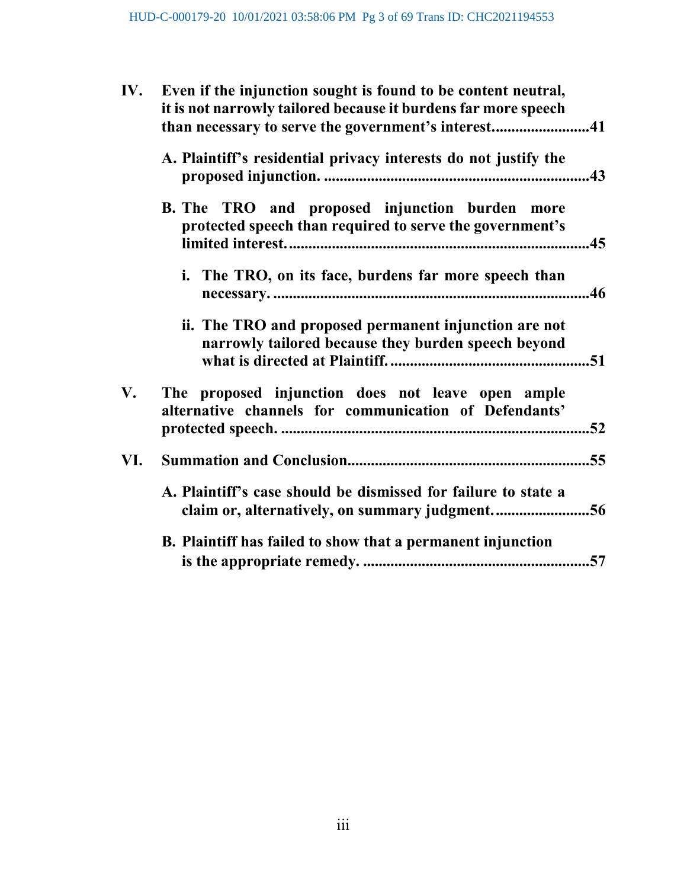| IV. | Even if the injunction sought is found to be content neutral,<br>it is not narrowly tailored because it burdens far more speech<br>than necessary to serve the government's interest41 |  |
|-----|----------------------------------------------------------------------------------------------------------------------------------------------------------------------------------------|--|
|     | A. Plaintiff's residential privacy interests do not justify the                                                                                                                        |  |
|     | B. The TRO and proposed injunction burden more<br>protected speech than required to serve the government's                                                                             |  |
|     | i. The TRO, on its face, burdens far more speech than                                                                                                                                  |  |
|     | ii. The TRO and proposed permanent injunction are not<br>narrowly tailored because they burden speech beyond                                                                           |  |
| V.  | The proposed injunction does not leave open ample<br>alternative channels for communication of Defendants'                                                                             |  |
| VI. |                                                                                                                                                                                        |  |
|     | A. Plaintiff's case should be dismissed for failure to state a<br>claim or, alternatively, on summary judgment56                                                                       |  |
|     | B. Plaintiff has failed to show that a permanent injunction                                                                                                                            |  |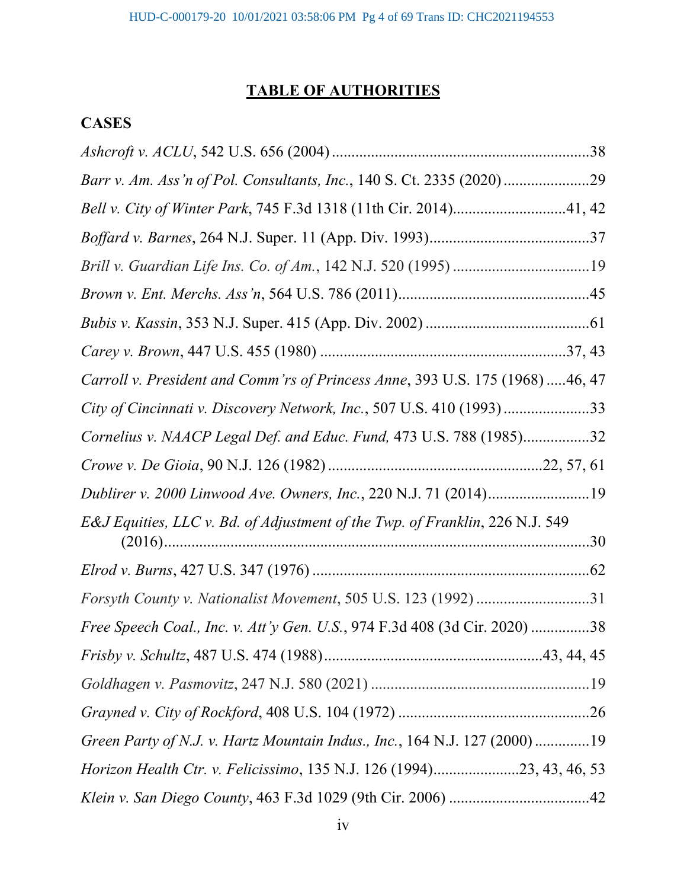# **TABLE OF AUTHORITIES**

# **CASES**

| Barr v. Am. Ass'n of Pol. Consultants, Inc., 140 S. Ct. 2335 (2020)29        |
|------------------------------------------------------------------------------|
| Bell v. City of Winter Park, 745 F.3d 1318 (11th Cir. 2014)41, 42            |
|                                                                              |
|                                                                              |
|                                                                              |
|                                                                              |
|                                                                              |
| Carroll v. President and Comm'rs of Princess Anne, 393 U.S. 175 (1968)46, 47 |
| City of Cincinnati v. Discovery Network, Inc., 507 U.S. 410 (1993)33         |
| Cornelius v. NAACP Legal Def. and Educ. Fund, 473 U.S. 788 (1985)32          |
|                                                                              |
| Dublirer v. 2000 Linwood Ave. Owners, Inc., 220 N.J. 71 (2014)19             |
| E&J Equities, LLC v. Bd. of Adjustment of the Twp. of Franklin, 226 N.J. 549 |
|                                                                              |
| Forsyth County v. Nationalist Movement, 505 U.S. 123 (1992) 31               |
| Free Speech Coal., Inc. v. Att'y Gen. U.S., 974 F.3d 408 (3d Cir. 2020) 38   |
|                                                                              |
|                                                                              |
|                                                                              |
| Green Party of N.J. v. Hartz Mountain Indus., Inc., 164 N.J. 127 (2000)19    |
| Horizon Health Ctr. v. Felicissimo, 135 N.J. 126 (1994)23, 43, 46, 53        |
|                                                                              |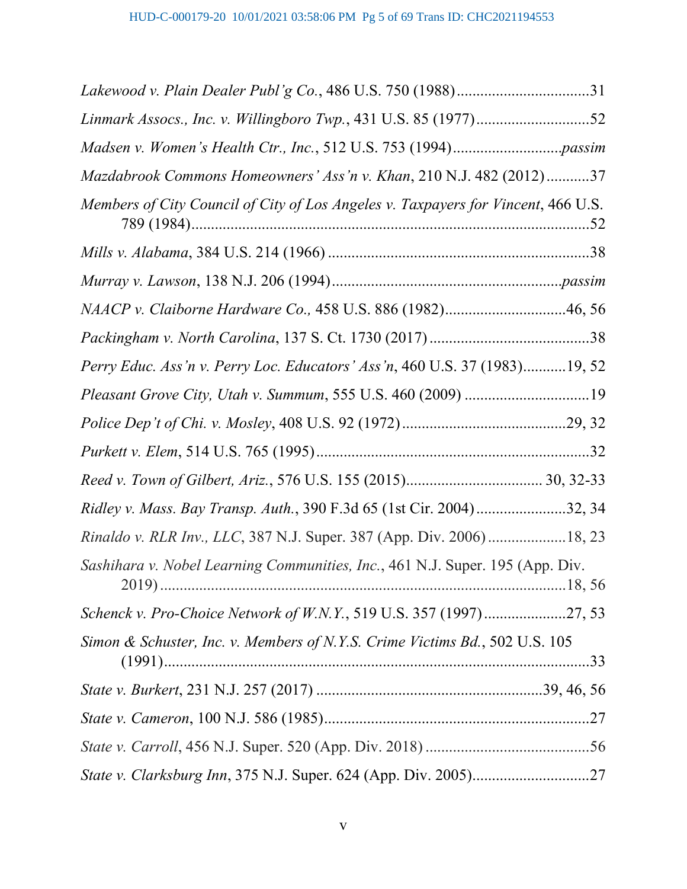| Mazdabrook Commons Homeowners' Ass'n v. Khan, 210 N.J. 482 (2012)37                |
|------------------------------------------------------------------------------------|
| Members of City Council of City of Los Angeles v. Taxpayers for Vincent, 466 U.S.  |
|                                                                                    |
|                                                                                    |
| NAACP v. Claiborne Hardware Co., 458 U.S. 886 (1982)46, 56                         |
|                                                                                    |
| Perry Educ. Ass'n v. Perry Loc. Educators' Ass'n, 460 U.S. 37 (1983)19, 52         |
| Pleasant Grove City, Utah v. Summum, 555 U.S. 460 (2009) 19                        |
|                                                                                    |
|                                                                                    |
|                                                                                    |
| Ridley v. Mass. Bay Transp. Auth., 390 F.3d 65 (1st Cir. 2004)32, 34               |
| Rinaldo v. RLR Inv., LLC, 387 N.J. Super. 387 (App. Div. 2006)18, 23               |
| Sashihara v. Nobel Learning Communities, Inc., 461 N.J. Super. 195 (App. Div.      |
| Schenck v. Pro-Choice Network of W.N.Y., 519 U.S. 357 (1997)27, 53                 |
| Simon & Schuster, Inc. v. Members of N.Y.S. Crime Victims Bd., 502 U.S. 105<br>.33 |
|                                                                                    |
|                                                                                    |
|                                                                                    |
|                                                                                    |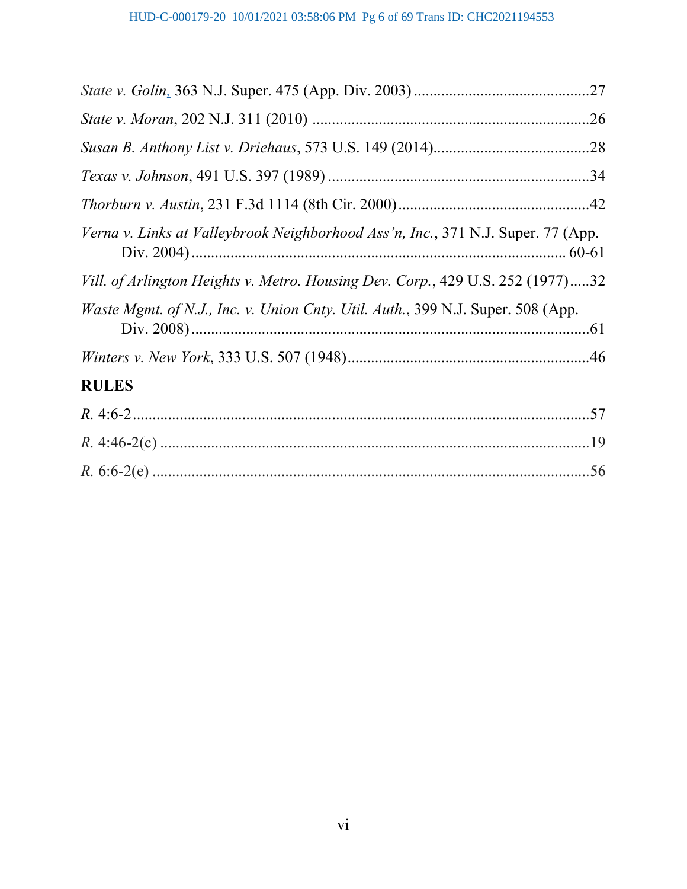| Verna v. Links at Valleybrook Neighborhood Ass'n, Inc., 371 N.J. Super. 77 (App.        |
|-----------------------------------------------------------------------------------------|
| Vill. of Arlington Heights v. Metro. Housing Dev. Corp., 429 U.S. 252 (1977)32          |
| <i>Waste Mgmt. of N.J., Inc. v. Union Cnty. Util. Auth.</i> , 399 N.J. Super. 508 (App. |
|                                                                                         |
| <b>RULES</b>                                                                            |
|                                                                                         |
|                                                                                         |
|                                                                                         |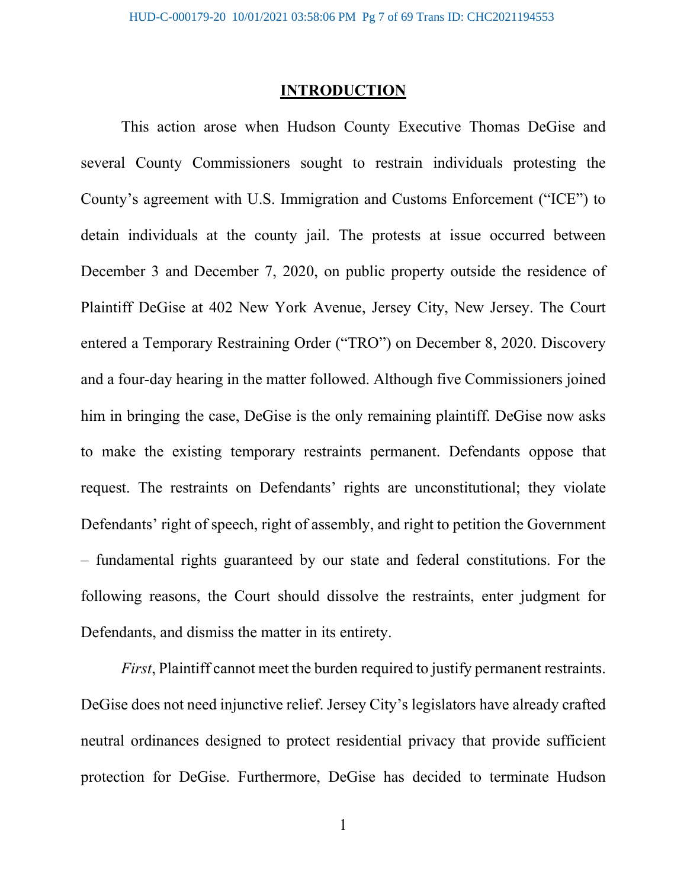#### **INTRODUCTION**

This action arose when Hudson County Executive Thomas DeGise and several County Commissioners sought to restrain individuals protesting the County's agreement with U.S. Immigration and Customs Enforcement ("ICE") to detain individuals at the county jail. The protests at issue occurred between December 3 and December 7, 2020, on public property outside the residence of Plaintiff DeGise at 402 New York Avenue, Jersey City, New Jersey. The Court entered a Temporary Restraining Order ("TRO") on December 8, 2020. Discovery and a four-day hearing in the matter followed. Although five Commissioners joined him in bringing the case, DeGise is the only remaining plaintiff. DeGise now asks to make the existing temporary restraints permanent. Defendants oppose that request. The restraints on Defendants' rights are unconstitutional; they violate Defendants' right of speech, right of assembly, and right to petition the Government – fundamental rights guaranteed by our state and federal constitutions. For the following reasons, the Court should dissolve the restraints, enter judgment for Defendants, and dismiss the matter in its entirety.

*First*, Plaintiff cannot meet the burden required to justify permanent restraints. DeGise does not need injunctive relief. Jersey City's legislators have already crafted neutral ordinances designed to protect residential privacy that provide sufficient protection for DeGise. Furthermore, DeGise has decided to terminate Hudson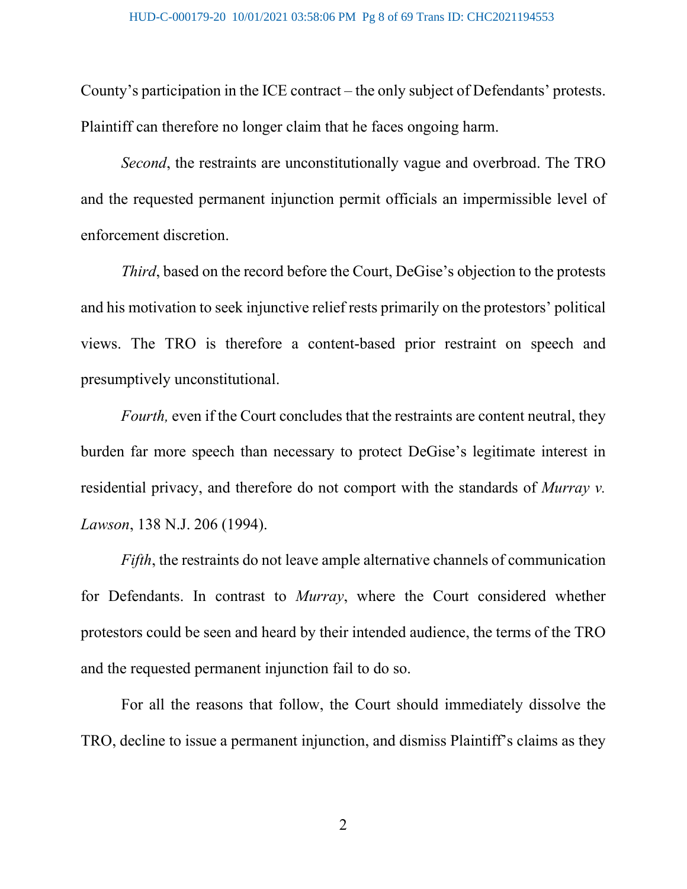County's participation in the ICE contract – the only subject of Defendants' protests. Plaintiff can therefore no longer claim that he faces ongoing harm.

*Second*, the restraints are unconstitutionally vague and overbroad. The TRO and the requested permanent injunction permit officials an impermissible level of enforcement discretion.

*Third*, based on the record before the Court, DeGise's objection to the protests and his motivation to seek injunctive relief rests primarily on the protestors' political views. The TRO is therefore a content-based prior restraint on speech and presumptively unconstitutional.

*Fourth*, even if the Court concludes that the restraints are content neutral, they burden far more speech than necessary to protect DeGise's legitimate interest in residential privacy, and therefore do not comport with the standards of *Murray v. Lawson*, 138 N.J. 206 (1994).

*Fifth*, the restraints do not leave ample alternative channels of communication for Defendants. In contrast to *Murray*, where the Court considered whether protestors could be seen and heard by their intended audience, the terms of the TRO and the requested permanent injunction fail to do so.

For all the reasons that follow, the Court should immediately dissolve the TRO, decline to issue a permanent injunction, and dismiss Plaintiff's claims as they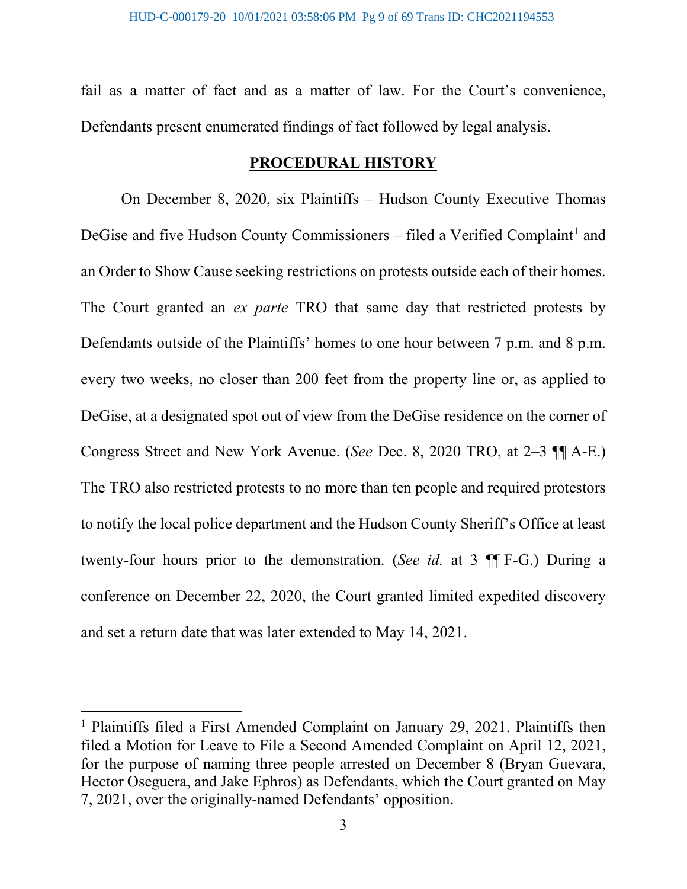fail as a matter of fact and as a matter of law. For the Court's convenience, Defendants present enumerated findings of fact followed by legal analysis.

### **PROCEDURAL HISTORY**

On December 8, 2020, six Plaintiffs – Hudson County Executive Thomas DeGise and five Hudson County Commissioners – filed a Verified Complaint<sup>[1](#page-8-0)</sup> and an Order to Show Cause seeking restrictions on protests outside each of their homes. The Court granted an *ex parte* TRO that same day that restricted protests by Defendants outside of the Plaintiffs' homes to one hour between 7 p.m. and 8 p.m. every two weeks, no closer than 200 feet from the property line or, as applied to DeGise, at a designated spot out of view from the DeGise residence on the corner of Congress Street and New York Avenue. (*See* Dec. 8, 2020 TRO, at 2–3 ¶¶ A-E.) The TRO also restricted protests to no more than ten people and required protestors to notify the local police department and the Hudson County Sheriff's Office at least twenty-four hours prior to the demonstration. (*See id.* at 3 ¶¶ F-G.) During a conference on December 22, 2020, the Court granted limited expedited discovery and set a return date that was later extended to May 14, 2021.

<span id="page-8-0"></span><sup>&</sup>lt;sup>1</sup> Plaintiffs filed a First Amended Complaint on January 29, 2021. Plaintiffs then filed a Motion for Leave to File a Second Amended Complaint on April 12, 2021, for the purpose of naming three people arrested on December 8 (Bryan Guevara, Hector Oseguera, and Jake Ephros) as Defendants, which the Court granted on May 7, 2021, over the originally-named Defendants' opposition.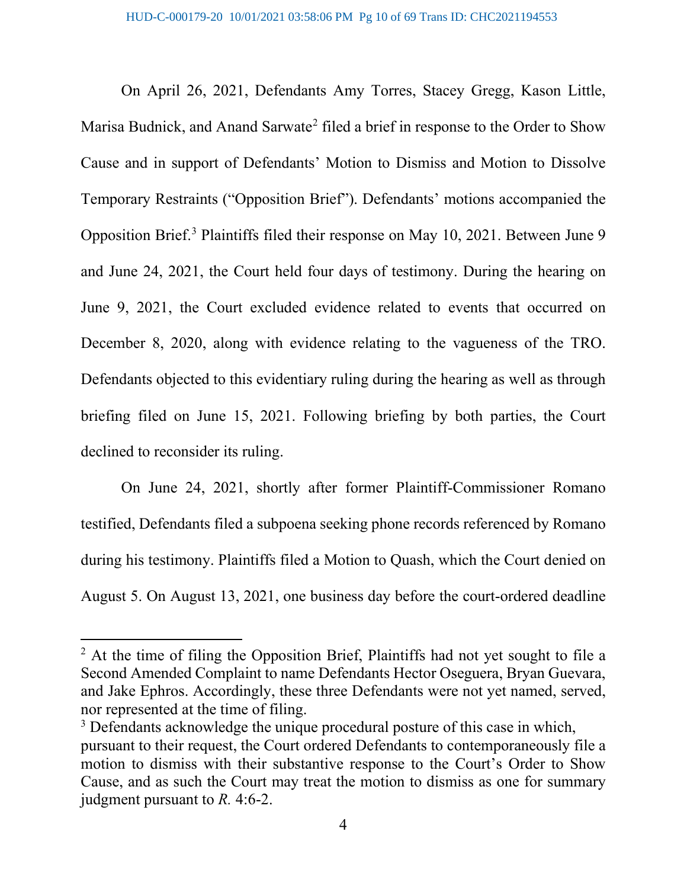On April 26, 2021, Defendants Amy Torres, Stacey Gregg, Kason Little, Marisa Budnick, and Anand Sarwate<sup>[2](#page-9-0)</sup> filed a brief in response to the Order to Show Cause and in support of Defendants' Motion to Dismiss and Motion to Dissolve Temporary Restraints ("Opposition Brief"). Defendants' motions accompanied the Opposition Brief. [3](#page-9-1) Plaintiffs filed their response on May 10, 2021. Between June 9 and June 24, 2021, the Court held four days of testimony. During the hearing on June 9, 2021, the Court excluded evidence related to events that occurred on December 8, 2020, along with evidence relating to the vagueness of the TRO. Defendants objected to this evidentiary ruling during the hearing as well as through briefing filed on June 15, 2021. Following briefing by both parties, the Court declined to reconsider its ruling.

On June 24, 2021, shortly after former Plaintiff-Commissioner Romano testified, Defendants filed a subpoena seeking phone records referenced by Romano during his testimony. Plaintiffs filed a Motion to Quash, which the Court denied on August 5. On August 13, 2021, one business day before the court-ordered deadline

<span id="page-9-0"></span> $<sup>2</sup>$  At the time of filing the Opposition Brief, Plaintiffs had not yet sought to file a</sup> Second Amended Complaint to name Defendants Hector Oseguera, Bryan Guevara, and Jake Ephros. Accordingly, these three Defendants were not yet named, served, nor represented at the time of filing.

<span id="page-9-1"></span><sup>&</sup>lt;sup>3</sup> Defendants acknowledge the unique procedural posture of this case in which, pursuant to their request, the Court ordered Defendants to contemporaneously file a motion to dismiss with their substantive response to the Court's Order to Show Cause, and as such the Court may treat the motion to dismiss as one for summary judgment pursuant to *R.* 4:6-2.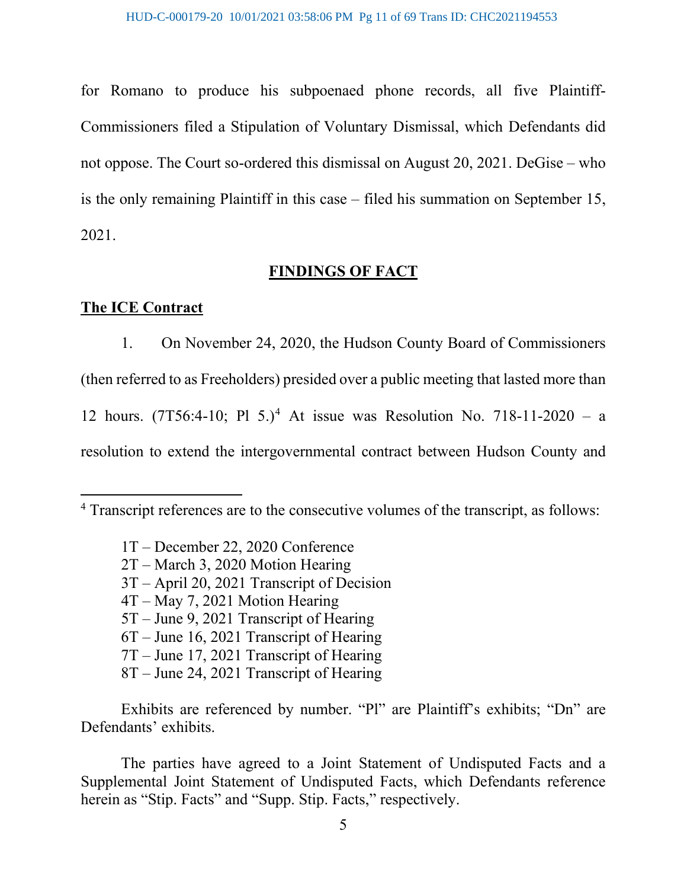for Romano to produce his subpoenaed phone records, all five Plaintiff-Commissioners filed a Stipulation of Voluntary Dismissal, which Defendants did not oppose. The Court so-ordered this dismissal on August 20, 2021. DeGise – who is the only remaining Plaintiff in this case – filed his summation on September 15, 2021.

#### **FINDINGS OF FACT**

#### **The ICE Contract**

1. On November 24, 2020, the Hudson County Board of Commissioners (then referred to as Freeholders) presided over a public meeting that lasted more than 12 hours. (7T56:[4](#page-10-0)-10; Pl 5.)<sup>4</sup> At issue was Resolution No. 718-11-2020 – a resolution to extend the intergovernmental contract between Hudson County and

- 1T December 22, 2020 Conference
- 2T March 3, 2020 Motion Hearing
- 3T April 20, 2021 Transcript of Decision
- 4T May 7, 2021 Motion Hearing
- 5T June 9, 2021 Transcript of Hearing
- 6T June 16, 2021 Transcript of Hearing
- 7T June 17, 2021 Transcript of Hearing
- 8T June 24, 2021 Transcript of Hearing

Exhibits are referenced by number. "Pl" are Plaintiff's exhibits; "Dn" are Defendants' exhibits.

The parties have agreed to a Joint Statement of Undisputed Facts and a Supplemental Joint Statement of Undisputed Facts, which Defendants reference herein as "Stip. Facts" and "Supp. Stip. Facts," respectively.

<span id="page-10-0"></span><sup>4</sup> Transcript references are to the consecutive volumes of the transcript, as follows: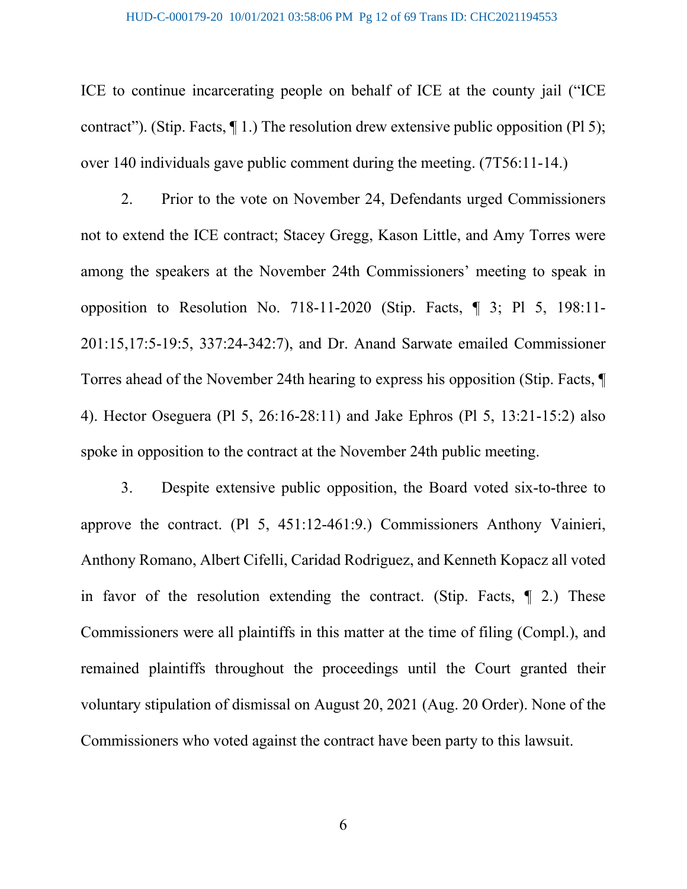#### HUD-C-000179-20 10/01/2021 03:58:06 PM Pg 12 of 69 Trans ID: CHC2021194553

ICE to continue incarcerating people on behalf of ICE at the county jail ("ICE contract"). (Stip. Facts, ¶ 1.) The resolution drew extensive public opposition (Pl 5); over 140 individuals gave public comment during the meeting. (7T56:11-14.)

2. Prior to the vote on November 24, Defendants urged Commissioners not to extend the ICE contract; Stacey Gregg, Kason Little, and Amy Torres were among the speakers at the November 24th Commissioners' meeting to speak in opposition to Resolution No. 718-11-2020 (Stip. Facts, ¶ 3; Pl 5, 198:11- 201:15,17:5-19:5, 337:24-342:7), and Dr. Anand Sarwate emailed Commissioner Torres ahead of the November 24th hearing to express his opposition (Stip. Facts, ¶ 4). Hector Oseguera (Pl 5, 26:16-28:11) and Jake Ephros (Pl 5, 13:21-15:2) also spoke in opposition to the contract at the November 24th public meeting.

3. Despite extensive public opposition, the Board voted six-to-three to approve the contract. (Pl 5, 451:12-461:9.) Commissioners Anthony Vainieri, Anthony Romano, Albert Cifelli, Caridad Rodriguez, and Kenneth Kopacz all voted in favor of the resolution extending the contract. (Stip. Facts, ¶ 2.) These Commissioners were all plaintiffs in this matter at the time of filing (Compl.), and remained plaintiffs throughout the proceedings until the Court granted their voluntary stipulation of dismissal on August 20, 2021 (Aug. 20 Order). None of the Commissioners who voted against the contract have been party to this lawsuit.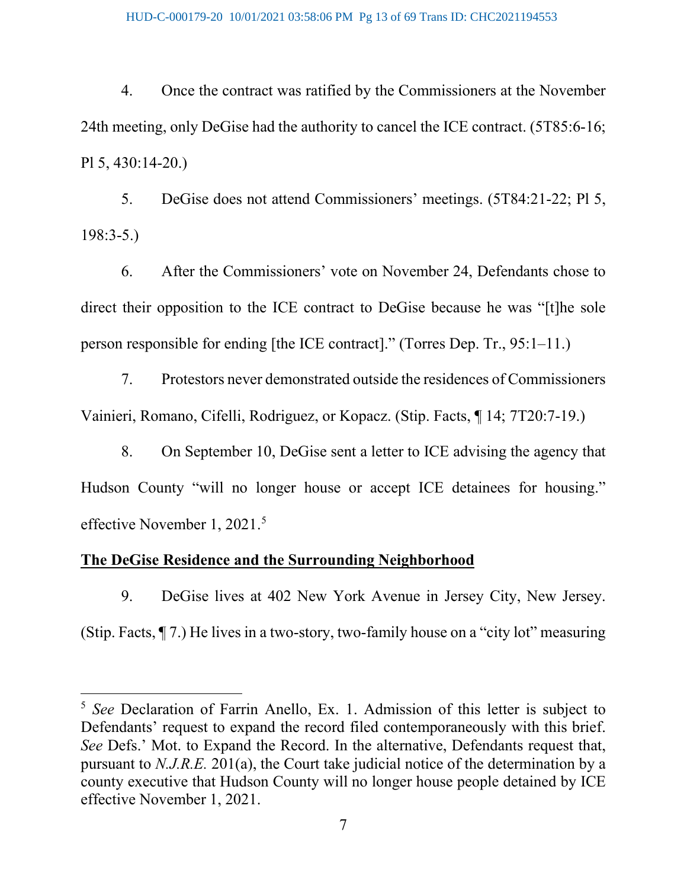4. Once the contract was ratified by the Commissioners at the November 24th meeting, only DeGise had the authority to cancel the ICE contract. (5T85:6-16; Pl 5, 430:14-20.)

5. DeGise does not attend Commissioners' meetings. (5T84:21-22; Pl 5, 198:3-5.)

6. After the Commissioners' vote on November 24, Defendants chose to direct their opposition to the ICE contract to DeGise because he was "[t]he sole person responsible for ending [the ICE contract]." (Torres Dep. Tr., 95:1–11.)

7. Protestors never demonstrated outside the residences of Commissioners Vainieri, Romano, Cifelli, Rodriguez, or Kopacz. (Stip. Facts, ¶ 14; 7T20:7-19.)

8. On September 10, DeGise sent a letter to ICE advising the agency that Hudson County "will no longer house or accept ICE detainees for housing." effective November 1, 2021.<sup>[5](#page-12-0)</sup>

#### **The DeGise Residence and the Surrounding Neighborhood**

9. DeGise lives at 402 New York Avenue in Jersey City, New Jersey.

(Stip. Facts, ¶ 7.) He lives in a two-story, two-family house on a "city lot" measuring

<span id="page-12-0"></span><sup>5</sup> *See* Declaration of Farrin Anello, Ex. 1. Admission of this letter is subject to Defendants' request to expand the record filed contemporaneously with this brief. *See* Defs.' Mot. to Expand the Record. In the alternative, Defendants request that, pursuant to *N.J.R.E.* 201(a), the Court take judicial notice of the determination by a county executive that Hudson County will no longer house people detained by ICE effective November 1, 2021.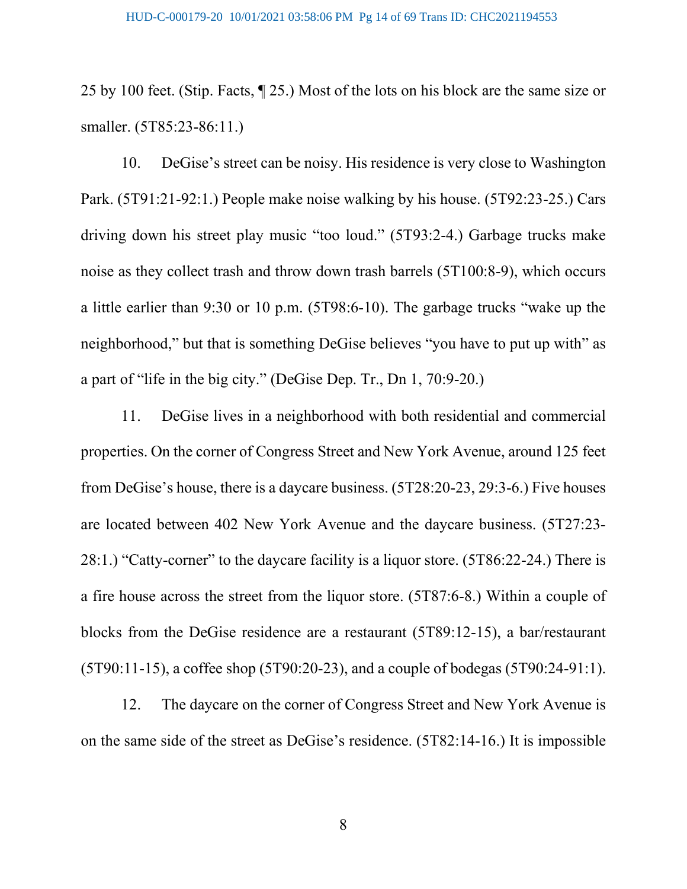25 by 100 feet. (Stip. Facts, ¶ 25.) Most of the lots on his block are the same size or smaller. (5T85:23-86:11.)

10. DeGise's street can be noisy. His residence is very close to Washington Park. (5T91:21-92:1.) People make noise walking by his house. (5T92:23-25.) Cars driving down his street play music "too loud." (5T93:2-4.) Garbage trucks make noise as they collect trash and throw down trash barrels (5T100:8-9), which occurs a little earlier than 9:30 or 10 p.m. (5T98:6-10). The garbage trucks "wake up the neighborhood," but that is something DeGise believes "you have to put up with" as a part of "life in the big city." (DeGise Dep. Tr., Dn 1, 70:9-20.)

11. DeGise lives in a neighborhood with both residential and commercial properties. On the corner of Congress Street and New York Avenue, around 125 feet from DeGise's house, there is a daycare business. (5T28:20-23, 29:3-6.) Five houses are located between 402 New York Avenue and the daycare business. (5T27:23- 28:1.) "Catty-corner" to the daycare facility is a liquor store. (5T86:22-24.) There is a fire house across the street from the liquor store. (5T87:6-8.) Within a couple of blocks from the DeGise residence are a restaurant (5T89:12-15), a bar/restaurant (5T90:11-15), a coffee shop (5T90:20-23), and a couple of bodegas (5T90:24-91:1).

12. The daycare on the corner of Congress Street and New York Avenue is on the same side of the street as DeGise's residence. (5T82:14-16.) It is impossible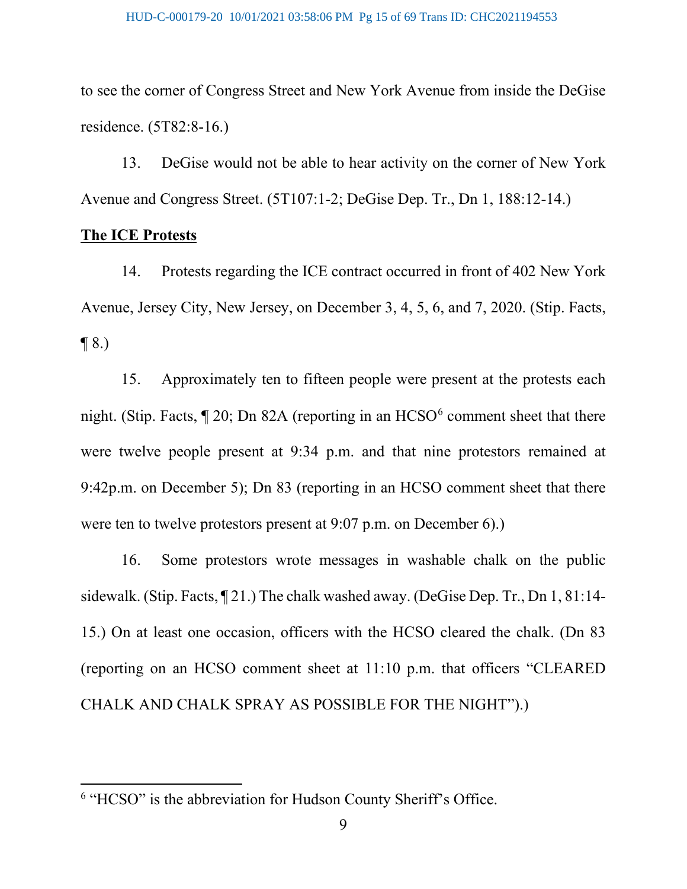to see the corner of Congress Street and New York Avenue from inside the DeGise residence. (5T82:8-16.)

13. DeGise would not be able to hear activity on the corner of New York Avenue and Congress Street. (5T107:1-2; DeGise Dep. Tr., Dn 1, 188:12-14.)

#### **The ICE Protests**

14. Protests regarding the ICE contract occurred in front of 402 New York Avenue, Jersey City, New Jersey, on December 3, 4, 5, 6, and 7, 2020. (Stip. Facts,  $\P$  8.)

15. Approximately ten to fifteen people were present at the protests each night. (Stip. Facts,  $\P$  20; Dn 82A (reporting in an HCSO $^6$  $^6$  comment sheet that there were twelve people present at 9:34 p.m. and that nine protestors remained at 9:42p.m. on December 5); Dn 83 (reporting in an HCSO comment sheet that there were ten to twelve protestors present at 9:07 p.m. on December 6).)

16. Some protestors wrote messages in washable chalk on the public sidewalk. (Stip. Facts, ¶ 21.) The chalk washed away. (DeGise Dep. Tr., Dn 1, 81:14- 15.) On at least one occasion, officers with the HCSO cleared the chalk. (Dn 83 (reporting on an HCSO comment sheet at 11:10 p.m. that officers "CLEARED CHALK AND CHALK SPRAY AS POSSIBLE FOR THE NIGHT").)

<span id="page-14-0"></span><sup>&</sup>lt;sup>6</sup> "HCSO" is the abbreviation for Hudson County Sheriff's Office.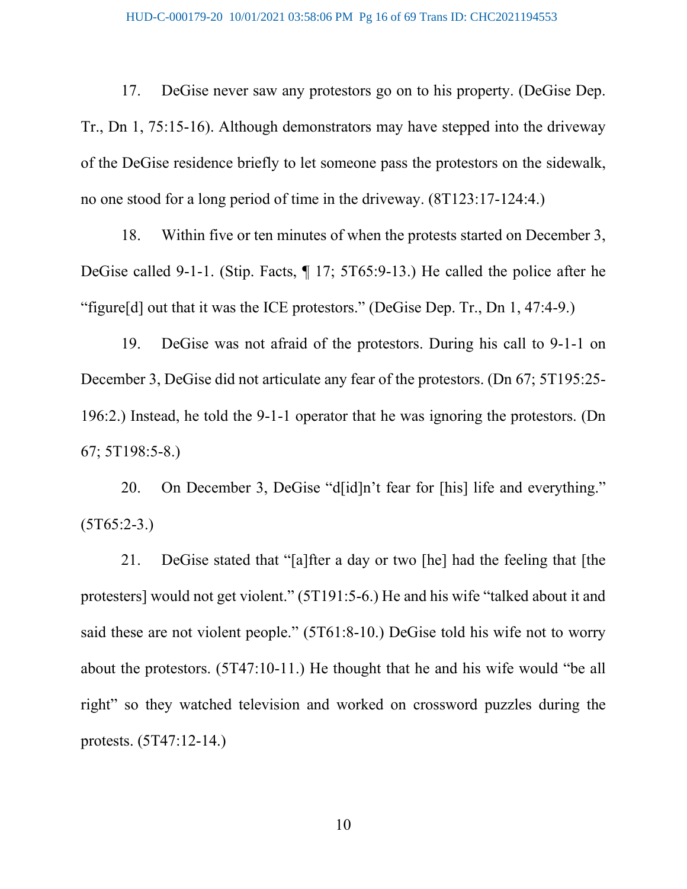17. DeGise never saw any protestors go on to his property. (DeGise Dep. Tr., Dn 1, 75:15-16). Although demonstrators may have stepped into the driveway of the DeGise residence briefly to let someone pass the protestors on the sidewalk, no one stood for a long period of time in the driveway. (8T123:17-124:4.)

18. Within five or ten minutes of when the protests started on December 3, DeGise called 9-1-1. (Stip. Facts, ¶ 17; 5T65:9-13.) He called the police after he "figure[d] out that it was the ICE protestors." (DeGise Dep. Tr., Dn 1, 47:4-9.)

19. DeGise was not afraid of the protestors. During his call to 9-1-1 on December 3, DeGise did not articulate any fear of the protestors. (Dn 67; 5T195:25- 196:2.) Instead, he told the 9-1-1 operator that he was ignoring the protestors. (Dn 67; 5T198:5-8.)

20. On December 3, DeGise "d[id]n't fear for [his] life and everything."  $(5T65:2-3.)$ 

21. DeGise stated that "[a]fter a day or two [he] had the feeling that [the protesters] would not get violent." (5T191:5-6.) He and his wife "talked about it and said these are not violent people." (5T61:8-10.) DeGise told his wife not to worry about the protestors. (5T47:10-11.) He thought that he and his wife would "be all right" so they watched television and worked on crossword puzzles during the protests. (5T47:12-14.)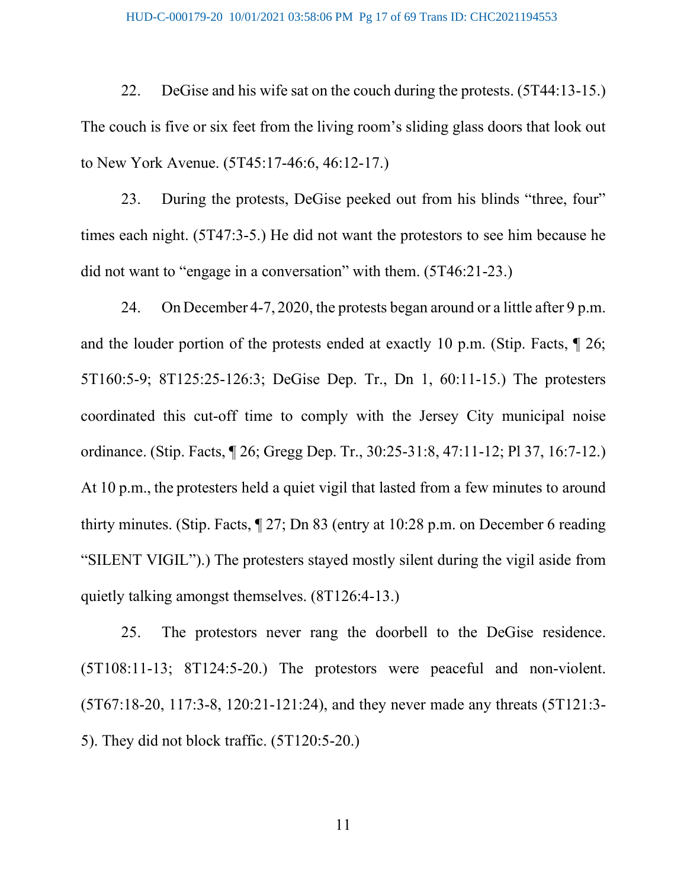#### HUD-C-000179-20 10/01/2021 03:58:06 PM Pg 17 of 69 Trans ID: CHC2021194553

22. DeGise and his wife sat on the couch during the protests. (5T44:13-15.) The couch is five or six feet from the living room's sliding glass doors that look out to New York Avenue. (5T45:17-46:6, 46:12-17.)

23. During the protests, DeGise peeked out from his blinds "three, four" times each night. (5T47:3-5.) He did not want the protestors to see him because he did not want to "engage in a conversation" with them. (5T46:21-23.)

24. On December 4-7, 2020, the protests began around or a little after 9 p.m. and the louder portion of the protests ended at exactly 10 p.m. (Stip. Facts, ¶ 26; 5T160:5-9; 8T125:25-126:3; DeGise Dep. Tr., Dn 1, 60:11-15.) The protesters coordinated this cut-off time to comply with the Jersey City municipal noise ordinance. (Stip. Facts, ¶ 26; Gregg Dep. Tr., 30:25-31:8, 47:11-12; Pl 37, 16:7-12.) At 10 p.m., the protesters held a quiet vigil that lasted from a few minutes to around thirty minutes. (Stip. Facts, ¶ 27; Dn 83 (entry at 10:28 p.m. on December 6 reading "SILENT VIGIL").) The protesters stayed mostly silent during the vigil aside from quietly talking amongst themselves. (8T126:4-13.)

25. The protestors never rang the doorbell to the DeGise residence. (5T108:11-13; 8T124:5-20.) The protestors were peaceful and non-violent. (5T67:18-20, 117:3-8, 120:21-121:24), and they never made any threats (5T121:3- 5). They did not block traffic. (5T120:5-20.)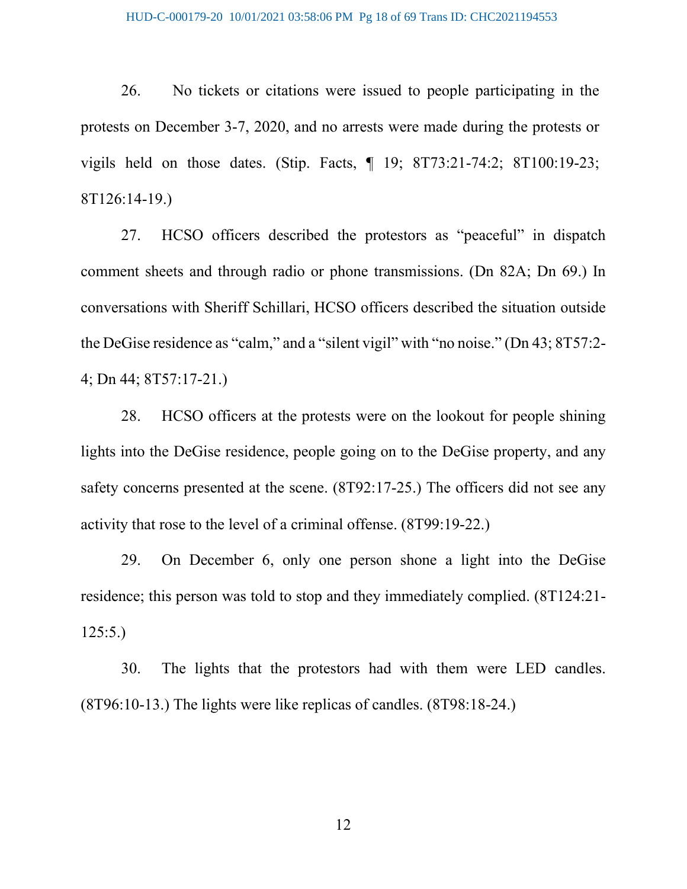#### HUD-C-000179-20 10/01/2021 03:58:06 PM Pg 18 of 69 Trans ID: CHC2021194553

26. No tickets or citations were issued to people participating in the protests on December 3-7, 2020, and no arrests were made during the protests or vigils held on those dates. (Stip. Facts, ¶ 19; 8T73:21-74:2; 8T100:19-23; 8T126:14-19.)

27. HCSO officers described the protestors as "peaceful" in dispatch comment sheets and through radio or phone transmissions. (Dn 82A; Dn 69.) In conversations with Sheriff Schillari, HCSO officers described the situation outside the DeGise residence as "calm," and a "silent vigil" with "no noise." (Dn 43; 8T57:2- 4; Dn 44; 8T57:17-21.)

28. HCSO officers at the protests were on the lookout for people shining lights into the DeGise residence, people going on to the DeGise property, and any safety concerns presented at the scene. (8T92:17-25.) The officers did not see any activity that rose to the level of a criminal offense. (8T99:19-22.)

29. On December 6, only one person shone a light into the DeGise residence; this person was told to stop and they immediately complied. (8T124:21- 125:5.)

30. The lights that the protestors had with them were LED candles. (8T96:10-13.) The lights were like replicas of candles. (8T98:18-24.)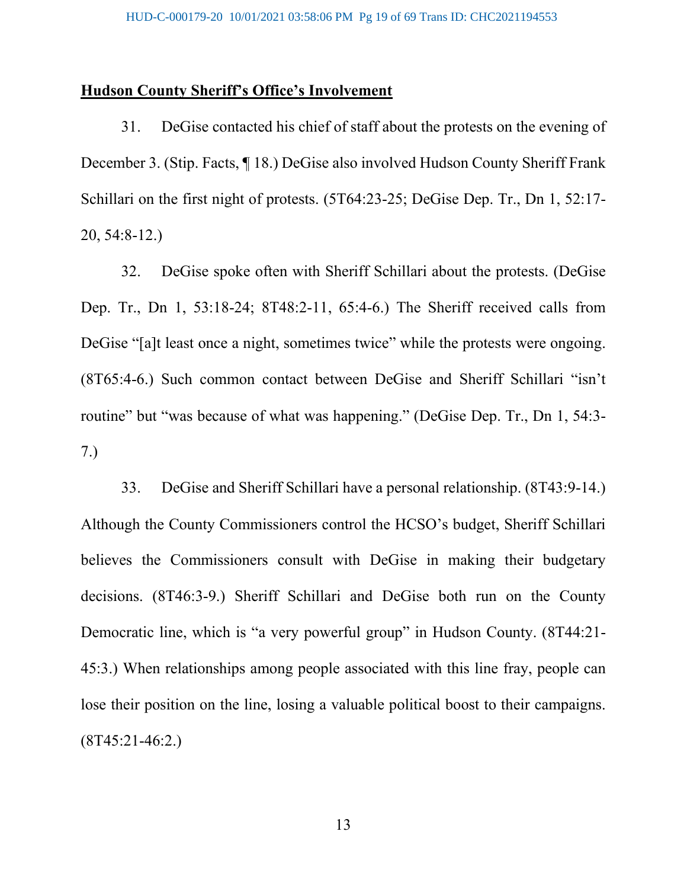#### **Hudson County Sheriff's Office's Involvement**

31. DeGise contacted his chief of staff about the protests on the evening of December 3. (Stip. Facts, ¶ 18.) DeGise also involved Hudson County Sheriff Frank Schillari on the first night of protests. (5T64:23-25; DeGise Dep. Tr., Dn 1, 52:17- 20, 54:8-12.)

32. DeGise spoke often with Sheriff Schillari about the protests. (DeGise Dep. Tr., Dn 1, 53:18-24; 8T48:2-11, 65:4-6.) The Sheriff received calls from DeGise "[a]t least once a night, sometimes twice" while the protests were ongoing. (8T65:4-6.) Such common contact between DeGise and Sheriff Schillari "isn't routine" but "was because of what was happening." (DeGise Dep. Tr., Dn 1, 54:3- 7.)

33. DeGise and Sheriff Schillari have a personal relationship. (8T43:9-14.) Although the County Commissioners control the HCSO's budget, Sheriff Schillari believes the Commissioners consult with DeGise in making their budgetary decisions. (8T46:3-9.) Sheriff Schillari and DeGise both run on the County Democratic line, which is "a very powerful group" in Hudson County. (8T44:21- 45:3.) When relationships among people associated with this line fray, people can lose their position on the line, losing a valuable political boost to their campaigns. (8T45:21-46:2.)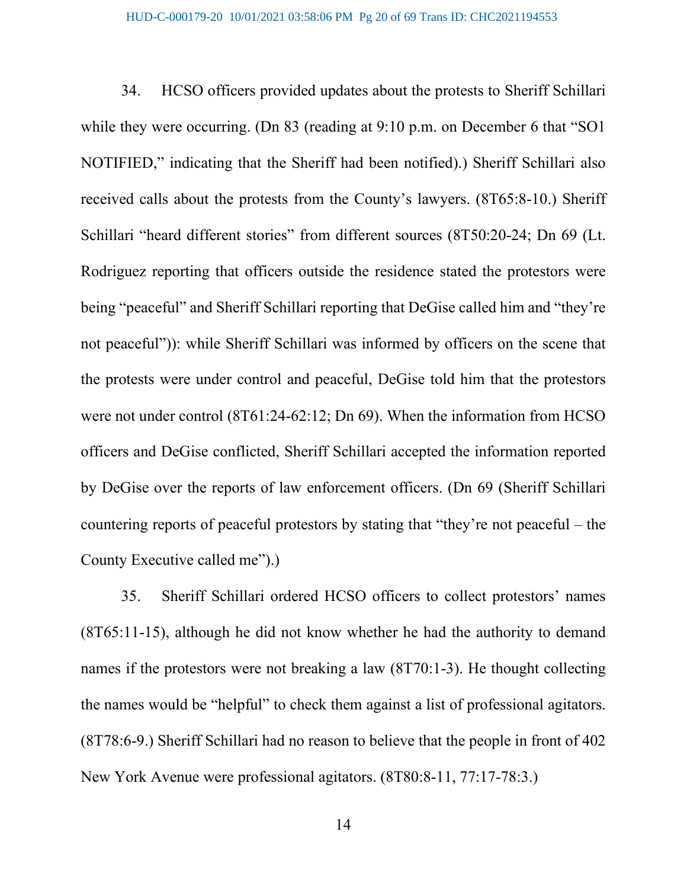34. HCSO officers provided updates about the protests to Sheriff Schillari while they were occurring. (Dn 83 (reading at 9:10 p.m. on December 6 that "SO1" NOTIFIED," indicating that the Sheriff had been notified).) Sheriff Schillari also received calls about the protests from the County's lawyers. (8T65:8-10.) Sheriff Schillari "heard different stories" from different sources (8T50:20-24; Dn 69 (Lt. Rodriguez reporting that officers outside the residence stated the protestors were being "peaceful" and Sheriff Schillari reporting that DeGise called him and "they're not peaceful")): while Sheriff Schillari was informed by officers on the scene that the protests were under control and peaceful, DeGise told him that the protestors were not under control (8T61:24-62:12; Dn 69). When the information from HCSO officers and DeGise conflicted, Sheriff Schillari accepted the information reported by DeGise over the reports of law enforcement officers. (Dn 69 (Sheriff Schillari countering reports of peaceful protestors by stating that "they're not peaceful – the County Executive called me").)

35. Sheriff Schillari ordered HCSO officers to collect protestors' names (8T65:11-15), although he did not know whether he had the authority to demand names if the protestors were not breaking a law (8T70:1-3). He thought collecting the names would be "helpful" to check them against a list of professional agitators. (8T78:6-9.) Sheriff Schillari had no reason to believe that the people in front of 402 New York Avenue were professional agitators. (8T80:8-11, 77:17-78:3.)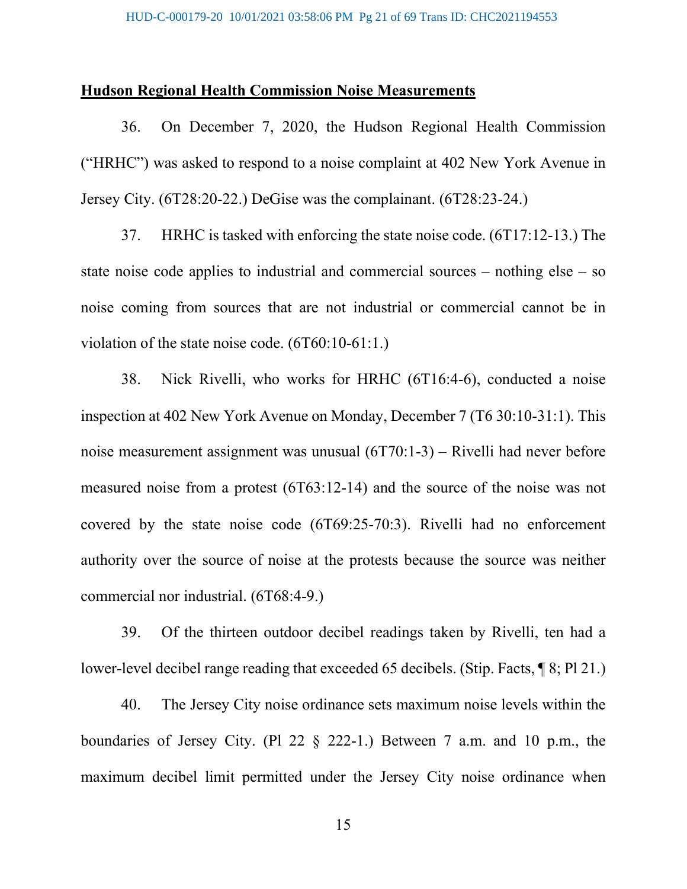#### **Hudson Regional Health Commission Noise Measurements**

36. On December 7, 2020, the Hudson Regional Health Commission ("HRHC") was asked to respond to a noise complaint at 402 New York Avenue in Jersey City. (6T28:20-22.) DeGise was the complainant. (6T28:23-24.)

37. HRHC is tasked with enforcing the state noise code. (6T17:12-13.) The state noise code applies to industrial and commercial sources – nothing else – so noise coming from sources that are not industrial or commercial cannot be in violation of the state noise code. (6T60:10-61:1.)

38. Nick Rivelli, who works for HRHC (6T16:4-6), conducted a noise inspection at 402 New York Avenue on Monday, December 7 (T6 30:10-31:1). This noise measurement assignment was unusual (6T70:1-3) – Rivelli had never before measured noise from a protest (6T63:12-14) and the source of the noise was not covered by the state noise code (6T69:25-70:3). Rivelli had no enforcement authority over the source of noise at the protests because the source was neither commercial nor industrial. (6T68:4-9.)

39. Of the thirteen outdoor decibel readings taken by Rivelli, ten had a lower-level decibel range reading that exceeded 65 decibels. (Stip. Facts, ¶ 8; Pl 21.)

40. The Jersey City noise ordinance sets maximum noise levels within the boundaries of Jersey City. (Pl 22 § 222-1.) Between 7 a.m. and 10 p.m., the maximum decibel limit permitted under the Jersey City noise ordinance when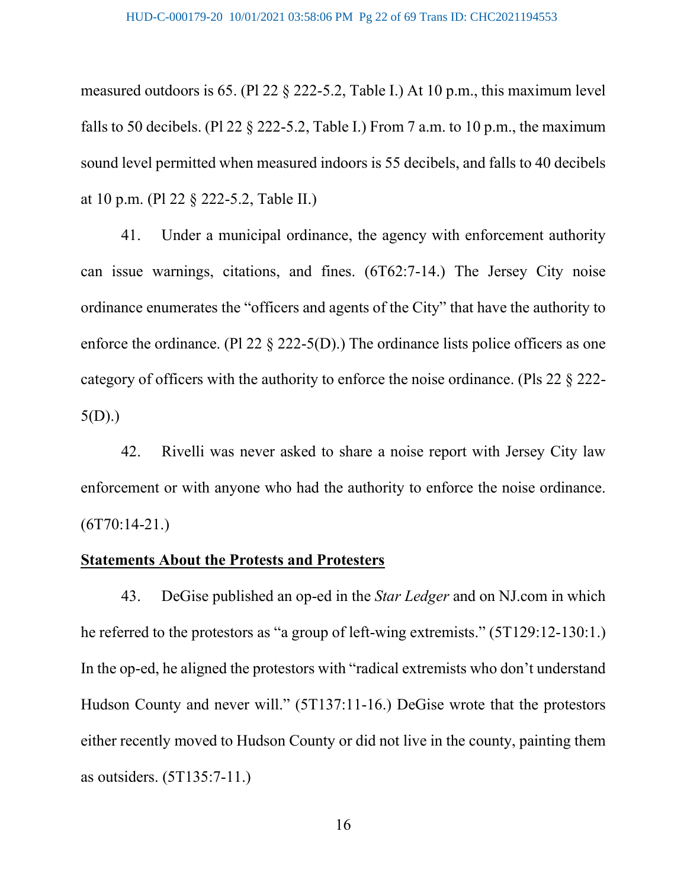measured outdoors is 65. (Pl 22 § 222-5.2, Table I.) At 10 p.m., this maximum level falls to 50 decibels. (Pl 22  $\S$  222-5.2, Table I.) From 7 a.m. to 10 p.m., the maximum sound level permitted when measured indoors is 55 decibels, and falls to 40 decibels at 10 p.m. (Pl 22 § 222-5.2, Table II.)

41. Under a municipal ordinance, the agency with enforcement authority can issue warnings, citations, and fines. (6T62:7-14.) The Jersey City noise ordinance enumerates the "officers and agents of the City" that have the authority to enforce the ordinance. (Pl 22 § 222-5(D).) The ordinance lists police officers as one category of officers with the authority to enforce the noise ordinance. (Pls 22 § 222- 5(D).)

42. Rivelli was never asked to share a noise report with Jersey City law enforcement or with anyone who had the authority to enforce the noise ordinance.  $(6T70:14-21.)$ 

#### **Statements About the Protests and Protesters**

43. DeGise published an op-ed in the *Star Ledger* and on NJ.com in which he referred to the protestors as "a group of left-wing extremists." (5T129:12-130:1.) In the op-ed, he aligned the protestors with "radical extremists who don't understand Hudson County and never will." (5T137:11-16.) DeGise wrote that the protestors either recently moved to Hudson County or did not live in the county, painting them as outsiders. (5T135:7-11.)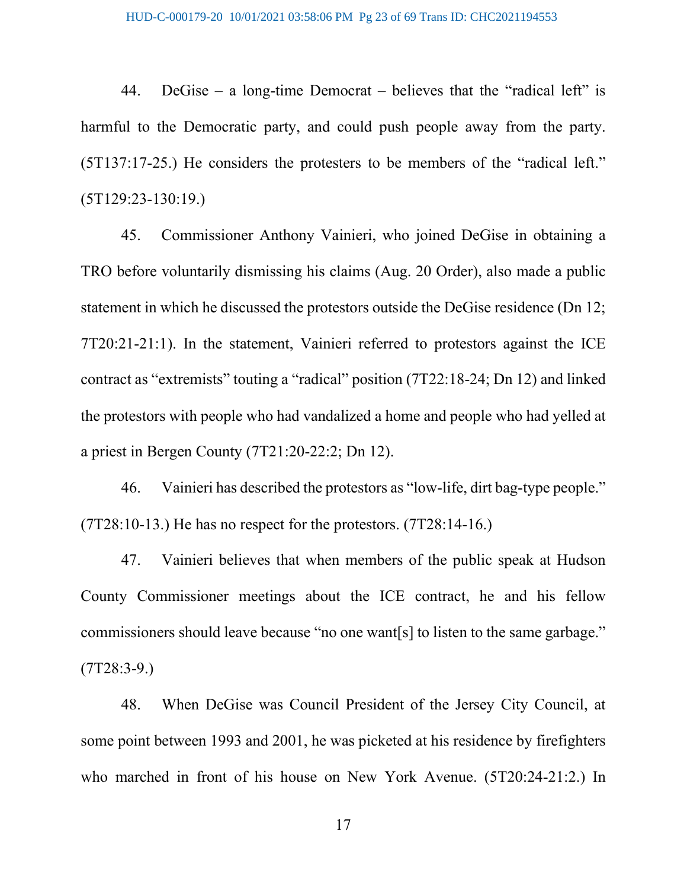44. DeGise – a long-time Democrat – believes that the "radical left" is harmful to the Democratic party, and could push people away from the party. (5T137:17-25.) He considers the protesters to be members of the "radical left." (5T129:23-130:19.)

45. Commissioner Anthony Vainieri, who joined DeGise in obtaining a TRO before voluntarily dismissing his claims (Aug. 20 Order), also made a public statement in which he discussed the protestors outside the DeGise residence (Dn 12; 7T20:21-21:1). In the statement, Vainieri referred to protestors against the ICE contract as "extremists" touting a "radical" position (7T22:18-24; Dn 12) and linked the protestors with people who had vandalized a home and people who had yelled at a priest in Bergen County (7T21:20-22:2; Dn 12).

46. Vainieri has described the protestors as "low-life, dirt bag-type people." (7T28:10-13.) He has no respect for the protestors. (7T28:14-16.)

47. Vainieri believes that when members of the public speak at Hudson County Commissioner meetings about the ICE contract, he and his fellow commissioners should leave because "no one want[s] to listen to the same garbage."  $(TT28:3-9)$ 

48. When DeGise was Council President of the Jersey City Council, at some point between 1993 and 2001, he was picketed at his residence by firefighters who marched in front of his house on New York Avenue. (5T20:24-21:2.) In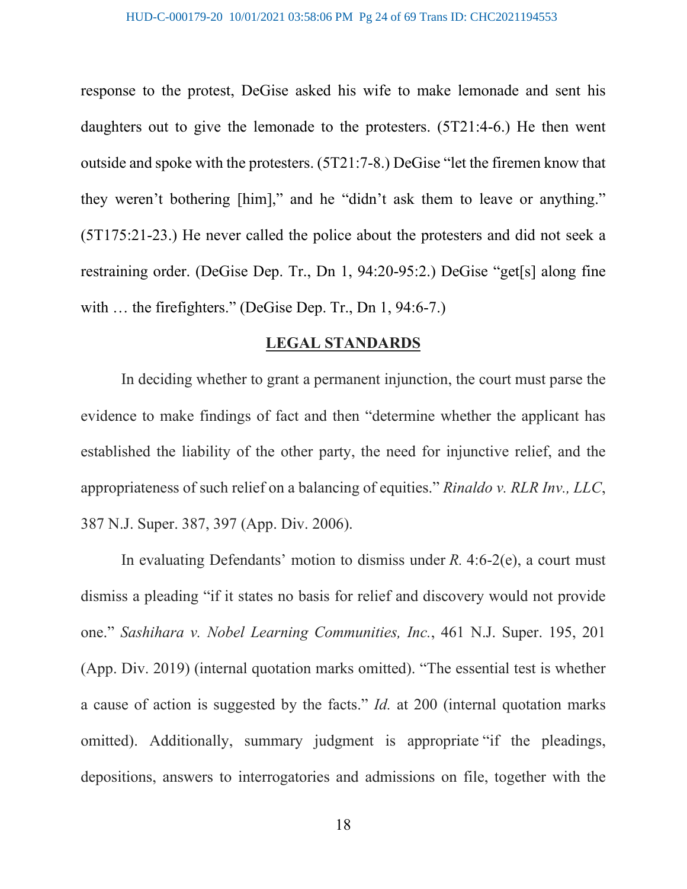response to the protest, DeGise asked his wife to make lemonade and sent his daughters out to give the lemonade to the protesters. (5T21:4-6.) He then went outside and spoke with the protesters. (5T21:7-8.) DeGise "let the firemen know that they weren't bothering [him]," and he "didn't ask them to leave or anything." (5T175:21-23.) He never called the police about the protesters and did not seek a restraining order. (DeGise Dep. Tr., Dn 1, 94:20-95:2.) DeGise "get[s] along fine with ... the firefighters." (DeGise Dep. Tr., Dn 1, 94:6-7.)

#### **LEGAL STANDARDS**

In deciding whether to grant a permanent injunction, the court must parse the evidence to make findings of fact and then "determine whether the applicant has established the liability of the other party, the need for injunctive relief, and the appropriateness of such relief on a balancing of equities." *Rinaldo v. RLR Inv., LLC*, 387 N.J. Super. 387, 397 (App. Div. 2006).

In evaluating Defendants' motion to dismiss under *R.* 4:6-2(e), a court must dismiss a pleading "if it states no basis for relief and discovery would not provide one." *Sashihara v. Nobel Learning Communities, Inc.*, 461 N.J. Super. 195, 201 (App. Div. 2019) (internal quotation marks omitted). "The essential test is whether a cause of action is suggested by the facts." *Id.* at 200 (internal quotation marks omitted). Additionally, summary judgment is appropriate "if the pleadings, depositions, answers to interrogatories and admissions on file, together with the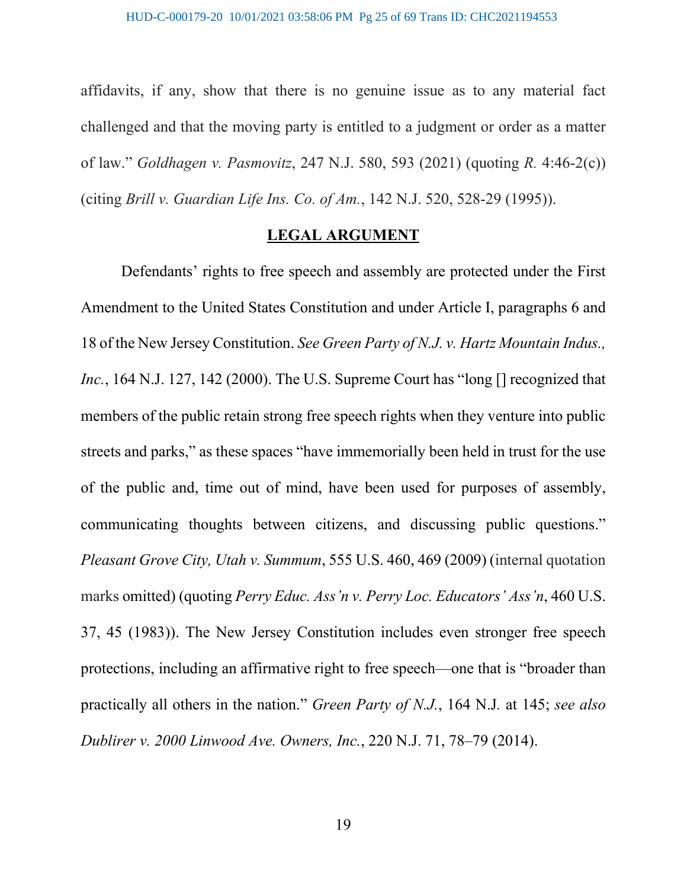affidavits, if any, show that there is no genuine issue as to any material fact challenged and that the moving party is entitled to a judgment or order as a matter of law." *Goldhagen v. Pasmovitz*, 247 N.J. 580, 593 (2021) (quoting *R.* 4:46-2(c)) (citing *Brill v. Guardian Life Ins. Co. of Am.*, 142 N.J. 520, 528-29 (1995)).

### **LEGAL ARGUMENT**

Defendants' rights to free speech and assembly are protected under the First Amendment to the United States Constitution and under Article I, paragraphs 6 and 18 of the New Jersey Constitution. *See Green Party of N.J. v. Hartz Mountain Indus., Inc.*, 164 N.J. 127, 142 (2000). The U.S. Supreme Court has "long [] recognized that members of the public retain strong free speech rights when they venture into public streets and parks," as these spaces "have immemorially been held in trust for the use of the public and, time out of mind, have been used for purposes of assembly, communicating thoughts between citizens, and discussing public questions." *Pleasant Grove City, Utah v. Summum*, 555 U.S. 460, 469 (2009) (internal quotation marks omitted) (quoting *Perry Educ. Ass'n v. Perry Loc. Educators' Ass'n*, 460 U.S. 37, 45 (1983)). The New Jersey Constitution includes even stronger free speech protections, including an affirmative right to free speech—one that is "broader than practically all others in the nation." *Green Party of N.J.*, 164 N.J*.* at 145; *see also Dublirer v. 2000 Linwood Ave. Owners, Inc.*, 220 N.J. 71, 78–79 (2014).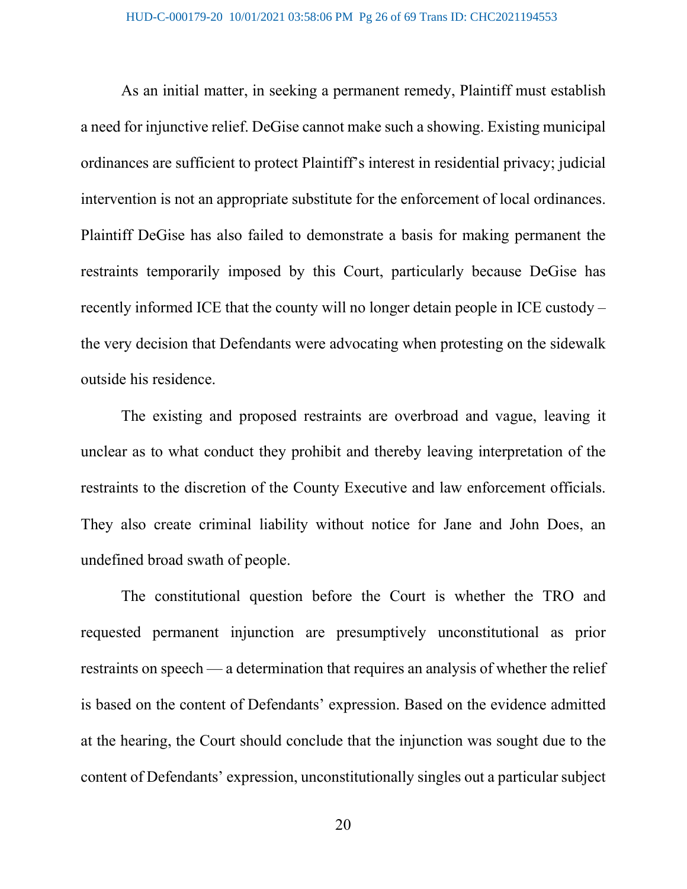As an initial matter, in seeking a permanent remedy, Plaintiff must establish a need for injunctive relief. DeGise cannot make such a showing. Existing municipal ordinances are sufficient to protect Plaintiff's interest in residential privacy; judicial intervention is not an appropriate substitute for the enforcement of local ordinances. Plaintiff DeGise has also failed to demonstrate a basis for making permanent the restraints temporarily imposed by this Court, particularly because DeGise has recently informed ICE that the county will no longer detain people in ICE custody – the very decision that Defendants were advocating when protesting on the sidewalk outside his residence.

The existing and proposed restraints are overbroad and vague, leaving it unclear as to what conduct they prohibit and thereby leaving interpretation of the restraints to the discretion of the County Executive and law enforcement officials. They also create criminal liability without notice for Jane and John Does, an undefined broad swath of people.

The constitutional question before the Court is whether the TRO and requested permanent injunction are presumptively unconstitutional as prior restraints on speech — a determination that requires an analysis of whether the relief is based on the content of Defendants' expression. Based on the evidence admitted at the hearing, the Court should conclude that the injunction was sought due to the content of Defendants' expression, unconstitutionally singles out a particular subject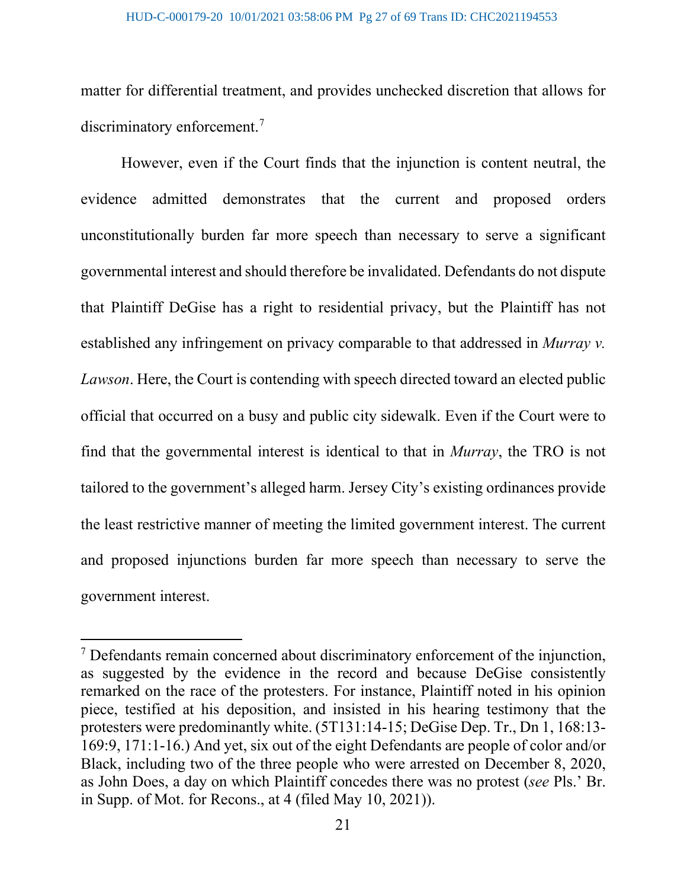#### HUD-C-000179-20 10/01/2021 03:58:06 PM Pg 27 of 69 Trans ID: CHC2021194553

matter for differential treatment, and provides unchecked discretion that allows for discriminatory enforcement.<sup>[7](#page-26-0)</sup>

However, even if the Court finds that the injunction is content neutral, the evidence admitted demonstrates that the current and proposed orders unconstitutionally burden far more speech than necessary to serve a significant governmental interest and should therefore be invalidated. Defendants do not dispute that Plaintiff DeGise has a right to residential privacy, but the Plaintiff has not established any infringement on privacy comparable to that addressed in *Murray v. Lawson*. Here, the Court is contending with speech directed toward an elected public official that occurred on a busy and public city sidewalk. Even if the Court were to find that the governmental interest is identical to that in *Murray*, the TRO is not tailored to the government's alleged harm. Jersey City's existing ordinances provide the least restrictive manner of meeting the limited government interest. The current and proposed injunctions burden far more speech than necessary to serve the government interest.

<span id="page-26-0"></span> $<sup>7</sup>$  Defendants remain concerned about discriminatory enforcement of the injunction,</sup> as suggested by the evidence in the record and because DeGise consistently remarked on the race of the protesters. For instance, Plaintiff noted in his opinion piece, testified at his deposition, and insisted in his hearing testimony that the protesters were predominantly white. (5T131:14-15; DeGise Dep. Tr., Dn 1, 168:13- 169:9, 171:1-16.) And yet, six out of the eight Defendants are people of color and/or Black, including two of the three people who were arrested on December 8, 2020, as John Does, a day on which Plaintiff concedes there was no protest (*see* Pls.' Br. in Supp. of Mot. for Recons., at 4 (filed May 10, 2021)).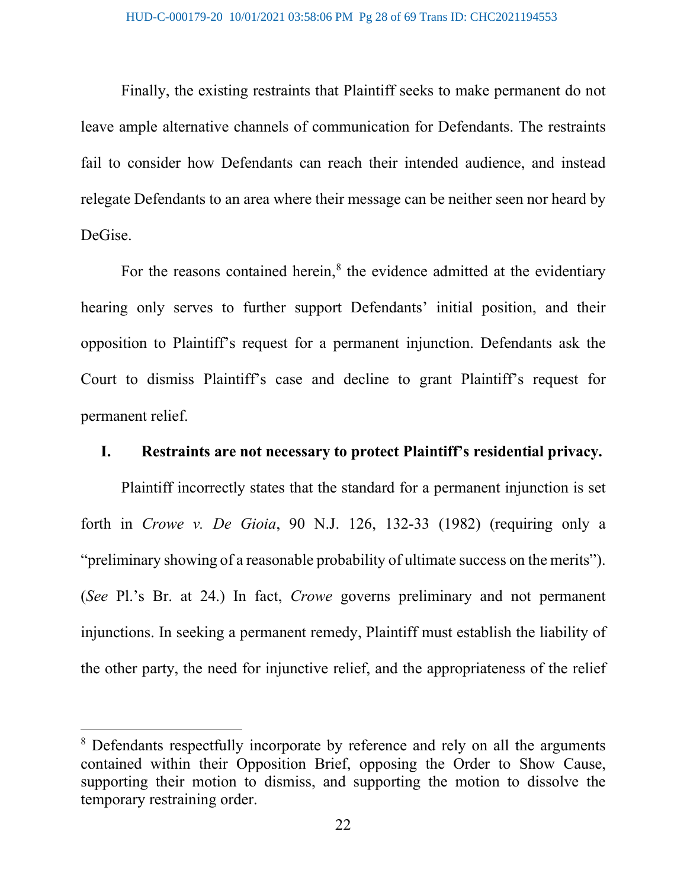Finally, the existing restraints that Plaintiff seeks to make permanent do not leave ample alternative channels of communication for Defendants. The restraints fail to consider how Defendants can reach their intended audience, and instead relegate Defendants to an area where their message can be neither seen nor heard by DeGise.

For the reasons contained herein, $<sup>8</sup>$  $<sup>8</sup>$  $<sup>8</sup>$  the evidence admitted at the evidentiary</sup> hearing only serves to further support Defendants' initial position, and their opposition to Plaintiff's request for a permanent injunction. Defendants ask the Court to dismiss Plaintiff's case and decline to grant Plaintiff's request for permanent relief.

### **I. Restraints are not necessary to protect Plaintiff's residential privacy.**

Plaintiff incorrectly states that the standard for a permanent injunction is set forth in *Crowe v. De Gioia*, 90 N.J. 126, 132-33 (1982) (requiring only a "preliminary showing of a reasonable probability of ultimate success on the merits"). (*See* Pl.'s Br. at 24.) In fact, *Crowe* governs preliminary and not permanent injunctions. In seeking a permanent remedy, Plaintiff must establish the liability of the other party, the need for injunctive relief, and the appropriateness of the relief

<span id="page-27-0"></span><sup>8</sup> Defendants respectfully incorporate by reference and rely on all the arguments contained within their Opposition Brief, opposing the Order to Show Cause, supporting their motion to dismiss, and supporting the motion to dissolve the temporary restraining order.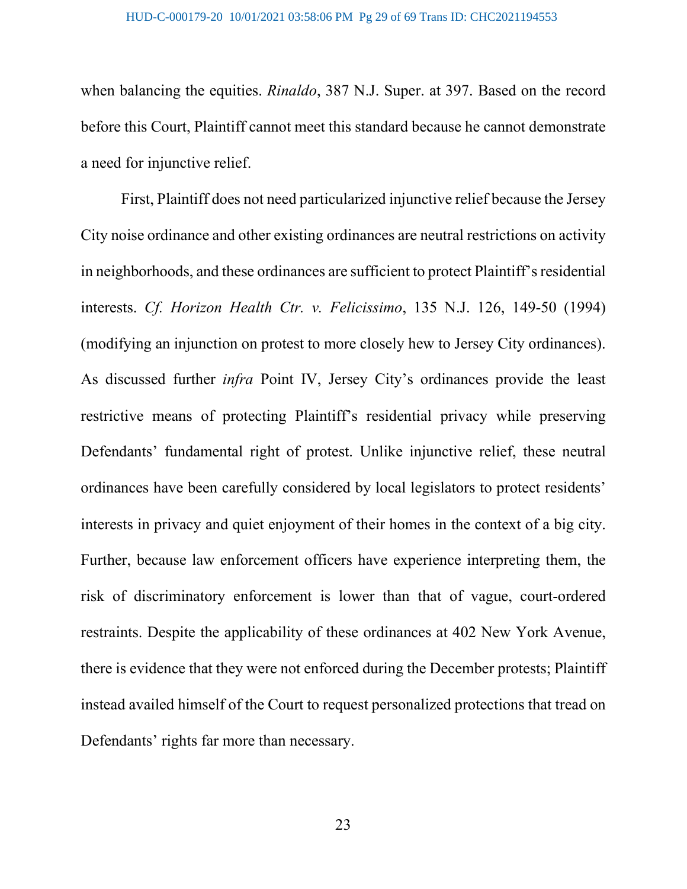when balancing the equities. *Rinaldo*, 387 N.J. Super. at 397. Based on the record before this Court, Plaintiff cannot meet this standard because he cannot demonstrate a need for injunctive relief.

First, Plaintiff does not need particularized injunctive relief because the Jersey City noise ordinance and other existing ordinances are neutral restrictions on activity in neighborhoods, and these ordinances are sufficient to protect Plaintiff's residential interests. *Cf. Horizon Health Ctr. v. Felicissimo*, 135 N.J. 126, 149-50 (1994) (modifying an injunction on protest to more closely hew to Jersey City ordinances). As discussed further *infra* Point IV, Jersey City's ordinances provide the least restrictive means of protecting Plaintiff's residential privacy while preserving Defendants' fundamental right of protest. Unlike injunctive relief, these neutral ordinances have been carefully considered by local legislators to protect residents' interests in privacy and quiet enjoyment of their homes in the context of a big city. Further, because law enforcement officers have experience interpreting them, the risk of discriminatory enforcement is lower than that of vague, court-ordered restraints. Despite the applicability of these ordinances at 402 New York Avenue, there is evidence that they were not enforced during the December protests; Plaintiff instead availed himself of the Court to request personalized protections that tread on Defendants' rights far more than necessary.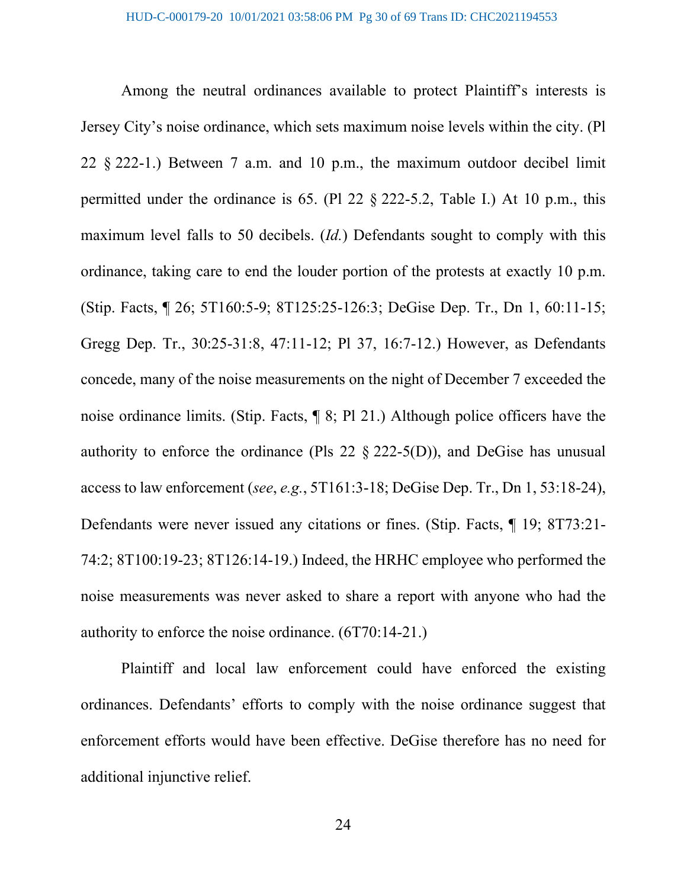Among the neutral ordinances available to protect Plaintiff's interests is Jersey City's noise ordinance, which sets maximum noise levels within the city. (Pl 22 § 222-1.) Between 7 a.m. and 10 p.m., the maximum outdoor decibel limit permitted under the ordinance is 65. (Pl 22 § 222-5.2, Table I.) At 10 p.m., this maximum level falls to 50 decibels. (*Id.*) Defendants sought to comply with this ordinance, taking care to end the louder portion of the protests at exactly 10 p.m. (Stip. Facts, ¶ 26; 5T160:5-9; 8T125:25-126:3; DeGise Dep. Tr., Dn 1, 60:11-15; Gregg Dep. Tr., 30:25-31:8, 47:11-12; Pl 37, 16:7-12.) However, as Defendants concede, many of the noise measurements on the night of December 7 exceeded the noise ordinance limits. (Stip. Facts, ¶ 8; Pl 21.) Although police officers have the authority to enforce the ordinance (Pls 22  $\&$  222-5(D)), and DeGise has unusual access to law enforcement (*see*, *e.g.*, 5T161:3-18; DeGise Dep. Tr., Dn 1, 53:18-24), Defendants were never issued any citations or fines. (Stip. Facts, ¶ 19; 8T73:21- 74:2; 8T100:19-23; 8T126:14-19.) Indeed, the HRHC employee who performed the noise measurements was never asked to share a report with anyone who had the authority to enforce the noise ordinance. (6T70:14-21.)

Plaintiff and local law enforcement could have enforced the existing ordinances. Defendants' efforts to comply with the noise ordinance suggest that enforcement efforts would have been effective. DeGise therefore has no need for additional injunctive relief.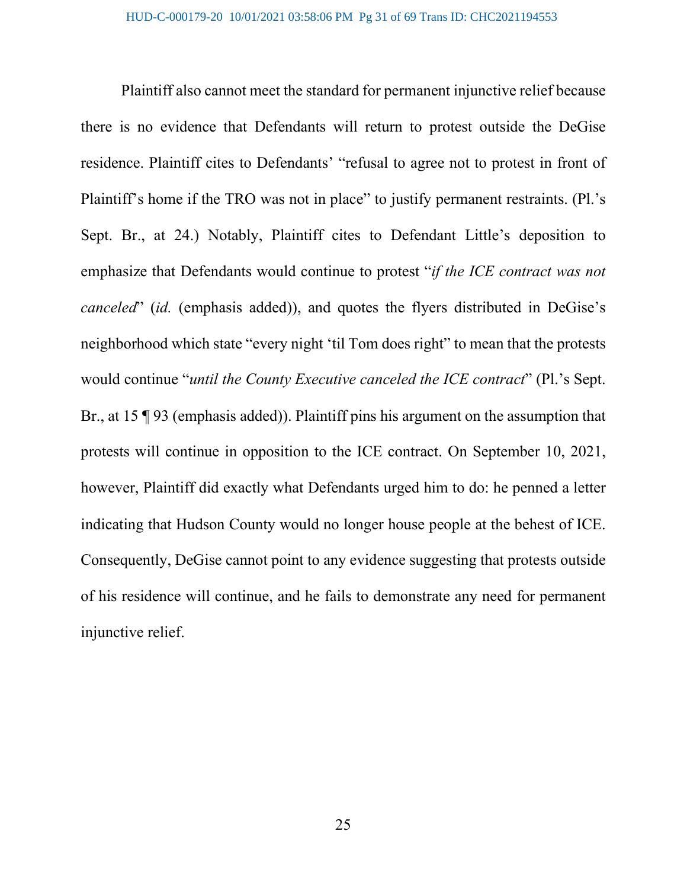Plaintiff also cannot meet the standard for permanent injunctive relief because there is no evidence that Defendants will return to protest outside the DeGise residence. Plaintiff cites to Defendants' "refusal to agree not to protest in front of Plaintiff's home if the TRO was not in place" to justify permanent restraints. (Pl.'s Sept. Br., at 24.) Notably, Plaintiff cites to Defendant Little's deposition to emphasize that Defendants would continue to protest "*if the ICE contract was not canceled*" (*id.* (emphasis added)), and quotes the flyers distributed in DeGise's neighborhood which state "every night 'til Tom does right" to mean that the protests would continue "*until the County Executive canceled the ICE contract*" (Pl.'s Sept. Br., at 15 ¶ 93 (emphasis added)). Plaintiff pins his argument on the assumption that protests will continue in opposition to the ICE contract. On September 10, 2021, however, Plaintiff did exactly what Defendants urged him to do: he penned a letter indicating that Hudson County would no longer house people at the behest of ICE. Consequently, DeGise cannot point to any evidence suggesting that protests outside of his residence will continue, and he fails to demonstrate any need for permanent injunctive relief.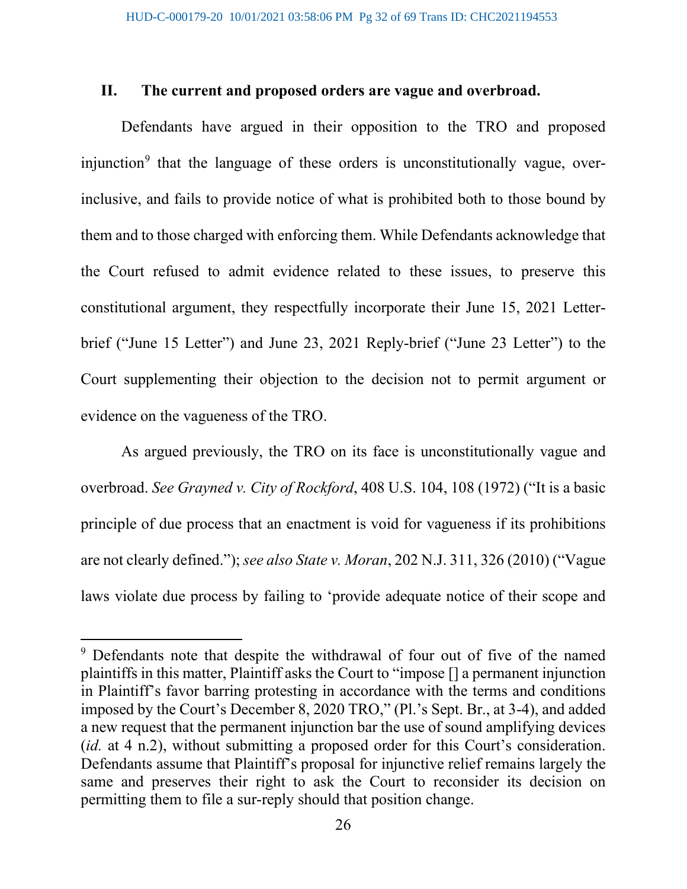### **II. The current and proposed orders are vague and overbroad.**

Defendants have argued in their opposition to the TRO and proposed injunction<sup>[9](#page-31-0)</sup> that the language of these orders is unconstitutionally vague, overinclusive, and fails to provide notice of what is prohibited both to those bound by them and to those charged with enforcing them. While Defendants acknowledge that the Court refused to admit evidence related to these issues, to preserve this constitutional argument, they respectfully incorporate their June 15, 2021 Letterbrief ("June 15 Letter") and June 23, 2021 Reply-brief ("June 23 Letter") to the Court supplementing their objection to the decision not to permit argument or evidence on the vagueness of the TRO.

As argued previously, the TRO on its face is unconstitutionally vague and overbroad. *See Grayned v. City of Rockford*, 408 U.S. 104, 108 (1972) ("It is a basic principle of due process that an enactment is void for vagueness if its prohibitions are not clearly defined."); *see also State v. Moran*, 202 N.J. 311, 326 (2010) ("Vague laws violate due process by failing to 'provide adequate notice of their scope and

<span id="page-31-0"></span><sup>&</sup>lt;sup>9</sup> Defendants note that despite the withdrawal of four out of five of the named plaintiffs in this matter, Plaintiff asks the Court to "impose [] a permanent injunction in Plaintiff's favor barring protesting in accordance with the terms and conditions imposed by the Court's December 8, 2020 TRO," (Pl.'s Sept. Br., at 3-4), and added a new request that the permanent injunction bar the use of sound amplifying devices (*id.* at 4 n.2), without submitting a proposed order for this Court's consideration. Defendants assume that Plaintiff's proposal for injunctive relief remains largely the same and preserves their right to ask the Court to reconsider its decision on permitting them to file a sur-reply should that position change.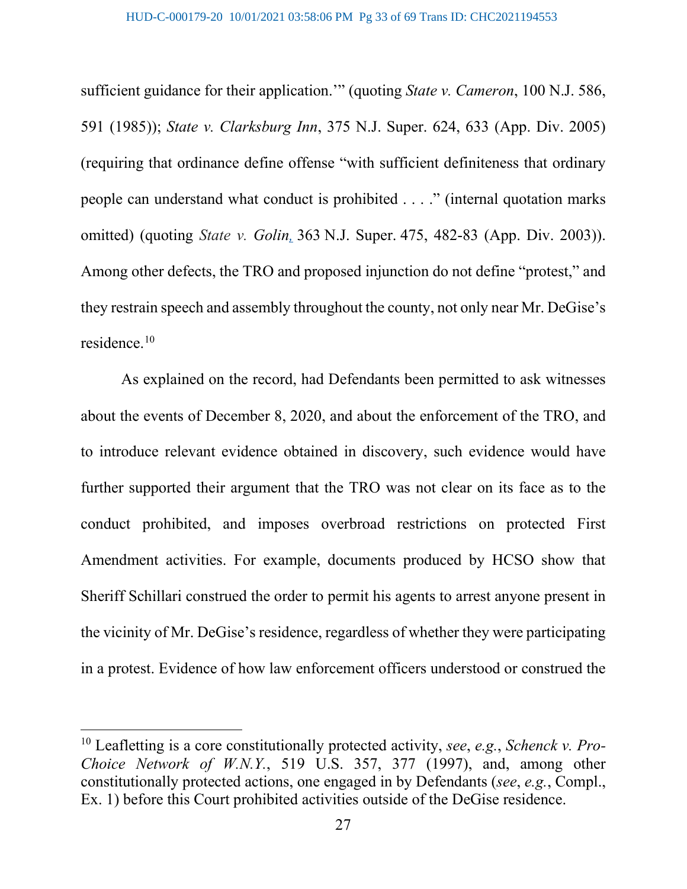sufficient guidance for their application.'" (quoting *State v. Cameron*, 100 N.J. 586, 591 (1985)); *State v. Clarksburg Inn*, 375 N.J. Super. 624, 633 (App. Div. 2005) (requiring that ordinance define offense "with sufficient definiteness that ordinary people can understand what conduct is prohibited . . . ." (internal quotation marks omitted) (quoting *State v. Golin,* 363 N.J. Super. 475, 482-83 (App. Div. 2003)). Among other defects, the TRO and proposed injunction do not define "protest," and they restrain speech and assembly throughout the county, not only near Mr. DeGise's residence.[10](#page-32-0)

As explained on the record, had Defendants been permitted to ask witnesses about the events of December 8, 2020, and about the enforcement of the TRO, and to introduce relevant evidence obtained in discovery, such evidence would have further supported their argument that the TRO was not clear on its face as to the conduct prohibited, and imposes overbroad restrictions on protected First Amendment activities. For example, documents produced by HCSO show that Sheriff Schillari construed the order to permit his agents to arrest anyone present in the vicinity of Mr. DeGise's residence, regardless of whether they were participating in a protest. Evidence of how law enforcement officers understood or construed the

<span id="page-32-0"></span><sup>10</sup> Leafletting is a core constitutionally protected activity, *see*, *e.g.*, *Schenck v. Pro-Choice Network of W.N.Y.*, 519 U.S. 357, 377 (1997), and, among other constitutionally protected actions, one engaged in by Defendants (*see*, *e.g.*, Compl., Ex. 1) before this Court prohibited activities outside of the DeGise residence.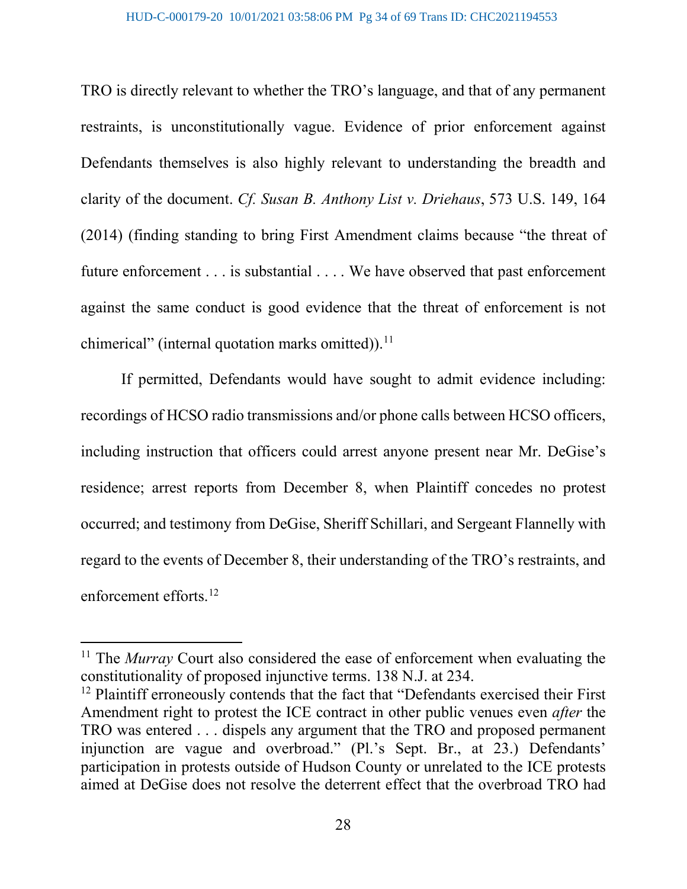TRO is directly relevant to whether the TRO's language, and that of any permanent restraints, is unconstitutionally vague. Evidence of prior enforcement against Defendants themselves is also highly relevant to understanding the breadth and clarity of the document. *Cf. Susan B. Anthony List v. Driehaus*, 573 U.S. 149, 164 (2014) (finding standing to bring First Amendment claims because "the threat of future enforcement . . . is substantial . . . . We have observed that past enforcement against the same conduct is good evidence that the threat of enforcement is not chimerical" (internal quotation marks omitted)).<sup>[11](#page-33-0)</sup>

If permitted, Defendants would have sought to admit evidence including: recordings of HCSO radio transmissions and/or phone calls between HCSO officers, including instruction that officers could arrest anyone present near Mr. DeGise's residence; arrest reports from December 8, when Plaintiff concedes no protest occurred; and testimony from DeGise, Sheriff Schillari, and Sergeant Flannelly with regard to the events of December 8, their understanding of the TRO's restraints, and enforcement efforts.[12](#page-33-1)

<span id="page-33-0"></span><sup>&</sup>lt;sup>11</sup> The *Murray* Court also considered the ease of enforcement when evaluating the constitutionality of proposed injunctive terms. 138 N.J. at 234.

<span id="page-33-1"></span><sup>&</sup>lt;sup>12</sup> Plaintiff erroneously contends that the fact that "Defendants exercised their First Amendment right to protest the ICE contract in other public venues even *after* the TRO was entered . . . dispels any argument that the TRO and proposed permanent injunction are vague and overbroad." (Pl.'s Sept. Br., at 23.) Defendants' participation in protests outside of Hudson County or unrelated to the ICE protests aimed at DeGise does not resolve the deterrent effect that the overbroad TRO had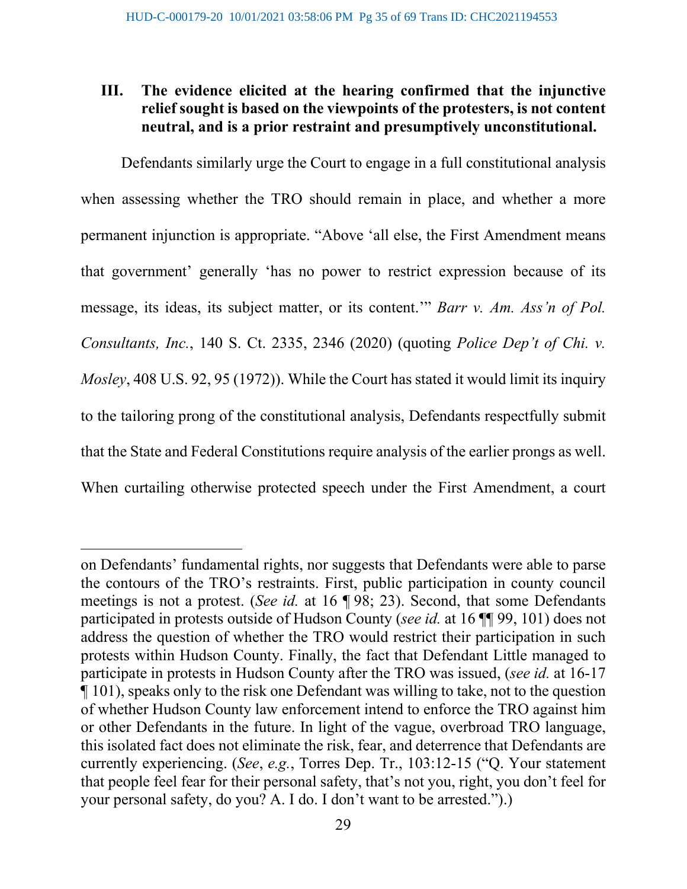# **III. The evidence elicited at the hearing confirmed that the injunctive relief sought is based on the viewpoints of the protesters, is not content neutral, and is a prior restraint and presumptively unconstitutional.**

Defendants similarly urge the Court to engage in a full constitutional analysis when assessing whether the TRO should remain in place, and whether a more permanent injunction is appropriate. "Above 'all else, the First Amendment means that government' generally 'has no power to restrict expression because of its message, its ideas, its subject matter, or its content.'" *Barr v. Am. Ass'n of Pol. Consultants, Inc.*, 140 S. Ct. 2335, 2346 (2020) (quoting *Police Dep't of Chi. v. Mosley*, 408 U.S. 92, 95 (1972)). While the Court has stated it would limit its inquiry to the tailoring prong of the constitutional analysis, Defendants respectfully submit that the State and Federal Constitutions require analysis of the earlier prongs as well. When curtailing otherwise protected speech under the First Amendment, a court

on Defendants' fundamental rights, nor suggests that Defendants were able to parse the contours of the TRO's restraints. First, public participation in county council meetings is not a protest. (*See id.* at 16 ¶ 98; 23). Second, that some Defendants participated in protests outside of Hudson County (*see id.* at 16 ¶¶ 99, 101) does not address the question of whether the TRO would restrict their participation in such protests within Hudson County. Finally, the fact that Defendant Little managed to participate in protests in Hudson County after the TRO was issued, (*see id.* at 16-17 ¶ 101), speaks only to the risk one Defendant was willing to take, not to the question of whether Hudson County law enforcement intend to enforce the TRO against him or other Defendants in the future. In light of the vague, overbroad TRO language, this isolated fact does not eliminate the risk, fear, and deterrence that Defendants are currently experiencing. (*See*, *e.g.*, Torres Dep. Tr., 103:12-15 ("Q. Your statement that people feel fear for their personal safety, that's not you, right, you don't feel for your personal safety, do you? A. I do. I don't want to be arrested.").)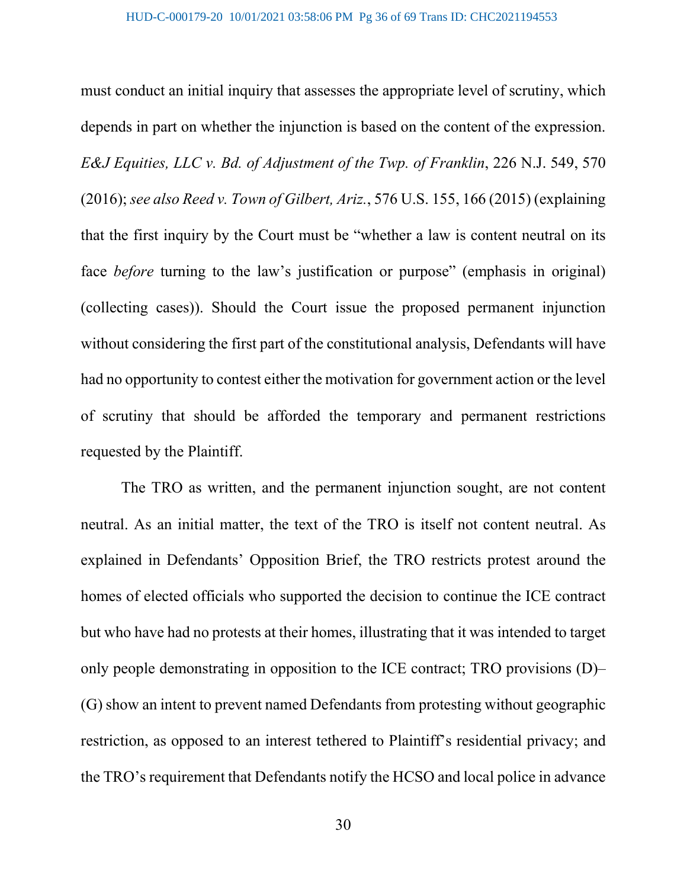must conduct an initial inquiry that assesses the appropriate level of scrutiny, which depends in part on whether the injunction is based on the content of the expression. *E&J Equities, LLC v. Bd. of Adjustment of the Twp. of Franklin*, 226 N.J. 549, 570 (2016); *see also Reed v. Town of Gilbert, Ariz.*, 576 U.S. 155, 166 (2015) (explaining that the first inquiry by the Court must be "whether a law is content neutral on its face *before* turning to the law's justification or purpose" (emphasis in original) (collecting cases)). Should the Court issue the proposed permanent injunction without considering the first part of the constitutional analysis, Defendants will have had no opportunity to contest either the motivation for government action or the level of scrutiny that should be afforded the temporary and permanent restrictions requested by the Plaintiff.

The TRO as written, and the permanent injunction sought, are not content neutral. As an initial matter, the text of the TRO is itself not content neutral. As explained in Defendants' Opposition Brief, the TRO restricts protest around the homes of elected officials who supported the decision to continue the ICE contract but who have had no protests at their homes, illustrating that it was intended to target only people demonstrating in opposition to the ICE contract; TRO provisions (D)– (G) show an intent to prevent named Defendants from protesting without geographic restriction, as opposed to an interest tethered to Plaintiff's residential privacy; and the TRO's requirement that Defendants notify the HCSO and local police in advance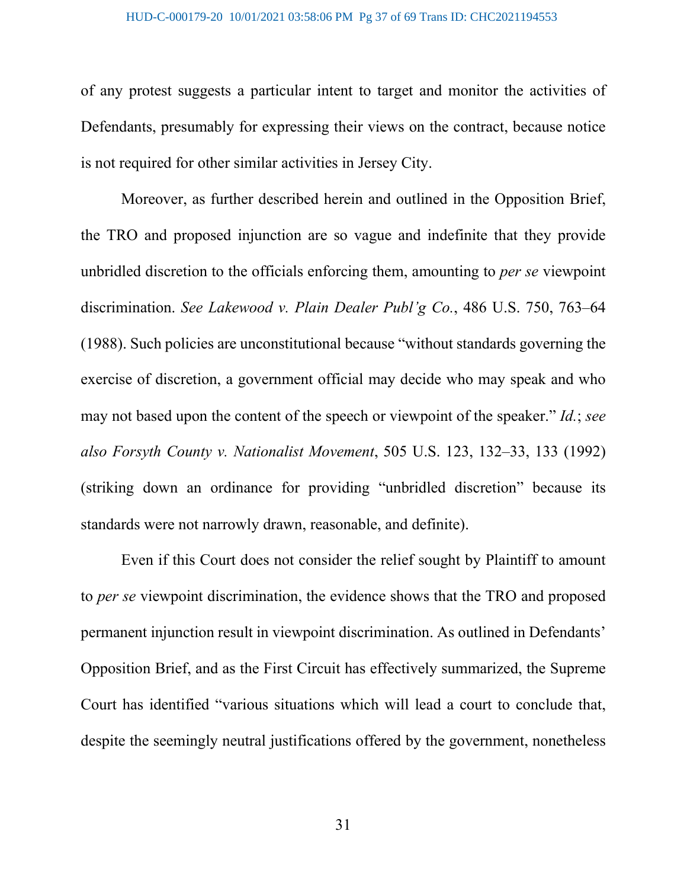of any protest suggests a particular intent to target and monitor the activities of Defendants, presumably for expressing their views on the contract, because notice is not required for other similar activities in Jersey City.

Moreover, as further described herein and outlined in the Opposition Brief, the TRO and proposed injunction are so vague and indefinite that they provide unbridled discretion to the officials enforcing them, amounting to *per se* viewpoint discrimination. *See Lakewood v. Plain Dealer Publ'g Co.*, 486 U.S. 750, 763–64 (1988). Such policies are unconstitutional because "without standards governing the exercise of discretion, a government official may decide who may speak and who may not based upon the content of the speech or viewpoint of the speaker." *Id.*; *see also Forsyth County v. Nationalist Movement*, 505 U.S. 123, 132–33, 133 (1992) (striking down an ordinance for providing "unbridled discretion" because its standards were not narrowly drawn, reasonable, and definite).

Even if this Court does not consider the relief sought by Plaintiff to amount to *per se* viewpoint discrimination, the evidence shows that the TRO and proposed permanent injunction result in viewpoint discrimination. As outlined in Defendants' Opposition Brief, and as the First Circuit has effectively summarized, the Supreme Court has identified "various situations which will lead a court to conclude that, despite the seemingly neutral justifications offered by the government, nonetheless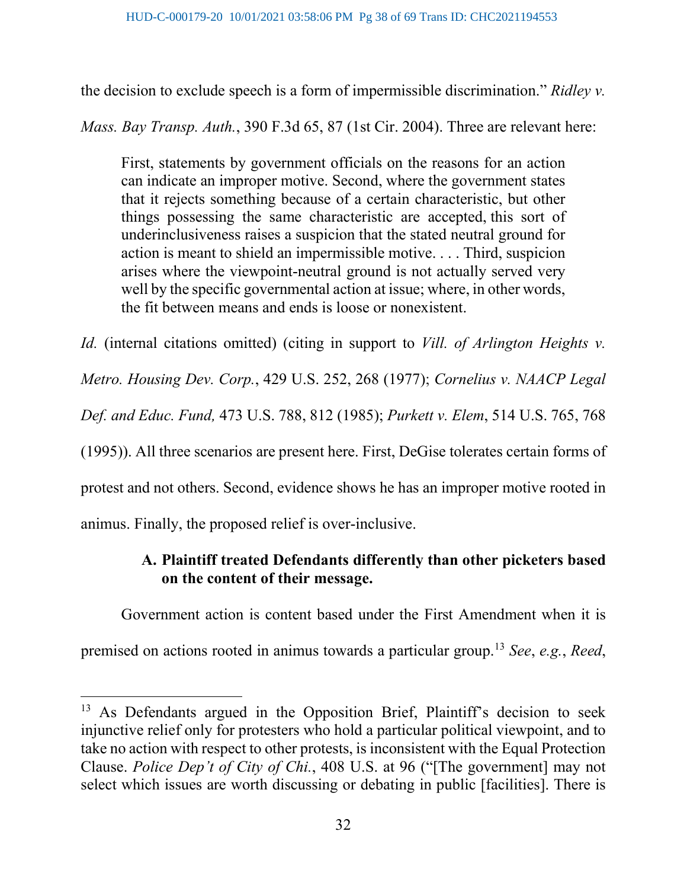the decision to exclude speech is a form of impermissible discrimination." *Ridley v.* 

*Mass. Bay Transp. Auth.*, 390 F.3d 65, 87 (1st Cir. 2004). Three are relevant here:

First, statements by government officials on the reasons for an action can indicate an improper motive. Second, where the government states that it rejects something because of a certain characteristic, but other things possessing the same characteristic are accepted, this sort of underinclusiveness raises a suspicion that the stated neutral ground for action is meant to shield an impermissible motive. . . . Third, suspicion arises where the viewpoint-neutral ground is not actually served very well by the specific governmental action at issue; where, in other words, the fit between means and ends is loose or nonexistent.

*Id.* (internal citations omitted) (citing in support to *Vill. of Arlington Heights v. Metro. Housing Dev. Corp.*, 429 U.S. 252, 268 (1977); *Cornelius v. NAACP Legal Def. and Educ. Fund,* 473 U.S. 788, 812 (1985); *Purkett v. Elem*, 514 U.S. 765, 768 (1995)). All three scenarios are present here. First, DeGise tolerates certain forms of protest and not others. Second, evidence shows he has an improper motive rooted in animus. Finally, the proposed relief is over-inclusive.

# **A. Plaintiff treated Defendants differently than other picketers based on the content of their message.**

Government action is content based under the First Amendment when it is

premised on actions rooted in animus towards a particular group.[13](#page-37-0) *See*, *e.g.*, *Reed*,

<span id="page-37-0"></span><sup>&</sup>lt;sup>13</sup> As Defendants argued in the Opposition Brief, Plaintiff's decision to seek injunctive relief only for protesters who hold a particular political viewpoint, and to take no action with respect to other protests, is inconsistent with the Equal Protection Clause. *Police Dep't of City of Chi.*, 408 U.S. at 96 ("[The government] may not select which issues are worth discussing or debating in public [facilities]. There is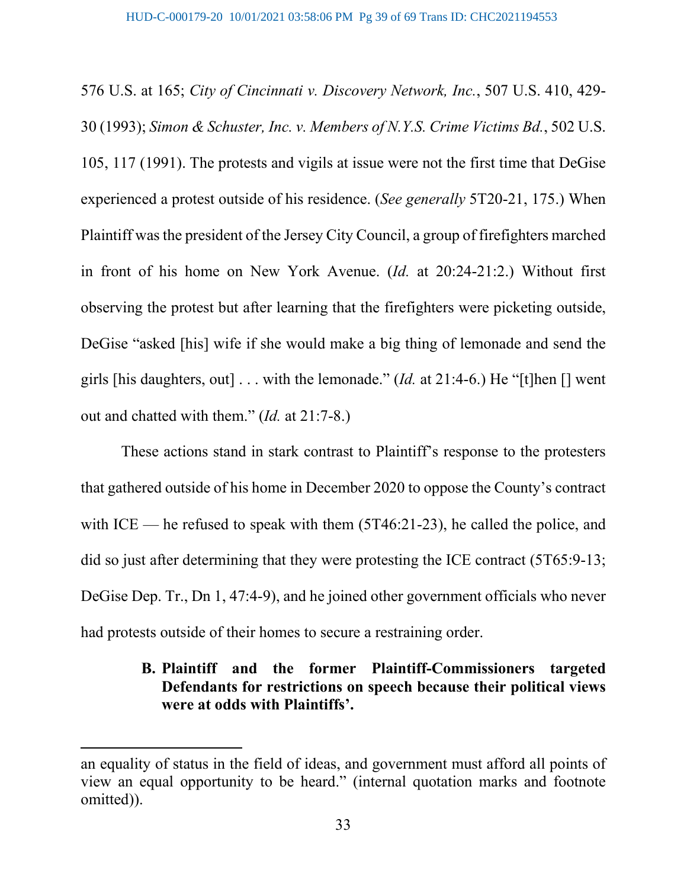576 U.S. at 165; *City of Cincinnati v. Discovery Network, Inc.*, 507 U.S. 410, 429- 30 (1993); *Simon & Schuster, Inc. v. Members of N.Y.S. Crime Victims Bd.*, 502 U.S. 105, 117 (1991). The protests and vigils at issue were not the first time that DeGise experienced a protest outside of his residence. (*See generally* 5T20-21, 175.) When Plaintiff was the president of the Jersey City Council, a group of firefighters marched in front of his home on New York Avenue. (*Id.* at 20:24-21:2.) Without first observing the protest but after learning that the firefighters were picketing outside, DeGise "asked [his] wife if she would make a big thing of lemonade and send the girls [his daughters, out] . . . with the lemonade." (*Id.* at 21:4-6.) He "[t]hen [] went out and chatted with them." (*Id.* at 21:7-8.)

These actions stand in stark contrast to Plaintiff's response to the protesters that gathered outside of his home in December 2020 to oppose the County's contract with ICE — he refused to speak with them (5T46:21-23), he called the police, and did so just after determining that they were protesting the ICE contract (5T65:9-13; DeGise Dep. Tr., Dn 1, 47:4-9), and he joined other government officials who never had protests outside of their homes to secure a restraining order.

# **B. Plaintiff and the former Plaintiff-Commissioners targeted Defendants for restrictions on speech because their political views were at odds with Plaintiffs'.**

an equality of status in the field of ideas, and government must afford all points of view an equal opportunity to be heard." (internal quotation marks and footnote omitted)).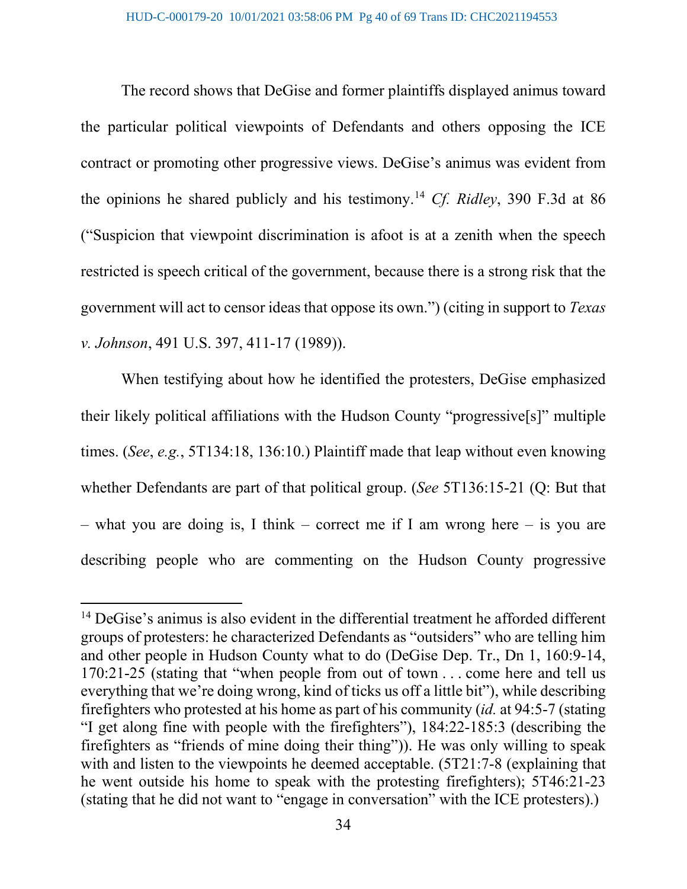The record shows that DeGise and former plaintiffs displayed animus toward the particular political viewpoints of Defendants and others opposing the ICE contract or promoting other progressive views. DeGise's animus was evident from the opinions he shared publicly and his testimony.[14](#page-39-0) *Cf. Ridley*, 390 F.3d at 86 ("Suspicion that viewpoint discrimination is afoot is at a zenith when the speech restricted is speech critical of the government, because there is a strong risk that the government will act to censor ideas that oppose its own.") (citing in support to *Texas v. Johnson*, 491 U.S. 397, 411-17 (1989)).

When testifying about how he identified the protesters, DeGise emphasized their likely political affiliations with the Hudson County "progressive[s]" multiple times. (*See*, *e.g.*, 5T134:18, 136:10.) Plaintiff made that leap without even knowing whether Defendants are part of that political group. (*See* 5T136:15-21 (Q: But that – what you are doing is, I think – correct me if I am wrong here – is you are describing people who are commenting on the Hudson County progressive

<span id="page-39-0"></span> $14$  DeGise's animus is also evident in the differential treatment he afforded different groups of protesters: he characterized Defendants as "outsiders" who are telling him and other people in Hudson County what to do (DeGise Dep. Tr., Dn 1, 160:9-14, 170:21-25 (stating that "when people from out of town . . . come here and tell us everything that we're doing wrong, kind of ticks us off a little bit"), while describing firefighters who protested at his home as part of his community (*id.* at 94:5-7 (stating "I get along fine with people with the firefighters"), 184:22-185:3 (describing the firefighters as "friends of mine doing their thing")). He was only willing to speak with and listen to the viewpoints he deemed acceptable. (5T21:7-8 (explaining that he went outside his home to speak with the protesting firefighters); 5T46:21-23 (stating that he did not want to "engage in conversation" with the ICE protesters).)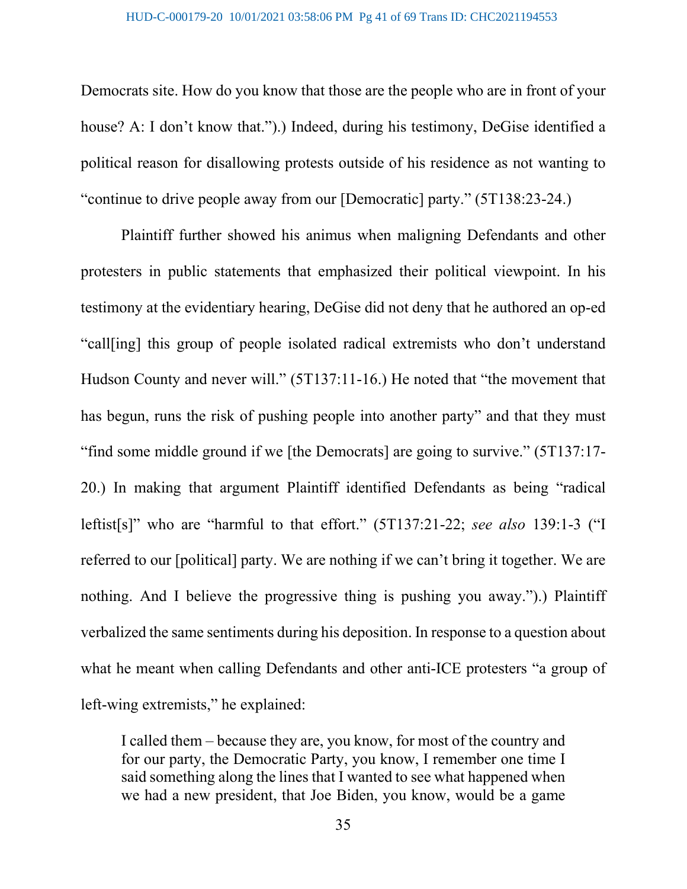Democrats site. How do you know that those are the people who are in front of your house? A: I don't know that.").) Indeed, during his testimony, DeGise identified a political reason for disallowing protests outside of his residence as not wanting to "continue to drive people away from our [Democratic] party." (5T138:23-24.)

Plaintiff further showed his animus when maligning Defendants and other protesters in public statements that emphasized their political viewpoint. In his testimony at the evidentiary hearing, DeGise did not deny that he authored an op-ed "call[ing] this group of people isolated radical extremists who don't understand Hudson County and never will." (5T137:11-16.) He noted that "the movement that has begun, runs the risk of pushing people into another party" and that they must "find some middle ground if we [the Democrats] are going to survive." (5T137:17- 20.) In making that argument Plaintiff identified Defendants as being "radical leftist[s]" who are "harmful to that effort." (5T137:21-22; *see also* 139:1-3 ("I referred to our [political] party. We are nothing if we can't bring it together. We are nothing. And I believe the progressive thing is pushing you away.").) Plaintiff verbalized the same sentiments during his deposition. In response to a question about what he meant when calling Defendants and other anti-ICE protesters "a group of left-wing extremists," he explained:

I called them – because they are, you know, for most of the country and for our party, the Democratic Party, you know, I remember one time I said something along the lines that I wanted to see what happened when we had a new president, that Joe Biden, you know, would be a game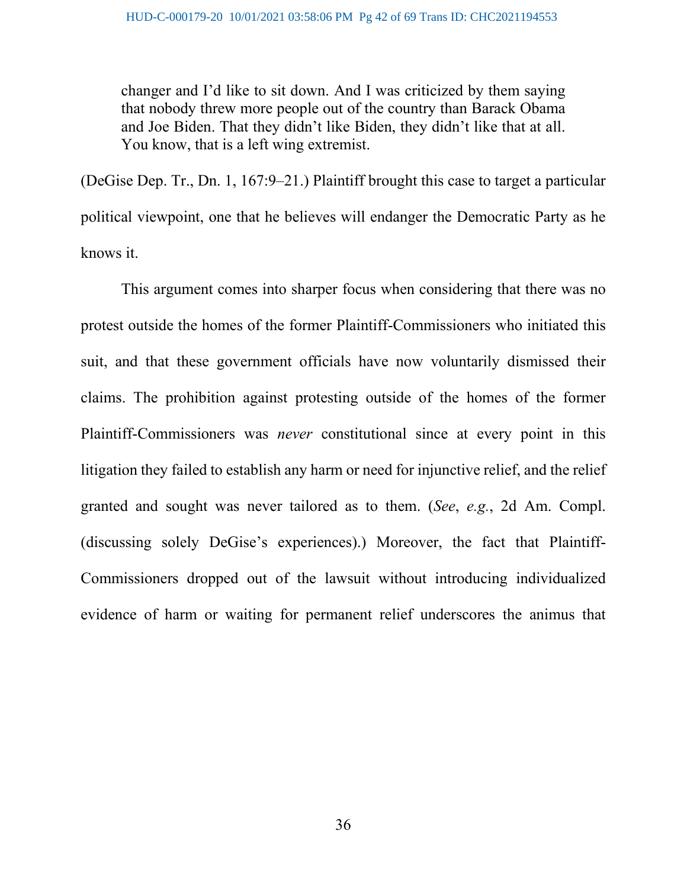changer and I'd like to sit down. And I was criticized by them saying that nobody threw more people out of the country than Barack Obama and Joe Biden. That they didn't like Biden, they didn't like that at all. You know, that is a left wing extremist.

(DeGise Dep. Tr., Dn. 1, 167:9–21.) Plaintiff brought this case to target a particular political viewpoint, one that he believes will endanger the Democratic Party as he knows it.

This argument comes into sharper focus when considering that there was no protest outside the homes of the former Plaintiff-Commissioners who initiated this suit, and that these government officials have now voluntarily dismissed their claims. The prohibition against protesting outside of the homes of the former Plaintiff-Commissioners was *never* constitutional since at every point in this litigation they failed to establish any harm or need for injunctive relief, and the relief granted and sought was never tailored as to them. (*See*, *e.g.*, 2d Am. Compl. (discussing solely DeGise's experiences).) Moreover, the fact that Plaintiff-Commissioners dropped out of the lawsuit without introducing individualized evidence of harm or waiting for permanent relief underscores the animus that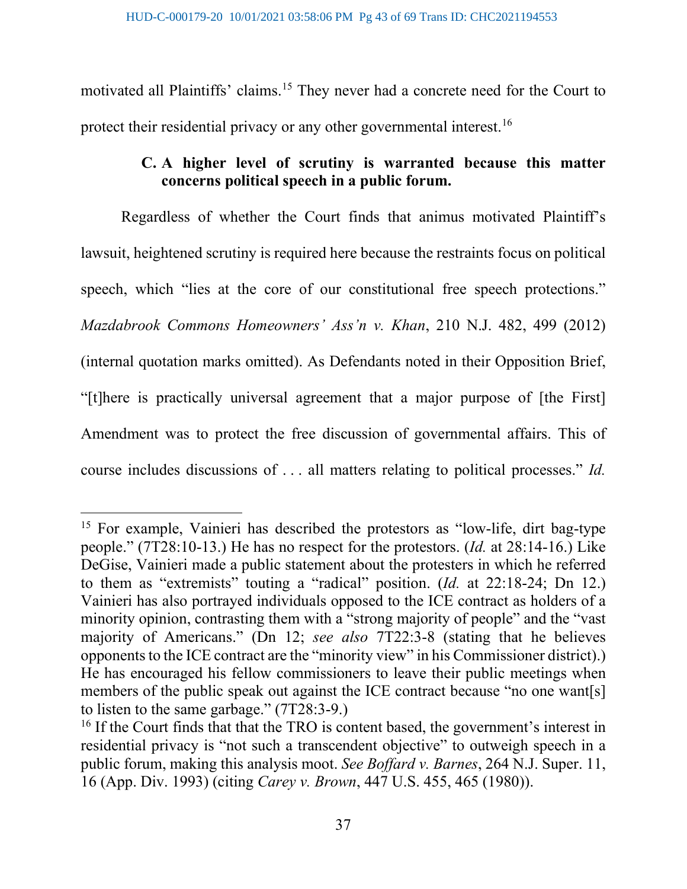motivated all Plaintiffs' claims.[15](#page-42-0) They never had a concrete need for the Court to protect their residential privacy or any other governmental interest.<sup>[16](#page-42-1)</sup>

# **C. A higher level of scrutiny is warranted because this matter concerns political speech in a public forum.**

Regardless of whether the Court finds that animus motivated Plaintiff's lawsuit, heightened scrutiny is required here because the restraints focus on political speech, which "lies at the core of our constitutional free speech protections." *Mazdabrook Commons Homeowners' Ass'n v. Khan*, 210 N.J. 482, 499 (2012) (internal quotation marks omitted). As Defendants noted in their Opposition Brief, "[t]here is practically universal agreement that a major purpose of [the First] Amendment was to protect the free discussion of governmental affairs. This of course includes discussions of . . . all matters relating to political processes." *Id.*

<span id="page-42-0"></span><sup>&</sup>lt;sup>15</sup> For example, Vainieri has described the protestors as "low-life, dirt bag-type" people." (7T28:10-13.) He has no respect for the protestors. (*Id.* at 28:14-16.) Like DeGise, Vainieri made a public statement about the protesters in which he referred to them as "extremists" touting a "radical" position. (*Id.* at 22:18-24; Dn 12.) Vainieri has also portrayed individuals opposed to the ICE contract as holders of a minority opinion, contrasting them with a "strong majority of people" and the "vast majority of Americans." (Dn 12; *see also* 7T22:3-8 (stating that he believes opponents to the ICE contract are the "minority view" in his Commissioner district).) He has encouraged his fellow commissioners to leave their public meetings when members of the public speak out against the ICE contract because "no one want[s] to listen to the same garbage." (7T28:3-9.)

<span id="page-42-1"></span><sup>&</sup>lt;sup>16</sup> If the Court finds that that the TRO is content based, the government's interest in residential privacy is "not such a transcendent objective" to outweigh speech in a public forum, making this analysis moot. *See Boffard v. Barnes*, 264 N.J. Super. 11, 16 (App. Div. 1993) (citing *Carey v. Brown*, 447 U.S. 455, 465 (1980)).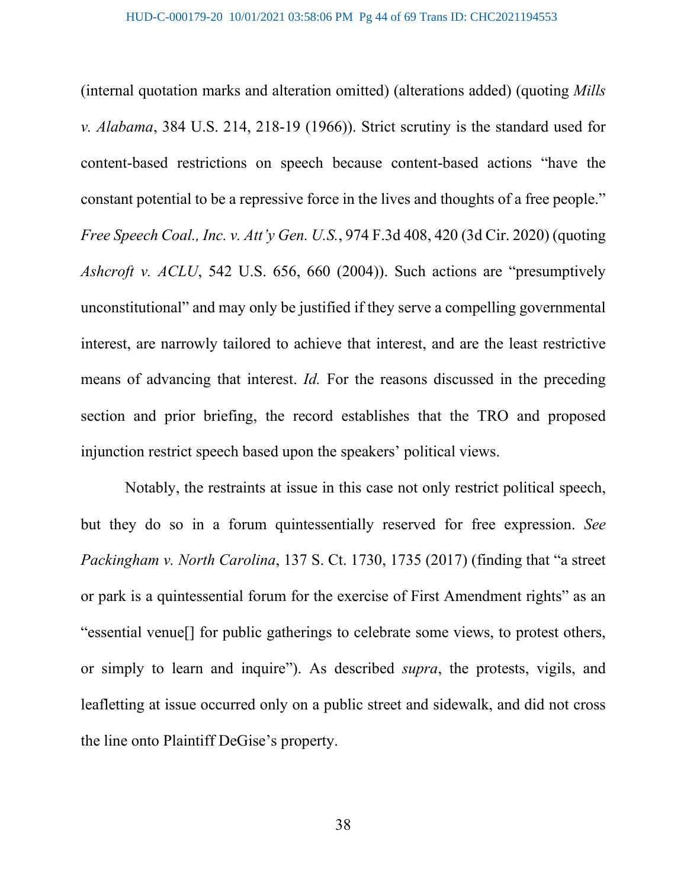(internal quotation marks and alteration omitted) (alterations added) (quoting *Mills v. Alabama*, 384 U.S. 214, 218-19 (1966)). Strict scrutiny is the standard used for content-based restrictions on speech because content-based actions "have the constant potential to be a repressive force in the lives and thoughts of a free people." *Free Speech Coal., Inc. v. Att'y Gen. U.S.*, 974 F.3d 408, 420 (3d Cir. 2020) (quoting *Ashcroft v. ACLU*, 542 U.S. 656, 660 (2004)). Such actions are "presumptively unconstitutional" and may only be justified if they serve a compelling governmental interest, are narrowly tailored to achieve that interest, and are the least restrictive means of advancing that interest. *Id.* For the reasons discussed in the preceding section and prior briefing, the record establishes that the TRO and proposed injunction restrict speech based upon the speakers' political views.

Notably, the restraints at issue in this case not only restrict political speech, but they do so in a forum quintessentially reserved for free expression. *See Packingham v. North Carolina*, 137 S. Ct. 1730, 1735 (2017) (finding that "a street or park is a quintessential forum for the exercise of First Amendment rights" as an "essential venue[] for public gatherings to celebrate some views, to protest others, or simply to learn and inquire"). As described *supra*, the protests, vigils, and leafletting at issue occurred only on a public street and sidewalk, and did not cross the line onto Plaintiff DeGise's property.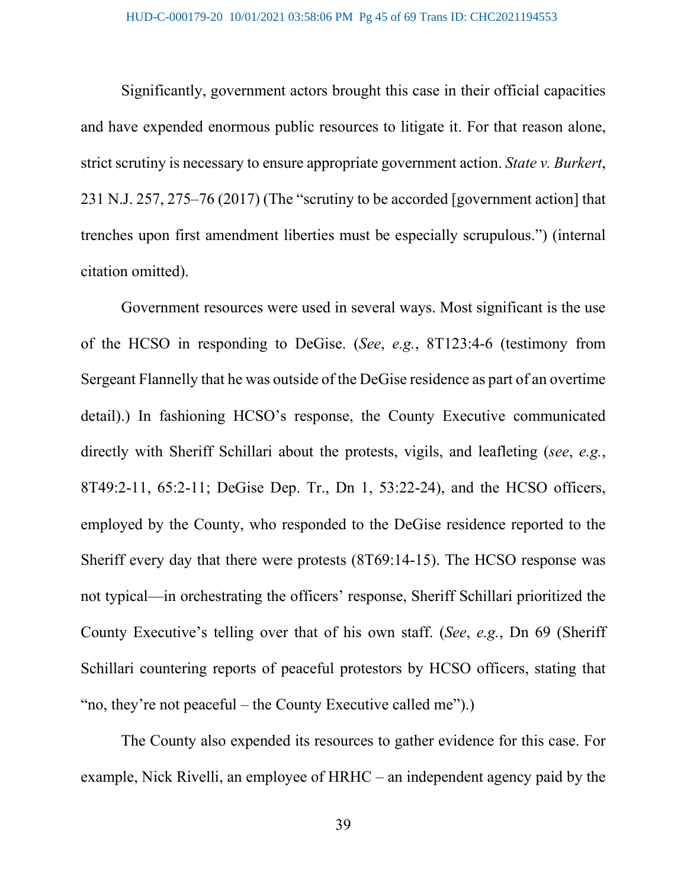Significantly, government actors brought this case in their official capacities and have expended enormous public resources to litigate it. For that reason alone, strict scrutiny is necessary to ensure appropriate government action. *State v. Burkert*, 231 N.J. 257, 275–76 (2017) (The "scrutiny to be accorded [government action] that trenches upon first amendment liberties must be especially scrupulous.") (internal citation omitted).

Government resources were used in several ways. Most significant is the use of the HCSO in responding to DeGise. (*See*, *e.g.*, 8T123:4-6 (testimony from Sergeant Flannelly that he was outside of the DeGise residence as part of an overtime detail).) In fashioning HCSO's response, the County Executive communicated directly with Sheriff Schillari about the protests, vigils, and leafleting (*see*, *e.g.*, 8T49:2-11, 65:2-11; DeGise Dep. Tr., Dn 1, 53:22-24), and the HCSO officers, employed by the County, who responded to the DeGise residence reported to the Sheriff every day that there were protests (8T69:14-15). The HCSO response was not typical—in orchestrating the officers' response, Sheriff Schillari prioritized the County Executive's telling over that of his own staff. (*See*, *e.g.*, Dn 69 (Sheriff Schillari countering reports of peaceful protestors by HCSO officers, stating that "no, they're not peaceful – the County Executive called me").)

The County also expended its resources to gather evidence for this case. For example, Nick Rivelli, an employee of HRHC – an independent agency paid by the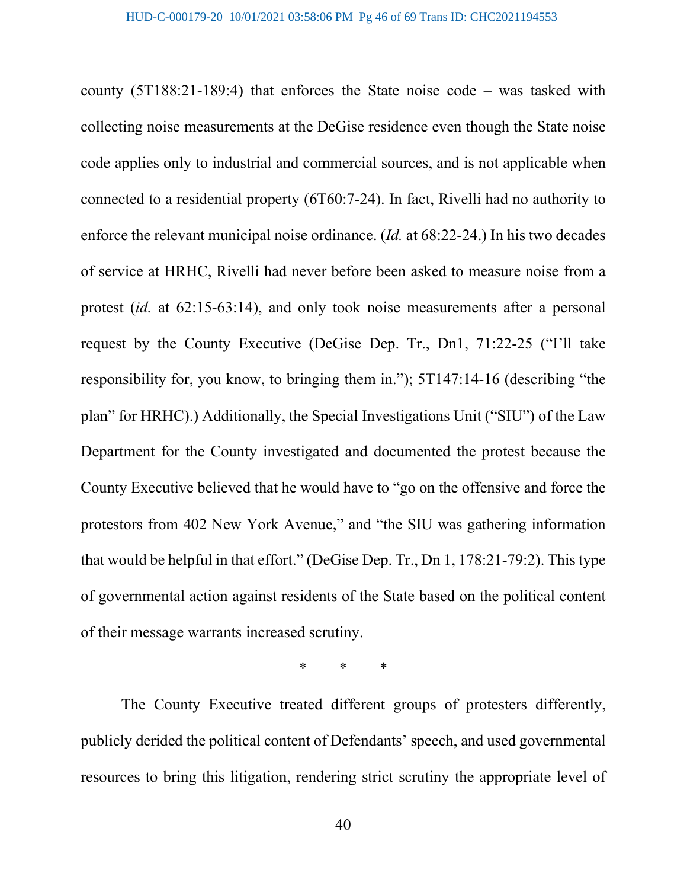county (5T188:21-189:4) that enforces the State noise code – was tasked with collecting noise measurements at the DeGise residence even though the State noise code applies only to industrial and commercial sources, and is not applicable when connected to a residential property (6T60:7-24). In fact, Rivelli had no authority to enforce the relevant municipal noise ordinance. (*Id.* at 68:22-24.) In his two decades of service at HRHC, Rivelli had never before been asked to measure noise from a protest (*id.* at 62:15-63:14), and only took noise measurements after a personal request by the County Executive (DeGise Dep. Tr., Dn1, 71:22-25 ("I'll take responsibility for, you know, to bringing them in."); 5T147:14-16 (describing "the plan" for HRHC).) Additionally, the Special Investigations Unit ("SIU") of the Law Department for the County investigated and documented the protest because the County Executive believed that he would have to "go on the offensive and force the protestors from 402 New York Avenue," and "the SIU was gathering information that would be helpful in that effort." (DeGise Dep. Tr., Dn 1, 178:21-79:2). This type of governmental action against residents of the State based on the political content of their message warrants increased scrutiny.

\* \* \*

The County Executive treated different groups of protesters differently, publicly derided the political content of Defendants' speech, and used governmental resources to bring this litigation, rendering strict scrutiny the appropriate level of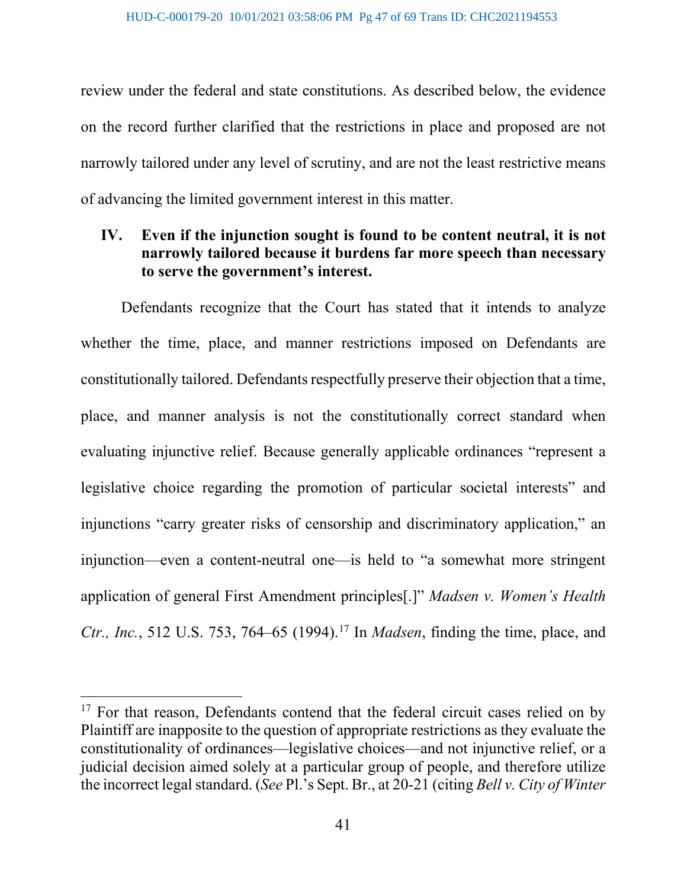review under the federal and state constitutions. As described below, the evidence on the record further clarified that the restrictions in place and proposed are not narrowly tailored under any level of scrutiny, and are not the least restrictive means of advancing the limited government interest in this matter.

# **IV. Even if the injunction sought is found to be content neutral, it is not narrowly tailored because it burdens far more speech than necessary to serve the government's interest.**

Defendants recognize that the Court has stated that it intends to analyze whether the time, place, and manner restrictions imposed on Defendants are constitutionally tailored. Defendants respectfully preserve their objection that a time, place, and manner analysis is not the constitutionally correct standard when evaluating injunctive relief. Because generally applicable ordinances "represent a legislative choice regarding the promotion of particular societal interests" and injunctions "carry greater risks of censorship and discriminatory application," an injunction—even a content-neutral one—is held to "a somewhat more stringent application of general First Amendment principles[.]" *Madsen v. Women's Health Ctr., Inc.*, 512 U.S. 753, 764–65 (1994). [17](#page-46-0) In *Madsen*, finding the time, place, and

<span id="page-46-0"></span><sup>&</sup>lt;sup>17</sup> For that reason, Defendants contend that the federal circuit cases relied on by Plaintiff are inapposite to the question of appropriate restrictions as they evaluate the constitutionality of ordinances—legislative choices—and not injunctive relief, or a judicial decision aimed solely at a particular group of people, and therefore utilize the incorrect legal standard. (*See* Pl.'s Sept. Br., at 20-21 (citing *Bell v. City of Winter*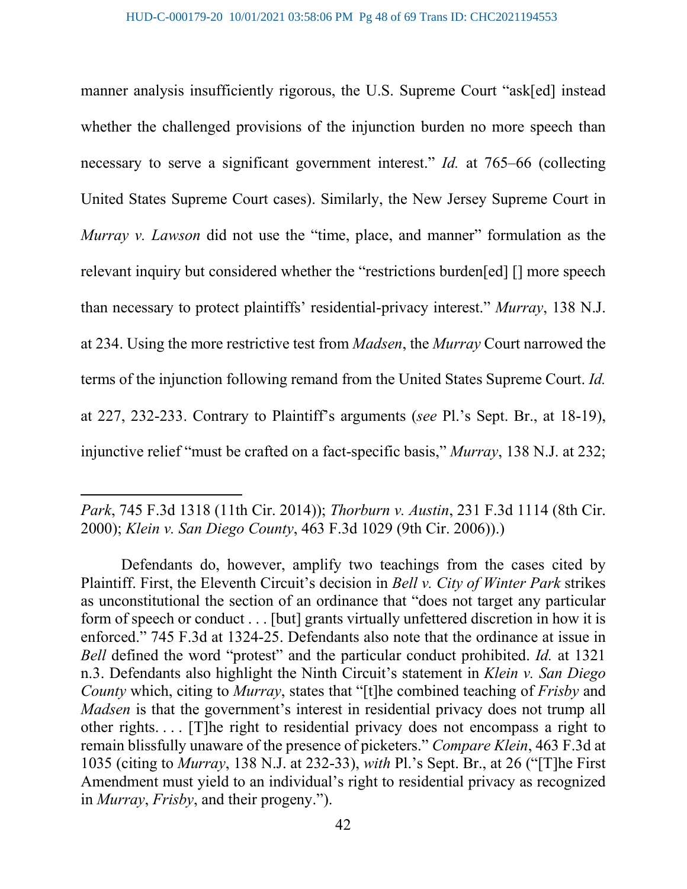manner analysis insufficiently rigorous, the U.S. Supreme Court "ask[ed] instead whether the challenged provisions of the injunction burden no more speech than necessary to serve a significant government interest." *Id.* at 765–66 (collecting United States Supreme Court cases). Similarly, the New Jersey Supreme Court in *Murray v. Lawson* did not use the "time, place, and manner" formulation as the relevant inquiry but considered whether the "restrictions burden[ed] [] more speech than necessary to protect plaintiffs' residential-privacy interest." *Murray*, 138 N.J. at 234. Using the more restrictive test from *Madsen*, the *Murray* Court narrowed the terms of the injunction following remand from the United States Supreme Court. *Id.* at 227, 232-233. Contrary to Plaintiff's arguments (*see* Pl.'s Sept. Br., at 18-19), injunctive relief "must be crafted on a fact-specific basis," *Murray*, 138 N.J. at 232;

*Park*, 745 F.3d 1318 (11th Cir. 2014)); *Thorburn v. Austin*, 231 F.3d 1114 (8th Cir. 2000); *Klein v. San Diego County*, 463 F.3d 1029 (9th Cir. 2006)).)

Defendants do, however, amplify two teachings from the cases cited by Plaintiff. First, the Eleventh Circuit's decision in *Bell v. City of Winter Park* strikes as unconstitutional the section of an ordinance that "does not target any particular form of speech or conduct . . . [but] grants virtually unfettered discretion in how it is enforced." 745 F.3d at 1324-25. Defendants also note that the ordinance at issue in *Bell* defined the word "protest" and the particular conduct prohibited. *Id.* at 1321 n.3. Defendants also highlight the Ninth Circuit's statement in *Klein v. San Diego County* which, citing to *Murray*, states that "[t]he combined teaching of *Frisby* and *Madsen* is that the government's interest in residential privacy does not trump all other rights. . . . [T]he right to residential privacy does not encompass a right to remain blissfully unaware of the presence of picketers." *Compare Klein*, 463 F.3d at 1035 (citing to *Murray*, 138 N.J. at 232-33), *with* Pl.'s Sept. Br., at 26 ("[T]he First Amendment must yield to an individual's right to residential privacy as recognized in *Murray*, *Frisby*, and their progeny.").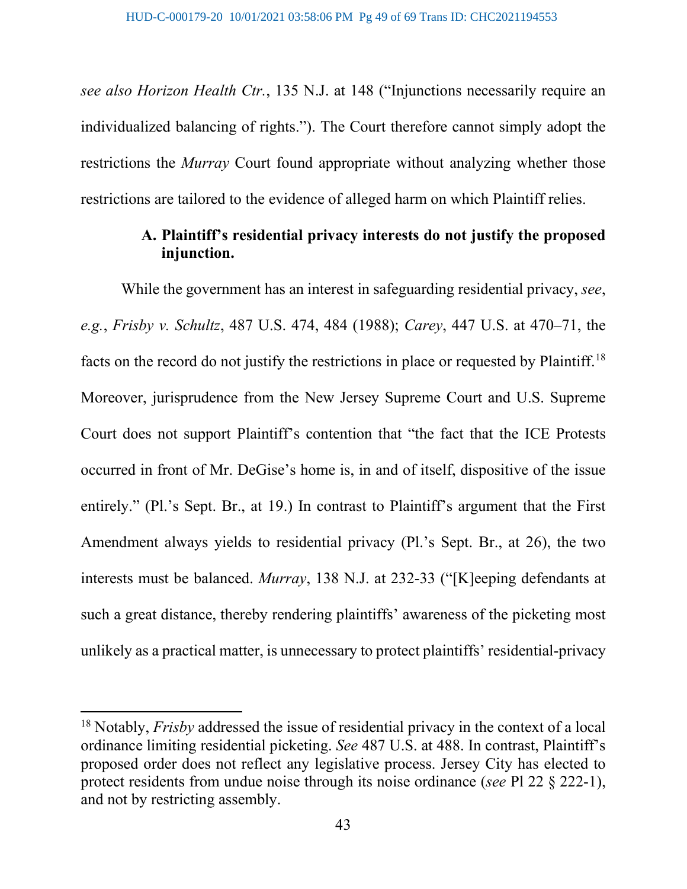*see also Horizon Health Ctr.*, 135 N.J. at 148 ("Injunctions necessarily require an individualized balancing of rights."). The Court therefore cannot simply adopt the restrictions the *Murray* Court found appropriate without analyzing whether those restrictions are tailored to the evidence of alleged harm on which Plaintiff relies.

# **A. Plaintiff's residential privacy interests do not justify the proposed injunction.**

While the government has an interest in safeguarding residential privacy, *see*, *e.g.*, *Frisby v. Schultz*, 487 U.S. 474, 484 (1988); *Carey*, 447 U.S. at 470–71, the facts on the record do not justify the restrictions in place or requested by Plaintiff.<sup>[18](#page-48-0)</sup> Moreover, jurisprudence from the New Jersey Supreme Court and U.S. Supreme Court does not support Plaintiff's contention that "the fact that the ICE Protests occurred in front of Mr. DeGise's home is, in and of itself, dispositive of the issue entirely." (Pl.'s Sept. Br., at 19.) In contrast to Plaintiff's argument that the First Amendment always yields to residential privacy (Pl.'s Sept. Br., at 26), the two interests must be balanced. *Murray*, 138 N.J. at 232-33 ("[K]eeping defendants at such a great distance, thereby rendering plaintiffs' awareness of the picketing most unlikely as a practical matter, is unnecessary to protect plaintiffs' residential-privacy

<span id="page-48-0"></span><sup>18</sup> Notably, *Frisby* addressed the issue of residential privacy in the context of a local ordinance limiting residential picketing. *See* 487 U.S. at 488. In contrast, Plaintiff's proposed order does not reflect any legislative process. Jersey City has elected to protect residents from undue noise through its noise ordinance (*see* Pl 22 § 222-1), and not by restricting assembly.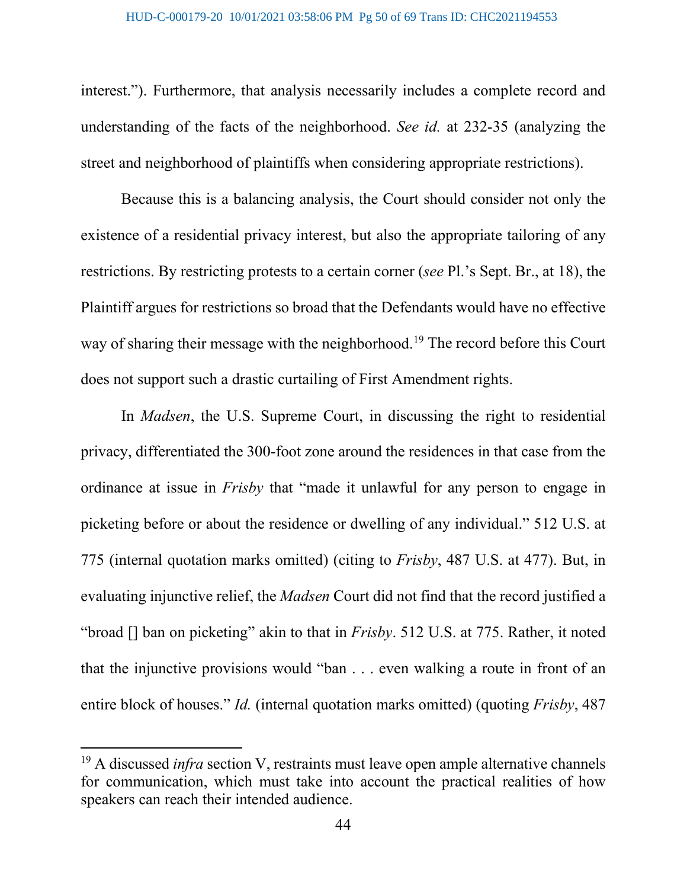interest."). Furthermore, that analysis necessarily includes a complete record and understanding of the facts of the neighborhood. *See id.* at 232-35 (analyzing the street and neighborhood of plaintiffs when considering appropriate restrictions).

Because this is a balancing analysis, the Court should consider not only the existence of a residential privacy interest, but also the appropriate tailoring of any restrictions. By restricting protests to a certain corner (*see* Pl.'s Sept. Br., at 18), the Plaintiff argues for restrictions so broad that the Defendants would have no effective way of sharing their message with the neighborhood.<sup>[19](#page-49-0)</sup> The record before this Court does not support such a drastic curtailing of First Amendment rights.

In *Madsen*, the U.S. Supreme Court, in discussing the right to residential privacy, differentiated the 300-foot zone around the residences in that case from the ordinance at issue in *Frisby* that "made it unlawful for any person to engage in picketing before or about the residence or dwelling of any individual." 512 U.S. at 775 (internal quotation marks omitted) (citing to *Frisby*, 487 U.S. at 477). But, in evaluating injunctive relief, the *Madsen* Court did not find that the record justified a "broad [] ban on picketing" akin to that in *Frisby*. 512 U.S. at 775. Rather, it noted that the injunctive provisions would "ban . . . even walking a route in front of an entire block of houses." *Id.* (internal quotation marks omitted) (quoting *Frisby*, 487

<span id="page-49-0"></span><sup>&</sup>lt;sup>19</sup> A discussed *infra* section V, restraints must leave open ample alternative channels for communication, which must take into account the practical realities of how speakers can reach their intended audience.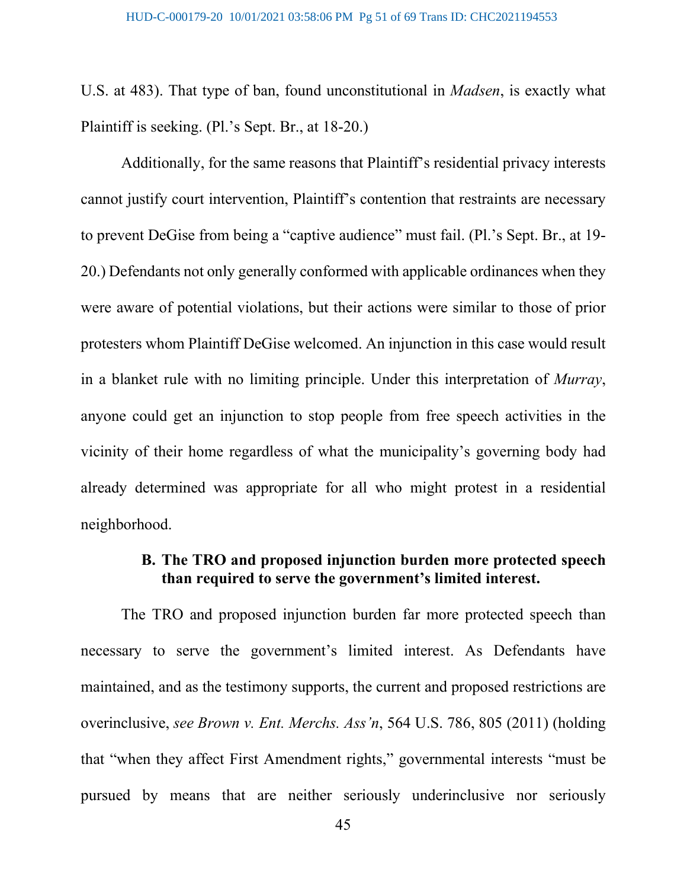U.S. at 483). That type of ban, found unconstitutional in *Madsen*, is exactly what Plaintiff is seeking. (Pl.'s Sept. Br., at 18-20.)

Additionally, for the same reasons that Plaintiff's residential privacy interests cannot justify court intervention, Plaintiff's contention that restraints are necessary to prevent DeGise from being a "captive audience" must fail. (Pl.'s Sept. Br., at 19- 20.) Defendants not only generally conformed with applicable ordinances when they were aware of potential violations, but their actions were similar to those of prior protesters whom Plaintiff DeGise welcomed. An injunction in this case would result in a blanket rule with no limiting principle. Under this interpretation of *Murray*, anyone could get an injunction to stop people from free speech activities in the vicinity of their home regardless of what the municipality's governing body had already determined was appropriate for all who might protest in a residential neighborhood.

### **B. The TRO and proposed injunction burden more protected speech than required to serve the government's limited interest.**

The TRO and proposed injunction burden far more protected speech than necessary to serve the government's limited interest. As Defendants have maintained, and as the testimony supports, the current and proposed restrictions are overinclusive, *see Brown v. Ent. Merchs. Ass'n*, 564 U.S. 786, 805 (2011) (holding that "when they affect First Amendment rights," governmental interests "must be pursued by means that are neither seriously underinclusive nor seriously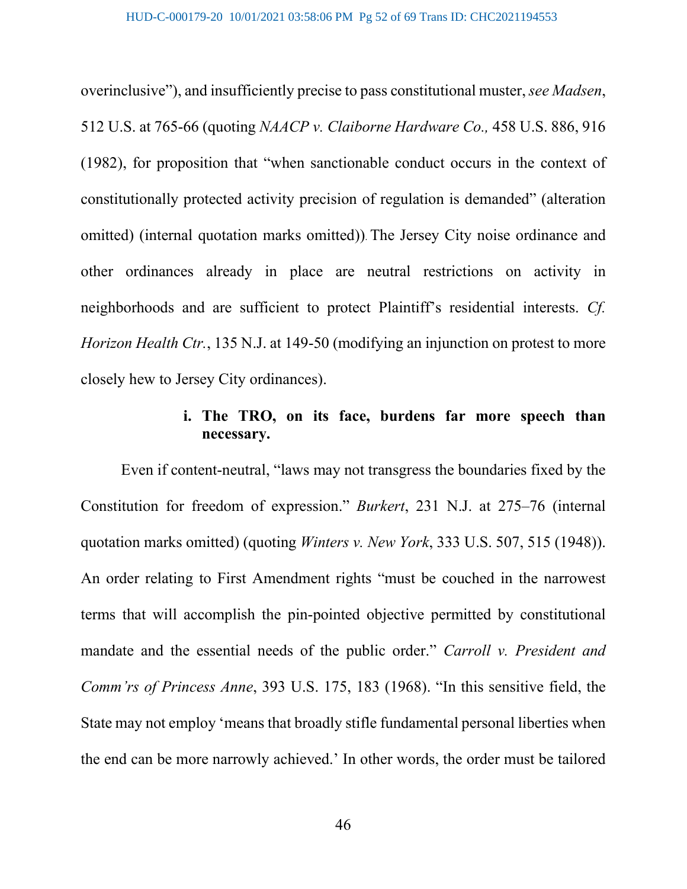overinclusive"), and insufficiently precise to pass constitutional muster, *see Madsen*, 512 U.S. at 765-66 (quoting *NAACP v. Claiborne Hardware Co.,* 458 U.S. 886, 916 (1982), for proposition that "when sanctionable conduct occurs in the context of constitutionally protected activity precision of regulation is demanded" (alteration omitted) (internal quotation marks omitted)). The Jersey City noise ordinance and other ordinances already in place are neutral restrictions on activity in neighborhoods and are sufficient to protect Plaintiff's residential interests. *Cf. Horizon Health Ctr.*, 135 N.J. at 149-50 (modifying an injunction on protest to more closely hew to Jersey City ordinances).

# **i. The TRO, on its face, burdens far more speech than necessary.**

Even if content-neutral, "laws may not transgress the boundaries fixed by the Constitution for freedom of expression." *Burkert*, 231 N.J. at 275–76 (internal quotation marks omitted) (quoting *Winters v. New York*, 333 U.S. 507, 515 (1948)). An order relating to First Amendment rights "must be couched in the narrowest terms that will accomplish the pin-pointed objective permitted by constitutional mandate and the essential needs of the public order." *Carroll v. President and Comm'rs of Princess Anne*, 393 U.S. 175, 183 (1968). "In this sensitive field, the State may not employ 'means that broadly stifle fundamental personal liberties when the end can be more narrowly achieved.' In other words, the order must be tailored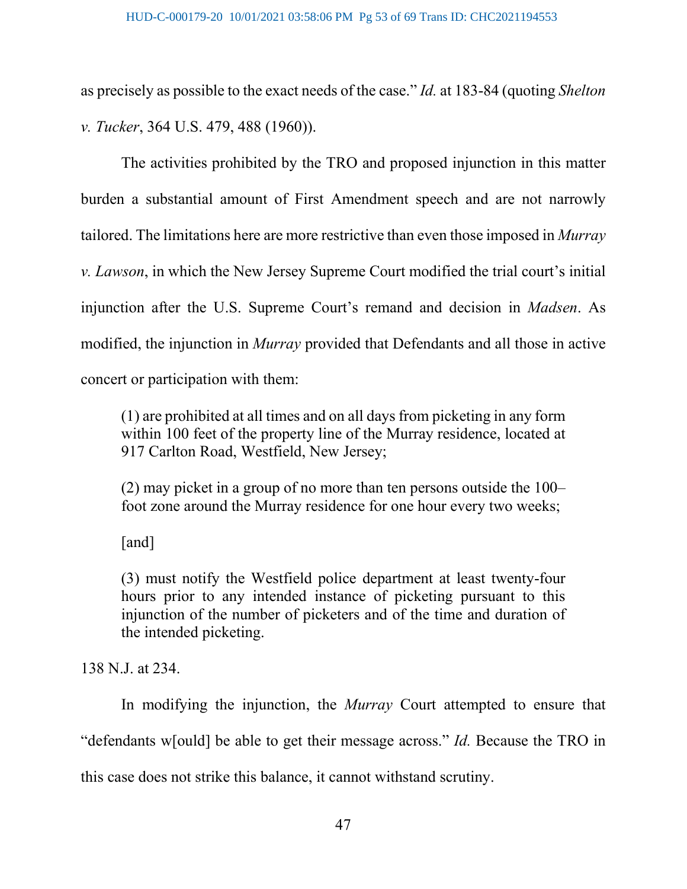as precisely as possible to the exact needs of the case." *Id.* at 183-84 (quoting *Shelton v. Tucker*, 364 U.S. 479, 488 (1960)).

The activities prohibited by the TRO and proposed injunction in this matter burden a substantial amount of First Amendment speech and are not narrowly tailored. The limitations here are more restrictive than even those imposed in *Murray v. Lawson*, in which the New Jersey Supreme Court modified the trial court's initial injunction after the U.S. Supreme Court's remand and decision in *Madsen*. As modified, the injunction in *Murray* provided that Defendants and all those in active concert or participation with them:

(1) are prohibited at all times and on all days from picketing in any form within 100 feet of the property line of the Murray residence, located at 917 Carlton Road, Westfield, New Jersey;

(2) may picket in a group of no more than ten persons outside the 100– foot zone around the Murray residence for one hour every two weeks;

[and]

(3) must notify the Westfield police department at least twenty-four hours prior to any intended instance of picketing pursuant to this injunction of the number of picketers and of the time and duration of the intended picketing.

138 N.J. at 234.

In modifying the injunction, the *Murray* Court attempted to ensure that "defendants w[ould] be able to get their message across." *Id.* Because the TRO in this case does not strike this balance, it cannot withstand scrutiny.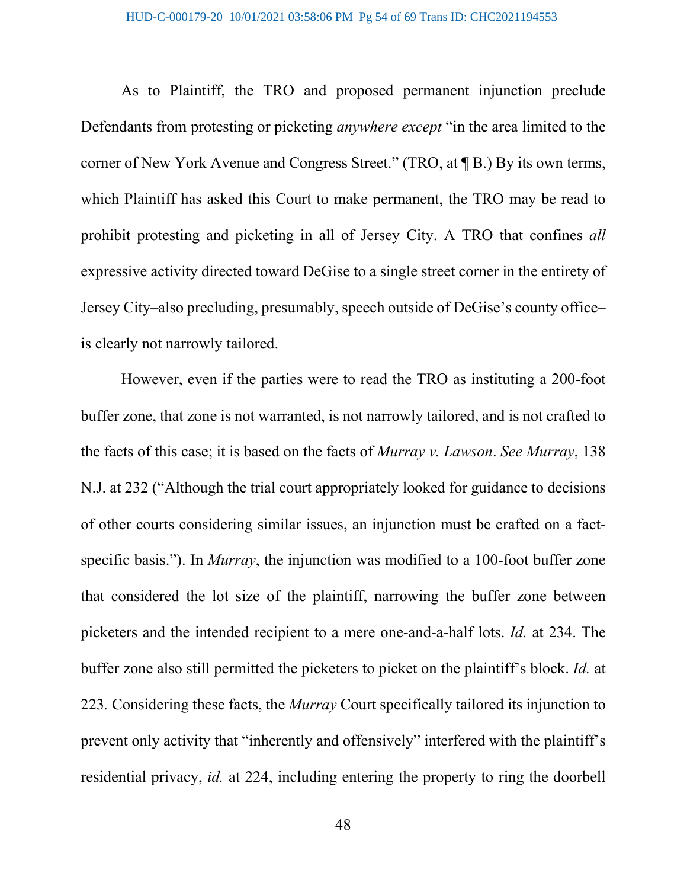As to Plaintiff, the TRO and proposed permanent injunction preclude Defendants from protesting or picketing *anywhere except* "in the area limited to the corner of New York Avenue and Congress Street." (TRO, at ¶ B.) By its own terms, which Plaintiff has asked this Court to make permanent, the TRO may be read to prohibit protesting and picketing in all of Jersey City. A TRO that confines *all* expressive activity directed toward DeGise to a single street corner in the entirety of Jersey City–also precluding, presumably, speech outside of DeGise's county office– is clearly not narrowly tailored.

However, even if the parties were to read the TRO as instituting a 200-foot buffer zone, that zone is not warranted, is not narrowly tailored, and is not crafted to the facts of this case; it is based on the facts of *Murray v. Lawson*. *See Murray*, 138 N.J. at 232 ("Although the trial court appropriately looked for guidance to decisions of other courts considering similar issues, an injunction must be crafted on a factspecific basis."). In *Murray*, the injunction was modified to a 100-foot buffer zone that considered the lot size of the plaintiff, narrowing the buffer zone between picketers and the intended recipient to a mere one-and-a-half lots. *Id.* at 234. The buffer zone also still permitted the picketers to picket on the plaintiff's block. *Id.* at 223*.* Considering these facts, the *Murray* Court specifically tailored its injunction to prevent only activity that "inherently and offensively" interfered with the plaintiff's residential privacy, *id.* at 224, including entering the property to ring the doorbell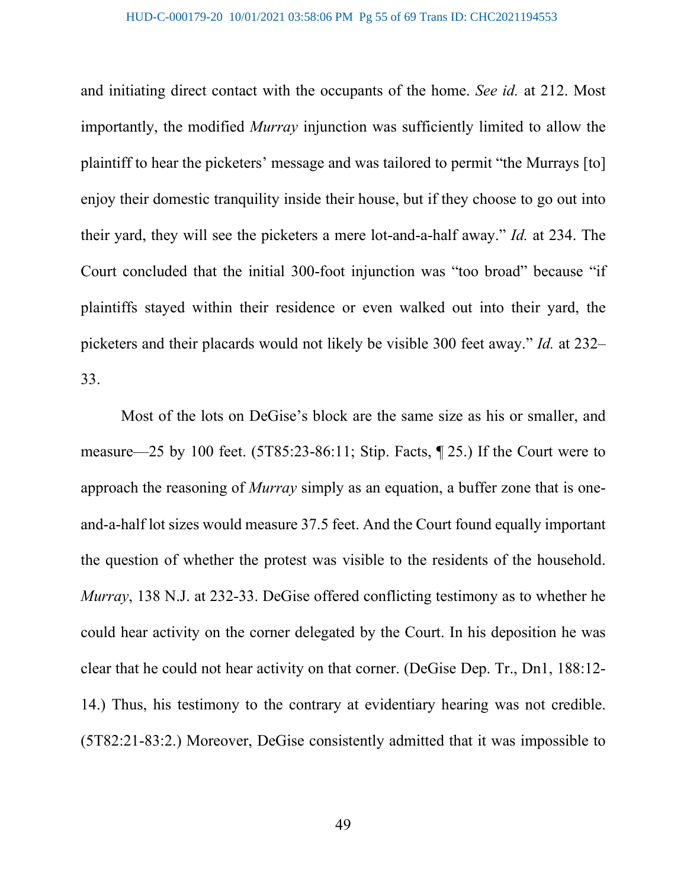and initiating direct contact with the occupants of the home. *See id.* at 212. Most importantly, the modified *Murray* injunction was sufficiently limited to allow the plaintiff to hear the picketers' message and was tailored to permit "the Murrays [to] enjoy their domestic tranquility inside their house, but if they choose to go out into their yard, they will see the picketers a mere lot-and-a-half away." *Id.* at 234. The Court concluded that the initial 300-foot injunction was "too broad" because "if plaintiffs stayed within their residence or even walked out into their yard, the picketers and their placards would not likely be visible 300 feet away." *Id.* at 232– 33.

Most of the lots on DeGise's block are the same size as his or smaller, and measure—25 by 100 feet. (5T85:23-86:11; Stip. Facts, ¶ 25.) If the Court were to approach the reasoning of *Murray* simply as an equation, a buffer zone that is oneand-a-half lot sizes would measure 37.5 feet. And the Court found equally important the question of whether the protest was visible to the residents of the household. *Murray*, 138 N.J. at 232-33. DeGise offered conflicting testimony as to whether he could hear activity on the corner delegated by the Court. In his deposition he was clear that he could not hear activity on that corner. (DeGise Dep. Tr., Dn1, 188:12- 14.) Thus, his testimony to the contrary at evidentiary hearing was not credible. (5T82:21-83:2.) Moreover, DeGise consistently admitted that it was impossible to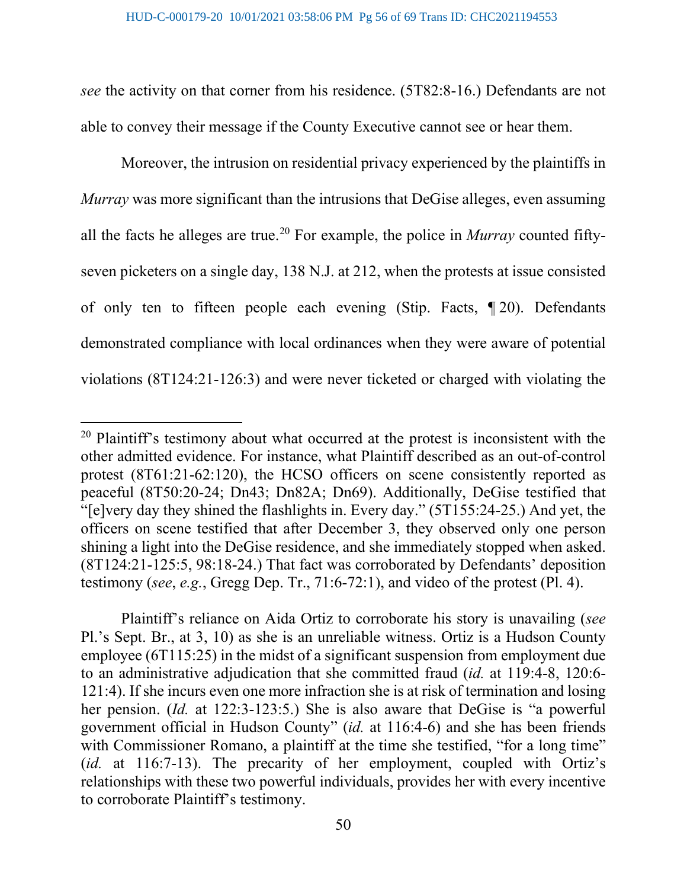*see* the activity on that corner from his residence. (5T82:8-16.) Defendants are not able to convey their message if the County Executive cannot see or hear them.

Moreover, the intrusion on residential privacy experienced by the plaintiffs in *Murray* was more significant than the intrusions that DeGise alleges, even assuming all the facts he alleges are true.<sup>[20](#page-55-0)</sup> For example, the police in *Murray* counted fiftyseven picketers on a single day, 138 N.J. at 212, when the protests at issue consisted of only ten to fifteen people each evening (Stip. Facts, ¶ 20). Defendants demonstrated compliance with local ordinances when they were aware of potential violations (8T124:21-126:3) and were never ticketed or charged with violating the

Plaintiff's reliance on Aida Ortiz to corroborate his story is unavailing (*see* Pl.'s Sept. Br., at 3, 10) as she is an unreliable witness. Ortiz is a Hudson County employee (6T115:25) in the midst of a significant suspension from employment due to an administrative adjudication that she committed fraud (*id.* at 119:4-8, 120:6- 121:4). If she incurs even one more infraction she is at risk of termination and losing her pension. (*Id.* at 122:3-123:5.) She is also aware that DeGise is "a powerful government official in Hudson County" (*id.* at 116:4-6) and she has been friends with Commissioner Romano, a plaintiff at the time she testified, "for a long time" (*id.* at 116:7-13). The precarity of her employment, coupled with Ortiz's relationships with these two powerful individuals, provides her with every incentive to corroborate Plaintiff's testimony.

<span id="page-55-0"></span><sup>&</sup>lt;sup>20</sup> Plaintiff's testimony about what occurred at the protest is inconsistent with the other admitted evidence. For instance, what Plaintiff described as an out-of-control protest (8T61:21-62:120), the HCSO officers on scene consistently reported as peaceful (8T50:20-24; Dn43; Dn82A; Dn69). Additionally, DeGise testified that "[e]very day they shined the flashlights in. Every day." (5T155:24-25.) And yet, the officers on scene testified that after December 3, they observed only one person shining a light into the DeGise residence, and she immediately stopped when asked. (8T124:21-125:5, 98:18-24.) That fact was corroborated by Defendants' deposition testimony (*see*, *e.g.*, Gregg Dep. Tr., 71:6-72:1), and video of the protest (Pl. 4).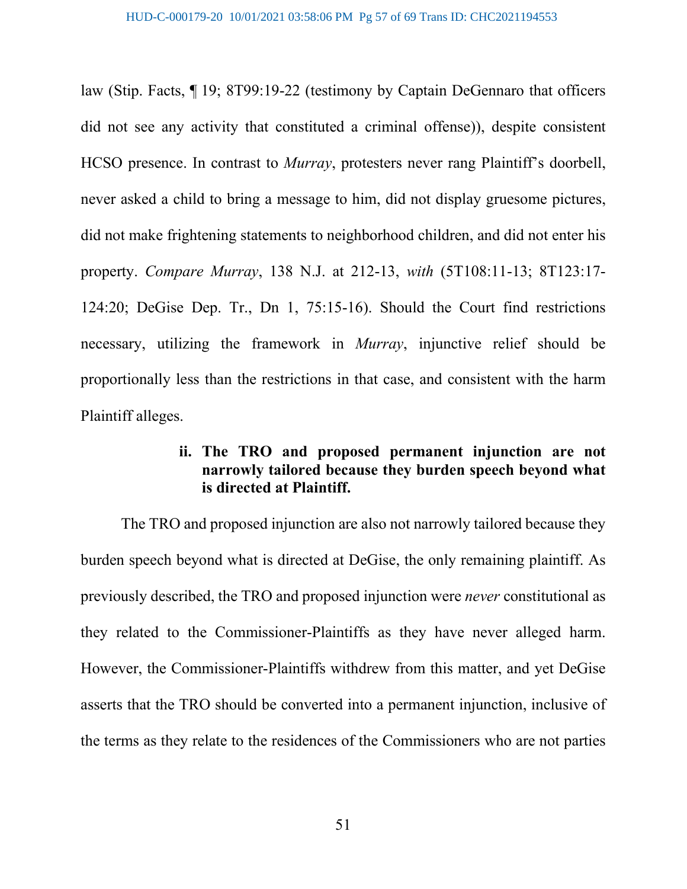law (Stip. Facts, ¶ 19; 8T99:19-22 (testimony by Captain DeGennaro that officers did not see any activity that constituted a criminal offense)), despite consistent HCSO presence. In contrast to *Murray*, protesters never rang Plaintiff's doorbell, never asked a child to bring a message to him, did not display gruesome pictures, did not make frightening statements to neighborhood children, and did not enter his property. *Compare Murray*, 138 N.J. at 212-13, *with* (5T108:11-13; 8T123:17- 124:20; DeGise Dep. Tr., Dn 1, 75:15-16). Should the Court find restrictions necessary, utilizing the framework in *Murray*, injunctive relief should be proportionally less than the restrictions in that case, and consistent with the harm Plaintiff alleges.

# **ii. The TRO and proposed permanent injunction are not narrowly tailored because they burden speech beyond what is directed at Plaintiff.**

The TRO and proposed injunction are also not narrowly tailored because they burden speech beyond what is directed at DeGise, the only remaining plaintiff. As previously described, the TRO and proposed injunction were *never* constitutional as they related to the Commissioner-Plaintiffs as they have never alleged harm. However, the Commissioner-Plaintiffs withdrew from this matter, and yet DeGise asserts that the TRO should be converted into a permanent injunction, inclusive of the terms as they relate to the residences of the Commissioners who are not parties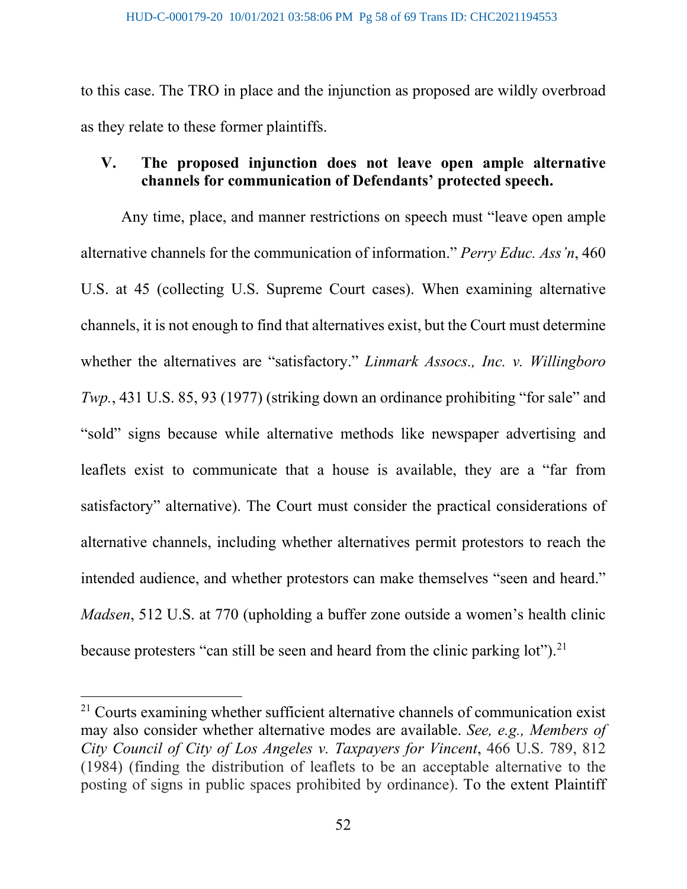to this case. The TRO in place and the injunction as proposed are wildly overbroad as they relate to these former plaintiffs.

# **V. The proposed injunction does not leave open ample alternative channels for communication of Defendants' protected speech.**

Any time, place, and manner restrictions on speech must "leave open ample alternative channels for the communication of information." *Perry Educ. Ass'n*, 460 U.S. at 45 (collecting U.S. Supreme Court cases). When examining alternative channels, it is not enough to find that alternatives exist, but the Court must determine whether the alternatives are "satisfactory." *Linmark Assocs., Inc. v. Willingboro Twp.*, 431 U.S. 85, 93 (1977) (striking down an ordinance prohibiting "for sale" and "sold" signs because while alternative methods like newspaper advertising and leaflets exist to communicate that a house is available, they are a "far from satisfactory" alternative). The Court must consider the practical considerations of alternative channels, including whether alternatives permit protestors to reach the intended audience, and whether protestors can make themselves "seen and heard." *Madsen*, 512 U.S. at 770 (upholding a buffer zone outside a women's health clinic because protesters "can still be seen and heard from the clinic parking  $\text{lot"}$ ).<sup>[21](#page-57-0)</sup>

<span id="page-57-0"></span><sup>&</sup>lt;sup>21</sup> Courts examining whether sufficient alternative channels of communication exist may also consider whether alternative modes are available. *See, e.g., Members of City Council of City of Los Angeles v. Taxpayers for Vincent*, 466 U.S. 789, 812 (1984) (finding the distribution of leaflets to be an acceptable alternative to the posting of signs in public spaces prohibited by ordinance). To the extent Plaintiff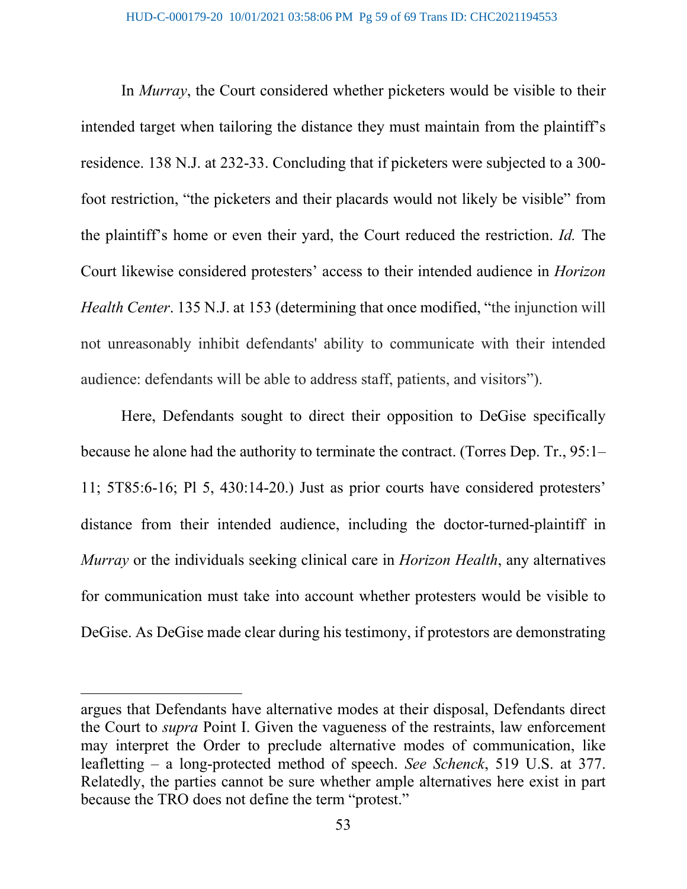In *Murray*, the Court considered whether picketers would be visible to their intended target when tailoring the distance they must maintain from the plaintiff's residence. 138 N.J. at 232-33. Concluding that if picketers were subjected to a 300 foot restriction, "the picketers and their placards would not likely be visible" from the plaintiff's home or even their yard, the Court reduced the restriction. *Id.* The Court likewise considered protesters' access to their intended audience in *Horizon Health Center*. 135 N.J. at 153 (determining that once modified, "the injunction will not unreasonably inhibit defendants' ability to communicate with their intended audience: defendants will be able to address staff, patients, and visitors").

Here, Defendants sought to direct their opposition to DeGise specifically because he alone had the authority to terminate the contract. (Torres Dep. Tr., 95:1– 11; 5T85:6-16; Pl 5, 430:14-20.) Just as prior courts have considered protesters' distance from their intended audience, including the doctor-turned-plaintiff in *Murray* or the individuals seeking clinical care in *Horizon Health*, any alternatives for communication must take into account whether protesters would be visible to DeGise. As DeGise made clear during his testimony, if protestors are demonstrating

argues that Defendants have alternative modes at their disposal, Defendants direct the Court to *supra* Point I. Given the vagueness of the restraints, law enforcement may interpret the Order to preclude alternative modes of communication, like leafletting – a long-protected method of speech. *See Schenck*, 519 U.S. at 377. Relatedly, the parties cannot be sure whether ample alternatives here exist in part because the TRO does not define the term "protest."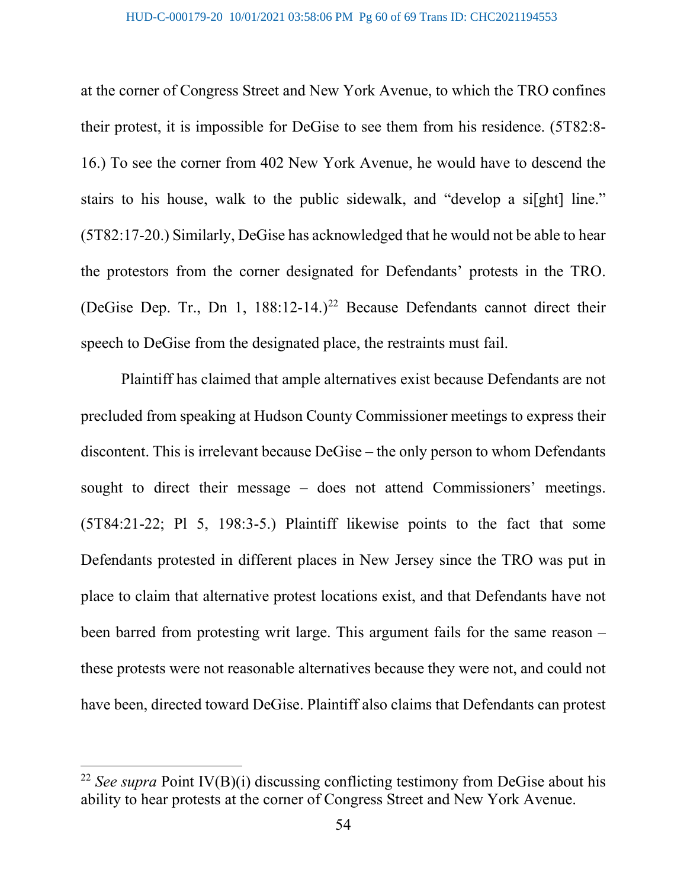at the corner of Congress Street and New York Avenue, to which the TRO confines their protest, it is impossible for DeGise to see them from his residence. (5T82:8- 16.) To see the corner from 402 New York Avenue, he would have to descend the stairs to his house, walk to the public sidewalk, and "develop a si[ght] line." (5T82:17-20.) Similarly, DeGise has acknowledged that he would not be able to hear the protestors from the corner designated for Defendants' protests in the TRO. (DeGise Dep. Tr., Dn 1,  $188:12-14.$ )<sup>[22](#page-59-0)</sup> Because Defendants cannot direct their speech to DeGise from the designated place, the restraints must fail.

Plaintiff has claimed that ample alternatives exist because Defendants are not precluded from speaking at Hudson County Commissioner meetings to express their discontent. This is irrelevant because DeGise – the only person to whom Defendants sought to direct their message – does not attend Commissioners' meetings. (5T84:21-22; Pl 5, 198:3-5.) Plaintiff likewise points to the fact that some Defendants protested in different places in New Jersey since the TRO was put in place to claim that alternative protest locations exist, and that Defendants have not been barred from protesting writ large. This argument fails for the same reason – these protests were not reasonable alternatives because they were not, and could not have been, directed toward DeGise. Plaintiff also claims that Defendants can protest

<span id="page-59-0"></span><sup>&</sup>lt;sup>22</sup> See supra Point IV(B)(i) discussing conflicting testimony from DeGise about his ability to hear protests at the corner of Congress Street and New York Avenue.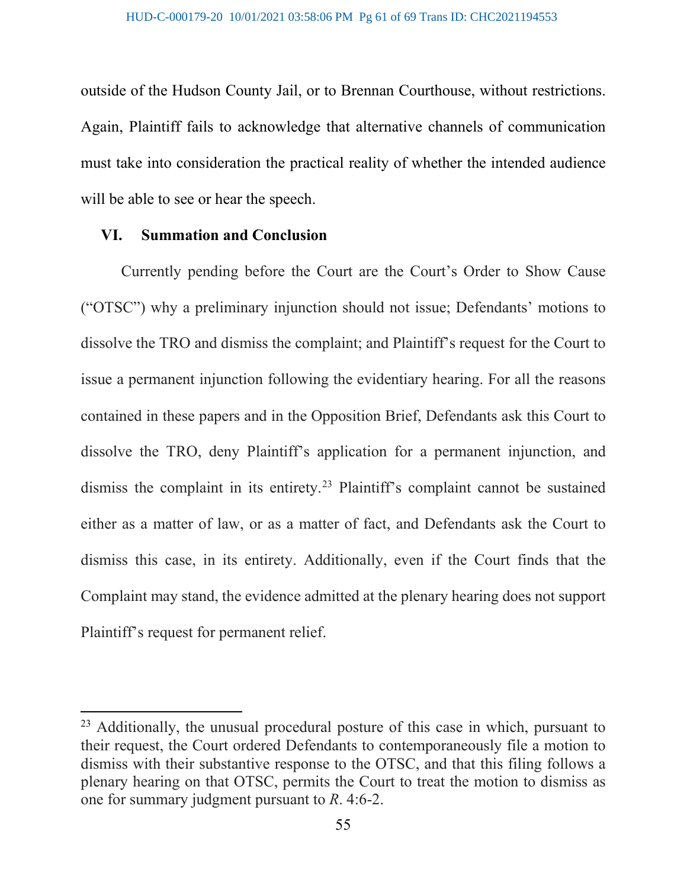outside of the Hudson County Jail, or to Brennan Courthouse, without restrictions. Again, Plaintiff fails to acknowledge that alternative channels of communication must take into consideration the practical reality of whether the intended audience will be able to see or hear the speech.

#### **VI. Summation and Conclusion**

Currently pending before the Court are the Court's Order to Show Cause ("OTSC") why a preliminary injunction should not issue; Defendants' motions to dissolve the TRO and dismiss the complaint; and Plaintiff's request for the Court to issue a permanent injunction following the evidentiary hearing. For all the reasons contained in these papers and in the Opposition Brief, Defendants ask this Court to dissolve the TRO, deny Plaintiff's application for a permanent injunction, and dismiss the complaint in its entirety.[23](#page-60-0) Plaintiff's complaint cannot be sustained either as a matter of law, or as a matter of fact, and Defendants ask the Court to dismiss this case, in its entirety. Additionally, even if the Court finds that the Complaint may stand, the evidence admitted at the plenary hearing does not support Plaintiff's request for permanent relief.

<span id="page-60-0"></span><sup>&</sup>lt;sup>23</sup> Additionally, the unusual procedural posture of this case in which, pursuant to their request, the Court ordered Defendants to contemporaneously file a motion to dismiss with their substantive response to the OTSC, and that this filing follows a plenary hearing on that OTSC, permits the Court to treat the motion to dismiss as one for summary judgment pursuant to *R*. 4:6-2.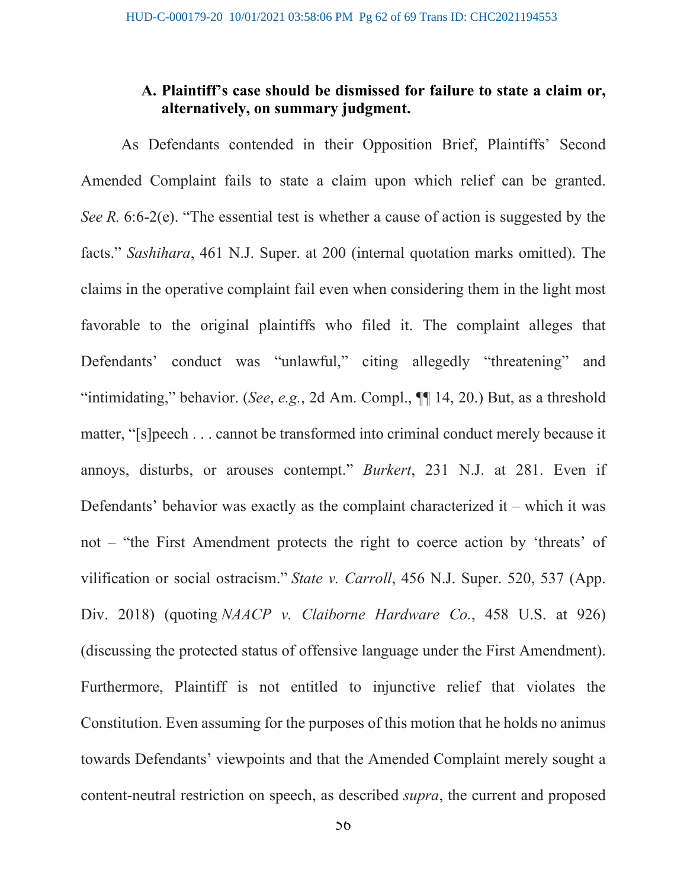### **A. Plaintiff's case should be dismissed for failure to state a claim or, alternatively, on summary judgment.**

As Defendants contended in their Opposition Brief, Plaintiffs' Second Amended Complaint fails to state a claim upon which relief can be granted. *See R.* 6:6-2(e). "The essential test is whether a cause of action is suggested by the facts." *Sashihara*, 461 N.J. Super. at 200 (internal quotation marks omitted). The claims in the operative complaint fail even when considering them in the light most favorable to the original plaintiffs who filed it. The complaint alleges that Defendants' conduct was "unlawful," citing allegedly "threatening" and "intimidating," behavior. (*See*, *e.g.*, 2d Am. Compl., ¶¶ 14, 20.) But, as a threshold matter, "[s]peech . . . cannot be transformed into criminal conduct merely because it annoys, disturbs, or arouses contempt." *Burkert*, 231 N.J. at 281. Even if Defendants' behavior was exactly as the complaint characterized it – which it was not – "the First Amendment protects the right to coerce action by 'threats' of vilification or social ostracism." *State v. Carroll*, 456 N.J. Super. 520, 537 (App. Div. 2018) (quoting *NAACP v. Claiborne Hardware Co.*, 458 U.S. at 926) (discussing the protected status of offensive language under the First Amendment). Furthermore, Plaintiff is not entitled to injunctive relief that violates the Constitution. Even assuming for the purposes of this motion that he holds no animus towards Defendants' viewpoints and that the Amended Complaint merely sought a content-neutral restriction on speech, as described *supra*, the current and proposed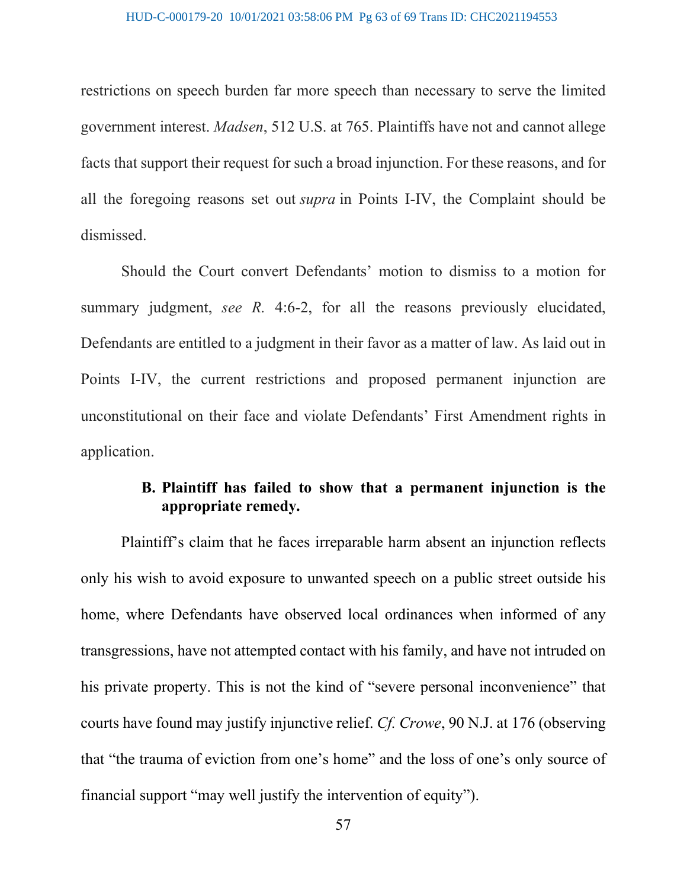restrictions on speech burden far more speech than necessary to serve the limited government interest. *Madsen*, 512 U.S. at 765. Plaintiffs have not and cannot allege facts that support their request for such a broad injunction. For these reasons, and for all the foregoing reasons set out *supra* in Points I-IV, the Complaint should be dismissed.

Should the Court convert Defendants' motion to dismiss to a motion for summary judgment, *see R.* 4:6-2, for all the reasons previously elucidated, Defendants are entitled to a judgment in their favor as a matter of law. As laid out in Points I-IV, the current restrictions and proposed permanent injunction are unconstitutional on their face and violate Defendants' First Amendment rights in application.

### **B. Plaintiff has failed to show that a permanent injunction is the appropriate remedy.**

Plaintiff's claim that he faces irreparable harm absent an injunction reflects only his wish to avoid exposure to unwanted speech on a public street outside his home, where Defendants have observed local ordinances when informed of any transgressions, have not attempted contact with his family, and have not intruded on his private property. This is not the kind of "severe personal inconvenience" that courts have found may justify injunctive relief. *Cf. Crowe*, 90 N.J. at 176 (observing that "the trauma of eviction from one's home" and the loss of one's only source of financial support "may well justify the intervention of equity").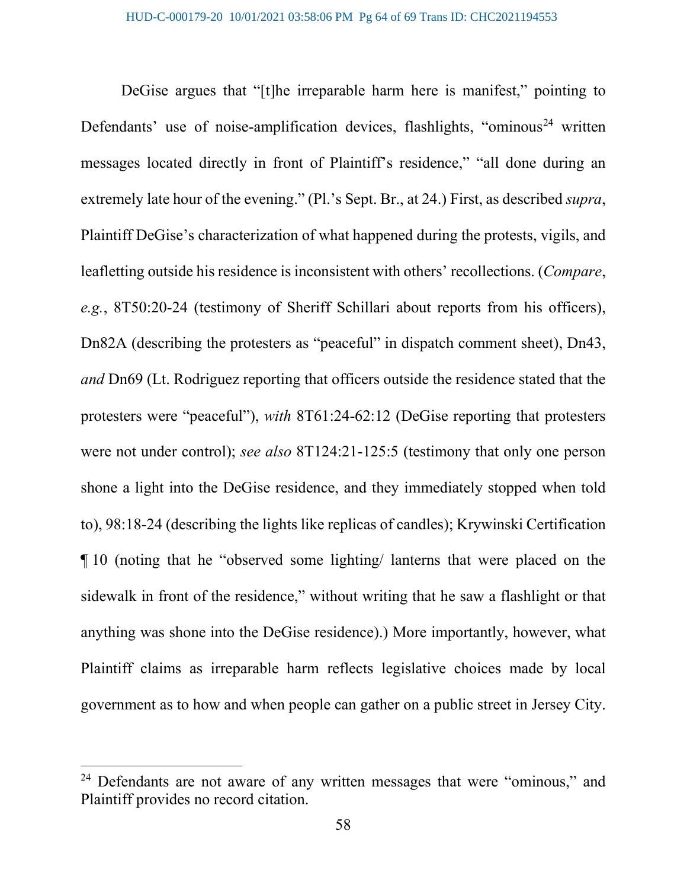DeGise argues that "[t]he irreparable harm here is manifest," pointing to Defendants' use of noise-amplification devices, flashlights, "ominous<sup>[24](#page-63-0)</sup> written messages located directly in front of Plaintiff's residence," "all done during an extremely late hour of the evening." (Pl.'s Sept. Br., at 24.) First, as described *supra*, Plaintiff DeGise's characterization of what happened during the protests, vigils, and leafletting outside his residence is inconsistent with others' recollections. (*Compare*, *e.g.*, 8T50:20-24 (testimony of Sheriff Schillari about reports from his officers), Dn82A (describing the protesters as "peaceful" in dispatch comment sheet), Dn43, *and* Dn69 (Lt. Rodriguez reporting that officers outside the residence stated that the protesters were "peaceful"), *with* 8T61:24-62:12 (DeGise reporting that protesters were not under control); *see also* 8T124:21-125:5 (testimony that only one person shone a light into the DeGise residence, and they immediately stopped when told to), 98:18-24 (describing the lights like replicas of candles); Krywinski Certification ¶ 10 (noting that he "observed some lighting/ lanterns that were placed on the sidewalk in front of the residence," without writing that he saw a flashlight or that anything was shone into the DeGise residence).) More importantly, however, what Plaintiff claims as irreparable harm reflects legislative choices made by local government as to how and when people can gather on a public street in Jersey City.

<span id="page-63-0"></span><sup>&</sup>lt;sup>24</sup> Defendants are not aware of any written messages that were "ominous," and Plaintiff provides no record citation.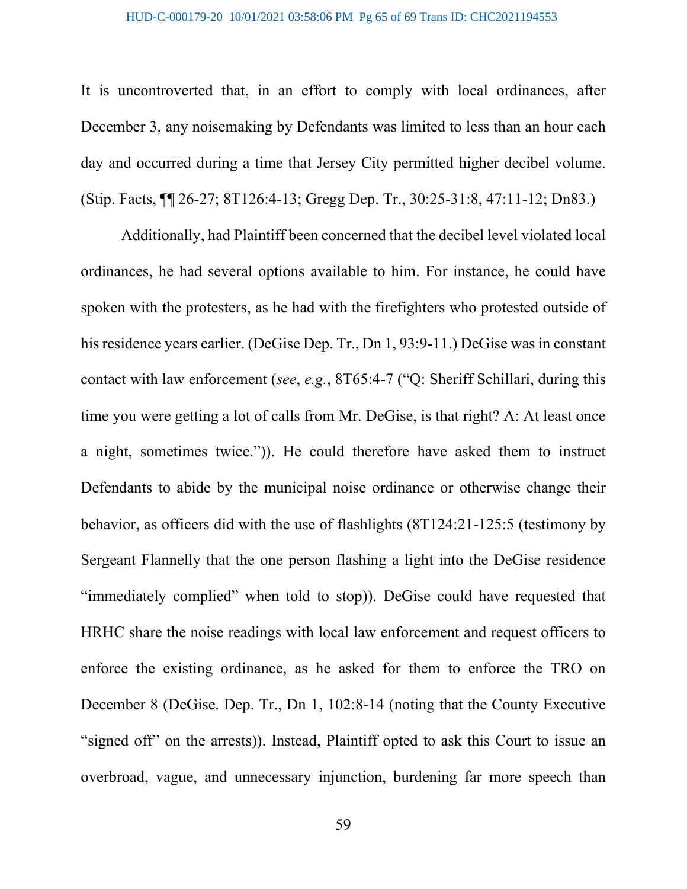It is uncontroverted that, in an effort to comply with local ordinances, after December 3, any noisemaking by Defendants was limited to less than an hour each day and occurred during a time that Jersey City permitted higher decibel volume. (Stip. Facts, ¶¶ 26-27; 8T126:4-13; Gregg Dep. Tr., 30:25-31:8, 47:11-12; Dn83.)

Additionally, had Plaintiff been concerned that the decibel level violated local ordinances, he had several options available to him. For instance, he could have spoken with the protesters, as he had with the firefighters who protested outside of his residence years earlier. (DeGise Dep. Tr., Dn 1, 93:9-11.) DeGise was in constant contact with law enforcement (*see*, *e.g.*, 8T65:4-7 ("Q: Sheriff Schillari, during this time you were getting a lot of calls from Mr. DeGise, is that right? A: At least once a night, sometimes twice.")). He could therefore have asked them to instruct Defendants to abide by the municipal noise ordinance or otherwise change their behavior, as officers did with the use of flashlights (8T124:21-125:5 (testimony by Sergeant Flannelly that the one person flashing a light into the DeGise residence "immediately complied" when told to stop)). DeGise could have requested that HRHC share the noise readings with local law enforcement and request officers to enforce the existing ordinance, as he asked for them to enforce the TRO on December 8 (DeGise. Dep. Tr., Dn 1, 102:8-14 (noting that the County Executive "signed off" on the arrests)). Instead, Plaintiff opted to ask this Court to issue an overbroad, vague, and unnecessary injunction, burdening far more speech than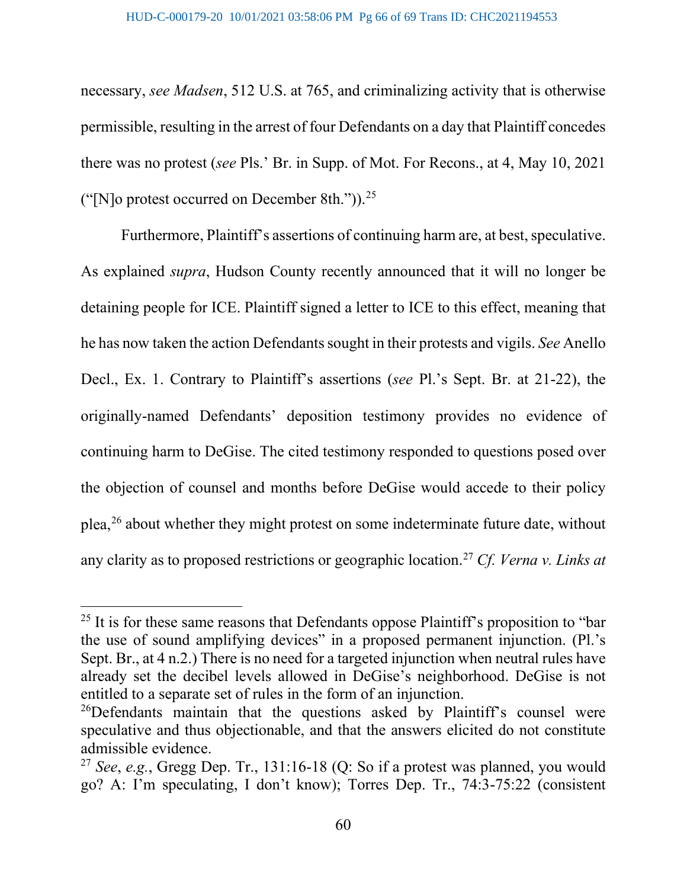necessary, *see Madsen*, 512 U.S. at 765, and criminalizing activity that is otherwise permissible, resulting in the arrest of four Defendants on a day that Plaintiff concedes there was no protest (*see* Pls.' Br. in Supp. of Mot. For Recons., at 4, May 10, 2021 ("[N]o protest occurred on December 8th.")). $^{25}$  $^{25}$  $^{25}$ 

Furthermore, Plaintiff's assertions of continuing harm are, at best, speculative. As explained *supra*, Hudson County recently announced that it will no longer be detaining people for ICE. Plaintiff signed a letter to ICE to this effect, meaning that he has now taken the action Defendants sought in their protests and vigils. *See* Anello Decl., Ex. 1. Contrary to Plaintiff's assertions (*see* Pl.'s Sept. Br. at 21-22), the originally-named Defendants' deposition testimony provides no evidence of continuing harm to DeGise. The cited testimony responded to questions posed over the objection of counsel and months before DeGise would accede to their policy plea,<sup>[26](#page-65-1)</sup> about whether they might protest on some indeterminate future date, without any clarity as to proposed restrictions or geographic location. [27](#page-65-2) *Cf. Verna v. Links at* 

<span id="page-65-0"></span> $25$  It is for these same reasons that Defendants oppose Plaintiff's proposition to "bar" the use of sound amplifying devices" in a proposed permanent injunction. (Pl.'s Sept. Br., at 4 n.2.) There is no need for a targeted injunction when neutral rules have already set the decibel levels allowed in DeGise's neighborhood. DeGise is not entitled to a separate set of rules in the form of an injunction.

<span id="page-65-1"></span><sup>&</sup>lt;sup>26</sup>Defendants maintain that the questions asked by Plaintiff's counsel were speculative and thus objectionable, and that the answers elicited do not constitute admissible evidence.

<span id="page-65-2"></span><sup>27</sup> *See*, *e.g.*, Gregg Dep. Tr., 131:16-18 (Q: So if a protest was planned, you would go? A: I'm speculating, I don't know); Torres Dep. Tr., 74:3-75:22 (consistent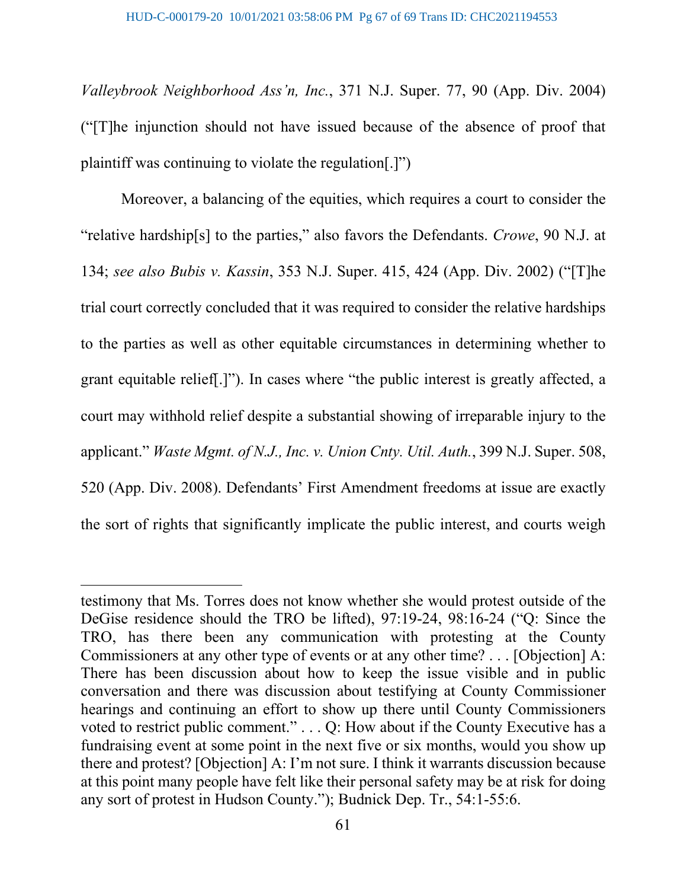*Valleybrook Neighborhood Ass'n, Inc.*, 371 N.J. Super. 77, 90 (App. Div. 2004) ("[T]he injunction should not have issued because of the absence of proof that plaintiff was continuing to violate the regulation[.]")

Moreover, a balancing of the equities, which requires a court to consider the "relative hardship[s] to the parties," also favors the Defendants. *Crowe*, 90 N.J. at 134; *see also Bubis v. Kassin*, 353 N.J. Super. 415, 424 (App. Div. 2002) ("[T]he trial court correctly concluded that it was required to consider the relative hardships to the parties as well as other equitable circumstances in determining whether to grant equitable relief[.]"). In cases where "the public interest is greatly affected, a court may withhold relief despite a substantial showing of irreparable injury to the applicant." *Waste Mgmt. of N.J., Inc. v. Union Cnty. Util. Auth.*, 399 N.J. Super. 508, 520 (App. Div. 2008). Defendants' First Amendment freedoms at issue are exactly the sort of rights that significantly implicate the public interest, and courts weigh

testimony that Ms. Torres does not know whether she would protest outside of the DeGise residence should the TRO be lifted), 97:19-24, 98:16-24 ("Q: Since the TRO, has there been any communication with protesting at the County Commissioners at any other type of events or at any other time? . . . [Objection] A: There has been discussion about how to keep the issue visible and in public conversation and there was discussion about testifying at County Commissioner hearings and continuing an effort to show up there until County Commissioners voted to restrict public comment." . . . Q: How about if the County Executive has a fundraising event at some point in the next five or six months, would you show up there and protest? [Objection] A: I'm not sure. I think it warrants discussion because at this point many people have felt like their personal safety may be at risk for doing any sort of protest in Hudson County."); Budnick Dep. Tr., 54:1-55:6.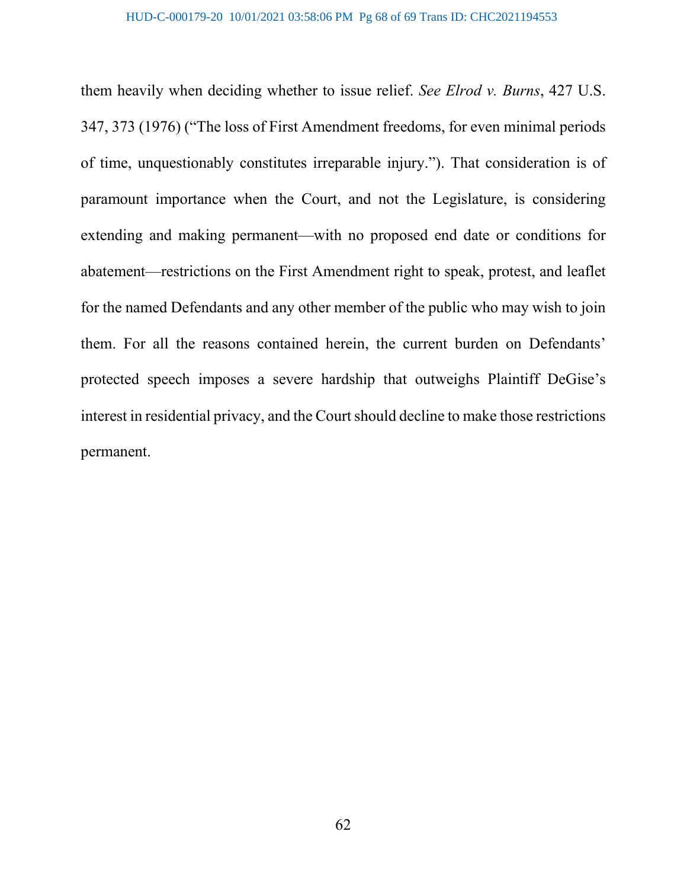them heavily when deciding whether to issue relief. *See Elrod v. Burns*, 427 U.S. 347, 373 (1976) ("The loss of First Amendment freedoms, for even minimal periods of time, unquestionably constitutes irreparable injury."). That consideration is of paramount importance when the Court, and not the Legislature, is considering extending and making permanent—with no proposed end date or conditions for abatement—restrictions on the First Amendment right to speak, protest, and leaflet for the named Defendants and any other member of the public who may wish to join them. For all the reasons contained herein, the current burden on Defendants' protected speech imposes a severe hardship that outweighs Plaintiff DeGise's interest in residential privacy, and the Court should decline to make those restrictions permanent.